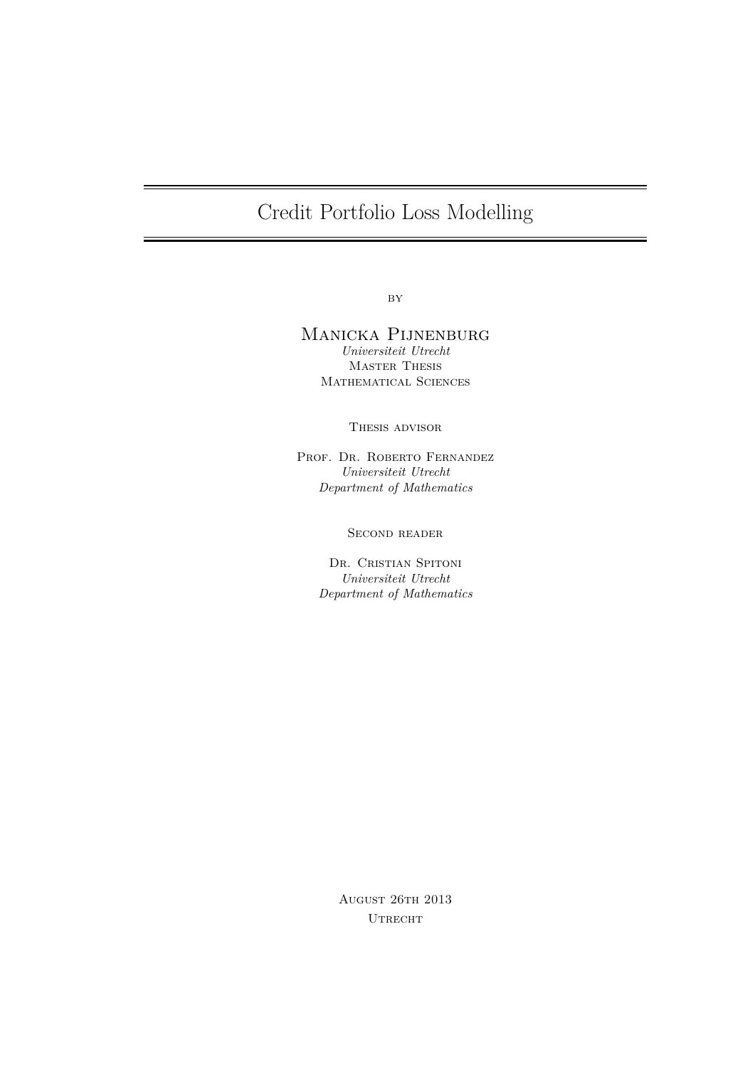## Credit Portfolio Loss Modelling

 $BY$ 

## Manicka Pijnenburg *Universiteit Utrecht*

Master Thesis Mathematical Sciences

Thesis advisor

PROF. DR. ROBERTO FERNANDEZ *Universiteit Utrecht Department of Mathematics*

SECOND READER

DR. CRISTIAN SPITONI *Universiteit Utrecht Department of Mathematics*

> August 26th 2013 UTRECHT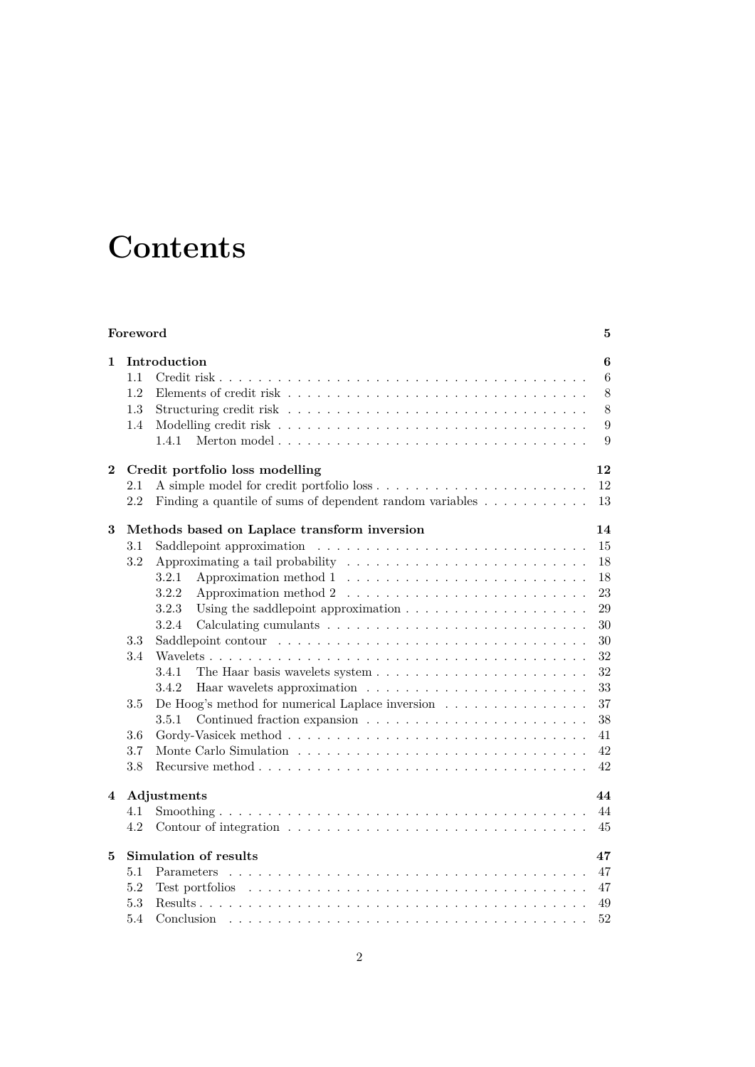## **Contents**

|                | Foreword<br>5 |                                                                                                        |        |  |
|----------------|---------------|--------------------------------------------------------------------------------------------------------|--------|--|
| $\mathbf{1}$   | 1.1           | Introduction                                                                                           | 6<br>6 |  |
|                | 1.2           |                                                                                                        | $8\,$  |  |
|                | 1.3           |                                                                                                        | 8      |  |
|                | 1.4           |                                                                                                        | 9      |  |
|                |               | 1.4.1<br>Merton model                                                                                  | 9      |  |
| $\bf{2}$       |               | Credit portfolio loss modelling                                                                        | 12     |  |
|                | $2.1\,$       |                                                                                                        | 12     |  |
|                | 2.2           | Finding a quantile of sums of dependent random variables $\dots \dots \dots$                           | 13     |  |
| 3              |               | Methods based on Laplace transform inversion                                                           | 14     |  |
|                | $3.1\,$       |                                                                                                        | 15     |  |
|                | 3.2           | Approximating a tail probability                                                                       | 18     |  |
|                |               | 3.2.1                                                                                                  | 18     |  |
|                |               | 3.2.2<br>Approximation method $2 \ldots \ldots \ldots \ldots \ldots \ldots \ldots \ldots$              | 23     |  |
|                |               | 3.2.3<br>Using the saddlepoint approximation $\ldots \ldots \ldots \ldots \ldots \ldots$               | 29     |  |
|                |               | 3.2.4                                                                                                  | 30     |  |
|                | 3.3           |                                                                                                        | 30     |  |
|                | 3.4           |                                                                                                        | 32     |  |
|                |               | 3.4.1                                                                                                  | 32     |  |
|                |               | 3.4.2                                                                                                  | 33     |  |
|                | $3.5\,$       | De Hoog's method for numerical Laplace inversion<br>$\hfill\ldots\ldots\ldots\ldots\ldots\ldots\ldots$ | 37     |  |
|                |               | 3.5.1                                                                                                  | 38     |  |
|                | 3.6           |                                                                                                        | 41     |  |
|                | 3.7           |                                                                                                        | 42     |  |
|                | 3.8           |                                                                                                        | 42     |  |
| $\overline{4}$ |               | Adjustments                                                                                            | 44     |  |
|                | 4.1           |                                                                                                        | 44     |  |
|                | 4.2           |                                                                                                        | 45     |  |
| 5              |               | Simulation of results                                                                                  | 47     |  |
|                | 5.1           |                                                                                                        | 47     |  |
|                | 5.2           |                                                                                                        | 47     |  |
|                | 5.3           |                                                                                                        | 49     |  |
|                | 5.4           | Conclusion                                                                                             | 52     |  |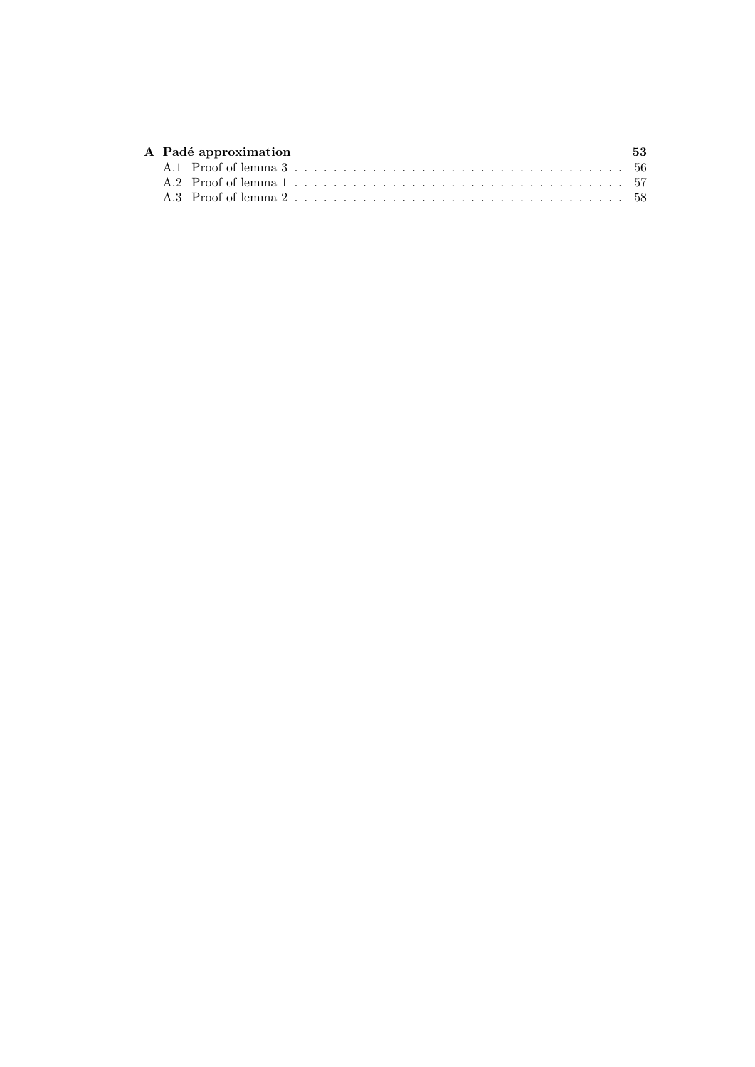|  | A Padé approximation | 53 |
|--|----------------------|----|
|  |                      |    |
|  |                      |    |
|  |                      |    |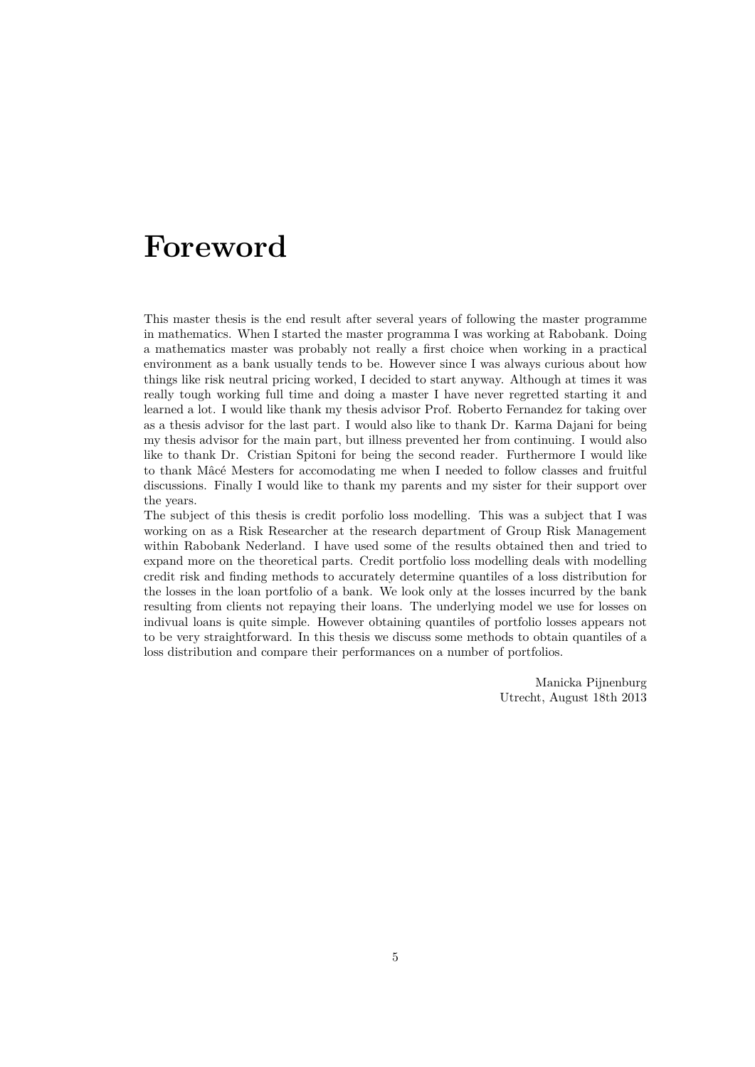## **Foreword**

This master thesis is the end result after several years of following the master programme in mathematics. When I started the master programma I was working at Rabobank. Doing a mathematics master was probably not really a first choice when working in a practical environment as a bank usually tends to be. However since I was always curious about how things like risk neutral pricing worked, I decided to start anyway. Although at times it was really tough working full time and doing a master I have never regretted starting it and learned a lot. I would like thank my thesis advisor Prof. Roberto Fernandez for taking over as a thesis advisor for the last part. I would also like to thank Dr. Karma Dajani for being my thesis advisor for the main part, but illness prevented her from continuing. I would also like to thank Dr. Cristian Spitoni for being the second reader. Furthermore I would like to thank Mâcé Mesters for accomodating me when I needed to follow classes and fruitful discussions. Finally I would like to thank my parents and my sister for their support over the years.

The subject of this thesis is credit porfolio loss modelling. This was a subject that I was working on as a Risk Researcher at the research department of Group Risk Management within Rabobank Nederland. I have used some of the results obtained then and tried to expand more on the theoretical parts. Credit portfolio loss modelling deals with modelling credit risk and finding methods to accurately determine quantiles of a loss distribution for the losses in the loan portfolio of a bank. We look only at the losses incurred by the bank resulting from clients not repaying their loans. The underlying model we use for losses on indivual loans is quite simple. However obtaining quantiles of portfolio losses appears not to be very straightforward. In this thesis we discuss some methods to obtain quantiles of a loss distribution and compare their performances on a number of portfolios.

> Manicka Pijnenburg Utrecht, August 18th 2013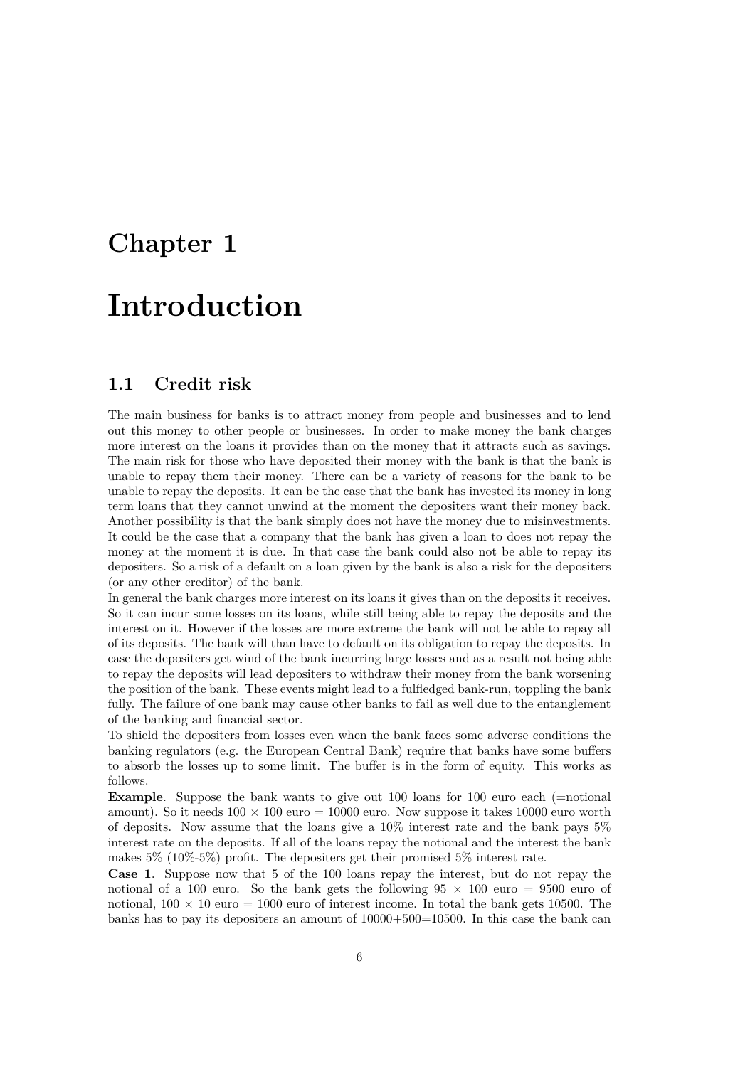# **Chapter 1**

## **Introduction**

## **1.1 Credit risk**

The main business for banks is to attract money from people and businesses and to lend out this money to other people or businesses. In order to make money the bank charges more interest on the loans it provides than on the money that it attracts such as savings. The main risk for those who have deposited their money with the bank is that the bank is unable to repay them their money. There can be a variety of reasons for the bank to be unable to repay the deposits. It can be the case that the bank has invested its money in long term loans that they cannot unwind at the moment the depositers want their money back. Another possibility is that the bank simply does not have the money due to misinvestments. It could be the case that a company that the bank has given a loan to does not repay the money at the moment it is due. In that case the bank could also not be able to repay its depositers. So a risk of a default on a loan given by the bank is also a risk for the depositers (or any other creditor) of the bank.

In general the bank charges more interest on its loans it gives than on the deposits it receives. So it can incur some losses on its loans, while still being able to repay the deposits and the interest on it. However if the losses are more extreme the bank will not be able to repay all of its deposits. The bank will than have to default on its obligation to repay the deposits. In case the depositers get wind of the bank incurring large losses and as a result not being able to repay the deposits will lead depositers to withdraw their money from the bank worsening the position of the bank. These events might lead to a fulfledged bank-run, toppling the bank fully. The failure of one bank may cause other banks to fail as well due to the entanglement of the banking and financial sector.

To shield the depositers from losses even when the bank faces some adverse conditions the banking regulators (e.g. the European Central Bank) require that banks have some buffers to absorb the losses up to some limit. The buffer is in the form of equity. This works as follows.

**Example**. Suppose the bank wants to give out 100 loans for 100 euro each (=notional) amount). So it needs  $100 \times 100$  euro = 10000 euro. Now suppose it takes 10000 euro worth of deposits. Now assume that the loans give a 10% interest rate and the bank pays 5% interest rate on the deposits. If all of the loans repay the notional and the interest the bank makes 5% (10%-5%) profit. The depositers get their promised 5% interest rate.

**Case 1**. Suppose now that 5 of the 100 loans repay the interest, but do not repay the notional of a 100 euro. So the bank gets the following  $95 \times 100$  euro = 9500 euro of notional,  $100 \times 10$  euro = 1000 euro of interest income. In total the bank gets 10500. The banks has to pay its depositers an amount of 10000+500=10500. In this case the bank can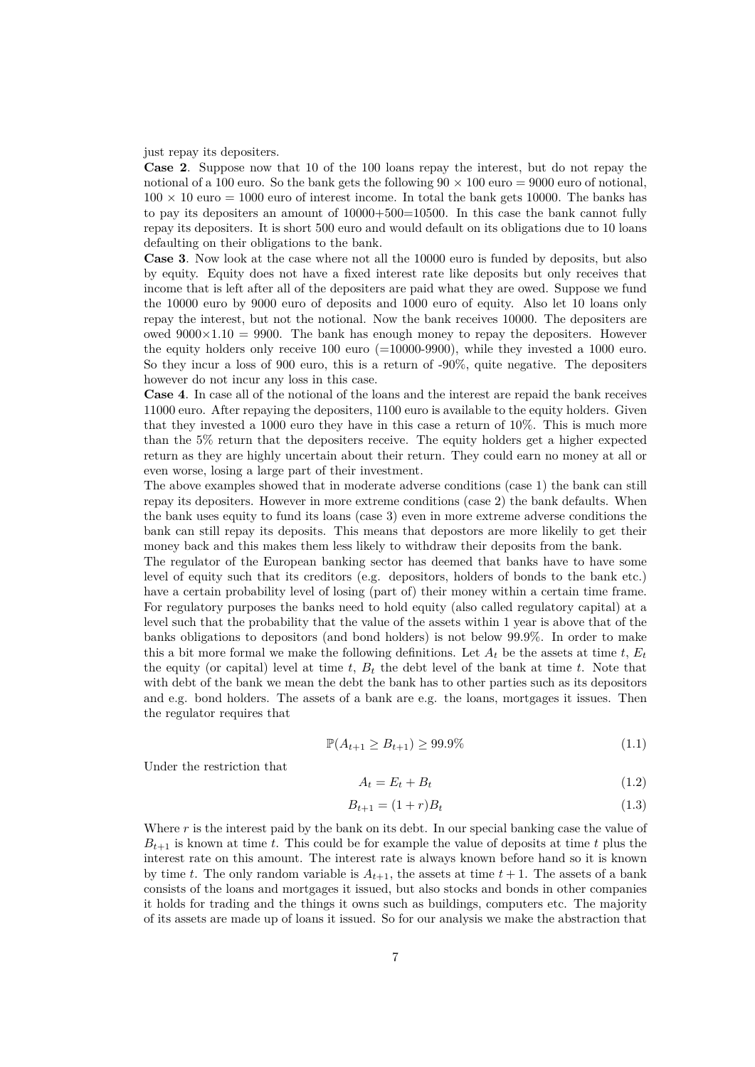#### just repay its depositers.

**Case 2**. Suppose now that 10 of the 100 loans repay the interest, but do not repay the notional of a 100 euro. So the bank gets the following  $90 \times 100$  euro = 9000 euro of notional,  $100 \times 10$  euro = 1000 euro of interest income. In total the bank gets 10000. The banks has to pay its depositers an amount of  $10000+500=10500$ . In this case the bank cannot fully repay its depositers. It is short 500 euro and would default on its obligations due to 10 loans defaulting on their obligations to the bank.

**Case 3**. Now look at the case where not all the 10000 euro is funded by deposits, but also by equity. Equity does not have a fixed interest rate like deposits but only receives that income that is left after all of the depositers are paid what they are owed. Suppose we fund the 10000 euro by 9000 euro of deposits and 1000 euro of equity. Also let 10 loans only repay the interest, but not the notional. Now the bank receives 10000. The depositers are owed  $9000 \times 1.10 = 9900$ . The bank has enough money to repay the depositers. However the equity holders only receive 100 euro (=10000-9900), while they invested a 1000 euro. So they incur a loss of 900 euro, this is a return of -90%, quite negative. The depositers however do not incur any loss in this case.

**Case 4**. In case all of the notional of the loans and the interest are repaid the bank receives 11000 euro. After repaying the depositers, 1100 euro is available to the equity holders. Given that they invested a 1000 euro they have in this case a return of 10%. This is much more than the 5% return that the depositers receive. The equity holders get a higher expected return as they are highly uncertain about their return. They could earn no money at all or even worse, losing a large part of their investment.

The above examples showed that in moderate adverse conditions (case 1) the bank can still repay its depositers. However in more extreme conditions (case 2) the bank defaults. When the bank uses equity to fund its loans (case 3) even in more extreme adverse conditions the bank can still repay its deposits. This means that depostors are more likelily to get their money back and this makes them less likely to withdraw their deposits from the bank.

The regulator of the European banking sector has deemed that banks have to have some level of equity such that its creditors (e.g. depositors, holders of bonds to the bank etc.) have a certain probability level of losing (part of) their money within a certain time frame. For regulatory purposes the banks need to hold equity (also called regulatory capital) at a level such that the probability that the value of the assets within 1 year is above that of the banks obligations to depositors (and bond holders) is not below 99.9%. In order to make this a bit more formal we make the following definitions. Let  $A_t$  be the assets at time  $t$ ,  $E_t$ the equity (or capital) level at time  $t$ ,  $B_t$  the debt level of the bank at time  $t$ . Note that with debt of the bank we mean the debt the bank has to other parties such as its depositors and e.g. bond holders. The assets of a bank are e.g. the loans, mortgages it issues. Then the regulator requires that

$$
\mathbb{P}(A_{t+1} \ge B_{t+1}) \ge 99.9\% \tag{1.1}
$$

Under the restriction that

$$
A_t = E_t + B_t \tag{1.2}
$$

$$
B_{t+1} = (1+r)B_t \t\t(1.3)
$$

Where r is the interest paid by the bank on its debt. In our special banking case the value of  $B_{t+1}$  is known at time *t*. This could be for example the value of deposits at time *t* plus the interest rate on this amount. The interest rate is always known before hand so it is known by time *t*. The only random variable is  $A_{t+1}$ , the assets at time  $t+1$ . The assets of a bank consists of the loans and mortgages it issued, but also stocks and bonds in other companies it holds for trading and the things it owns such as buildings, computers etc. The majority of its assets are made up of loans it issued. So for our analysis we make the abstraction that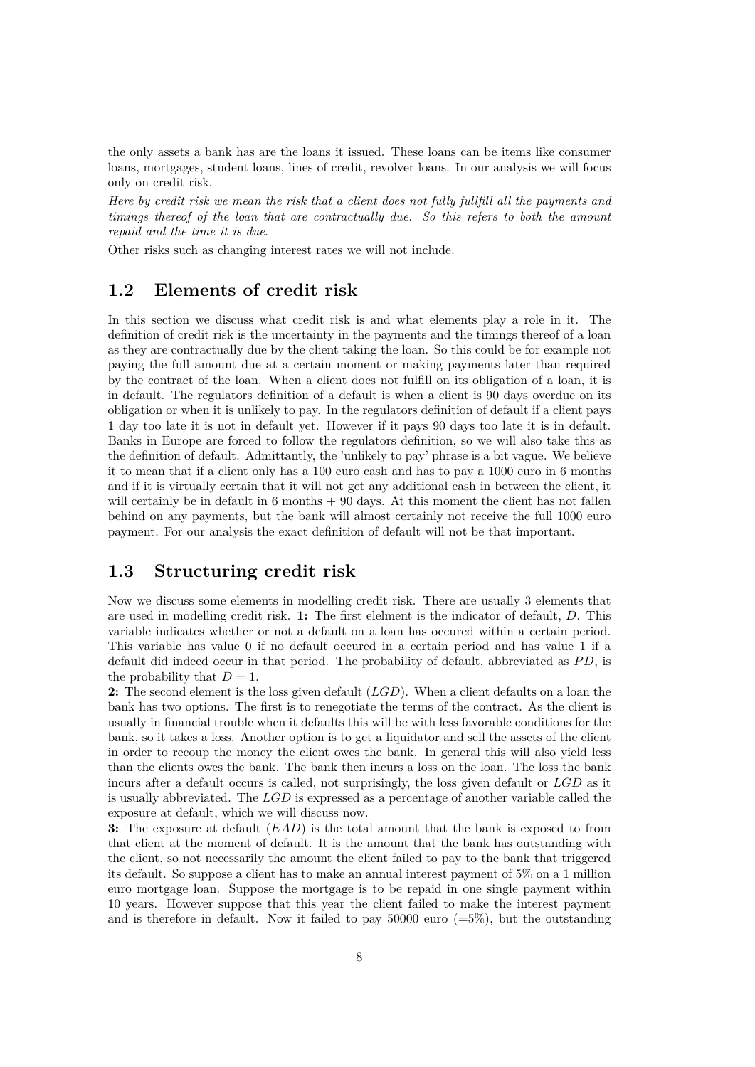the only assets a bank has are the loans it issued. These loans can be items like consumer loans, mortgages, student loans, lines of credit, revolver loans. In our analysis we will focus only on credit risk.

*Here by credit risk we mean the risk that a client does not fully fullfill all the payments and timings thereof of the loan that are contractually due. So this refers to both the amount repaid and the time it is due*.

Other risks such as changing interest rates we will not include.

### **1.2 Elements of credit risk**

In this section we discuss what credit risk is and what elements play a role in it. The definition of credit risk is the uncertainty in the payments and the timings thereof of a loan as they are contractually due by the client taking the loan. So this could be for example not paying the full amount due at a certain moment or making payments later than required by the contract of the loan. When a client does not fulfill on its obligation of a loan, it is in default. The regulators definition of a default is when a client is 90 days overdue on its obligation or when it is unlikely to pay. In the regulators definition of default if a client pays 1 day too late it is not in default yet. However if it pays 90 days too late it is in default. Banks in Europe are forced to follow the regulators definition, so we will also take this as the definition of default. Admittantly, the 'unlikely to pay' phrase is a bit vague. We believe it to mean that if a client only has a 100 euro cash and has to pay a 1000 euro in 6 months and if it is virtually certain that it will not get any additional cash in between the client, it will certainly be in default in  $6$  months  $+90$  days. At this moment the client has not fallen behind on any payments, but the bank will almost certainly not receive the full 1000 euro payment. For our analysis the exact definition of default will not be that important.

### **1.3 Structuring credit risk**

Now we discuss some elements in modelling credit risk. There are usually 3 elements that are used in modelling credit risk. **1:** The first elelment is the indicator of default, *D*. This variable indicates whether or not a default on a loan has occured within a certain period. This variable has value 0 if no default occured in a certain period and has value 1 if a default did indeed occur in that period. The probability of default, abbreviated as *P D*, is the probability that  $D=1$ .

**2:** The second element is the loss given default (*LGD*). When a client defaults on a loan the bank has two options. The first is to renegotiate the terms of the contract. As the client is usually in financial trouble when it defaults this will be with less favorable conditions for the bank, so it takes a loss. Another option is to get a liquidator and sell the assets of the client in order to recoup the money the client owes the bank. In general this will also yield less than the clients owes the bank. The bank then incurs a loss on the loan. The loss the bank incurs after a default occurs is called, not surprisingly, the loss given default or *LGD* as it is usually abbreviated. The *LGD* is expressed as a percentage of another variable called the exposure at default, which we will discuss now.

**3:** The exposure at default (*EAD*) is the total amount that the bank is exposed to from that client at the moment of default. It is the amount that the bank has outstanding with the client, so not necessarily the amount the client failed to pay to the bank that triggered its default. So suppose a client has to make an annual interest payment of 5% on a 1 million euro mortgage loan. Suppose the mortgage is to be repaid in one single payment within 10 years. However suppose that this year the client failed to make the interest payment and is therefore in default. Now it failed to pay 50000 euro  $(=5\%)$ , but the outstanding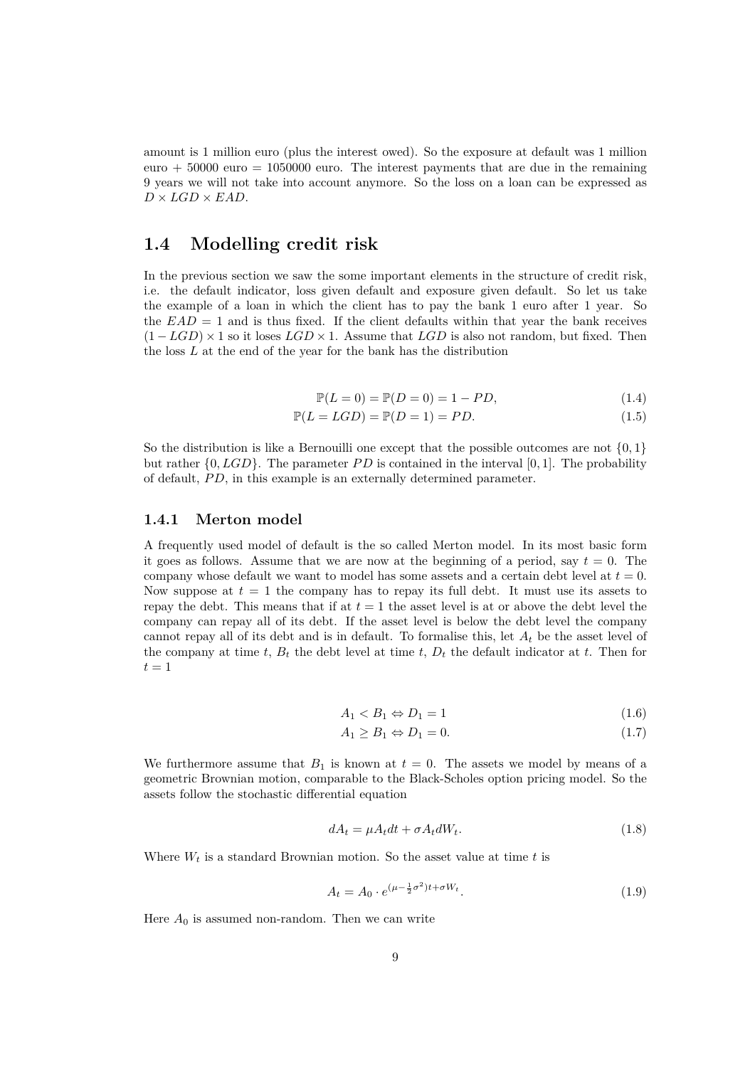amount is 1 million euro (plus the interest owed). So the exposure at default was 1 million euro  $+50000$  euro  $= 1050000$  euro. The interest payments that are due in the remaining 9 years we will not take into account anymore. So the loss on a loan can be expressed as  $D \times LGD \times EAD$ .

### **1.4 Modelling credit risk**

In the previous section we saw the some important elements in the structure of credit risk, i.e. the default indicator, loss given default and exposure given default. So let us take the example of a loan in which the client has to pay the bank 1 euro after 1 year. So the  $EAD = 1$  and is thus fixed. If the client defaults within that year the bank receives (1 *− LGD*) *×* 1 so it loses *LGD ×* 1. Assume that *LGD* is also not random, but fixed. Then the loss *L* at the end of the year for the bank has the distribution

$$
\mathbb{P}(L=0) = \mathbb{P}(D=0) = 1 - PD,
$$
\n(1.4)

$$
\mathbb{P}(L = LGD) = \mathbb{P}(D = 1) = PD.
$$
\n(1.5)

So the distribution is like a Bernouilli one except that the possible outcomes are not *{*0*,* 1*}* but rather *{*0*, LGD}*. The parameter *P D* is contained in the interval [0*,* 1]. The probability of default, *P D*, in this example is an externally determined parameter.

#### **1.4.1 Merton model**

A frequently used model of default is the so called Merton model. In its most basic form it goes as follows. Assume that we are now at the beginning of a period, say  $t = 0$ . The company whose default we want to model has some assets and a certain debt level at  $t = 0$ . Now suppose at  $t = 1$  the company has to repay its full debt. It must use its assets to repay the debt. This means that if at  $t = 1$  the asset level is at or above the debt level the company can repay all of its debt. If the asset level is below the debt level the company cannot repay all of its debt and is in default. To formalise this, let  $A_t$  be the asset level of the company at time  $t$ ,  $B_t$  the debt level at time  $t$ ,  $D_t$  the default indicator at  $t$ . Then for  $t = 1$ 

$$
A_1 < B_1 \Leftrightarrow D_1 = 1 \tag{1.6}
$$

$$
A_1 \ge B_1 \Leftrightarrow D_1 = 0. \tag{1.7}
$$

We furthermore assume that  $B_1$  is known at  $t = 0$ . The assets we model by means of a geometric Brownian motion, comparable to the Black-Scholes option pricing model. So the assets follow the stochastic differential equation

$$
dA_t = \mu A_t dt + \sigma A_t dW_t. \tag{1.8}
$$

Where  $W_t$  is a standard Brownian motion. So the asset value at time  $t$  is

$$
A_t = A_0 \cdot e^{(\mu - \frac{1}{2}\sigma^2)t + \sigma W_t}.
$$
\n
$$
(1.9)
$$

Here  $A_0$  is assumed non-random. Then we can write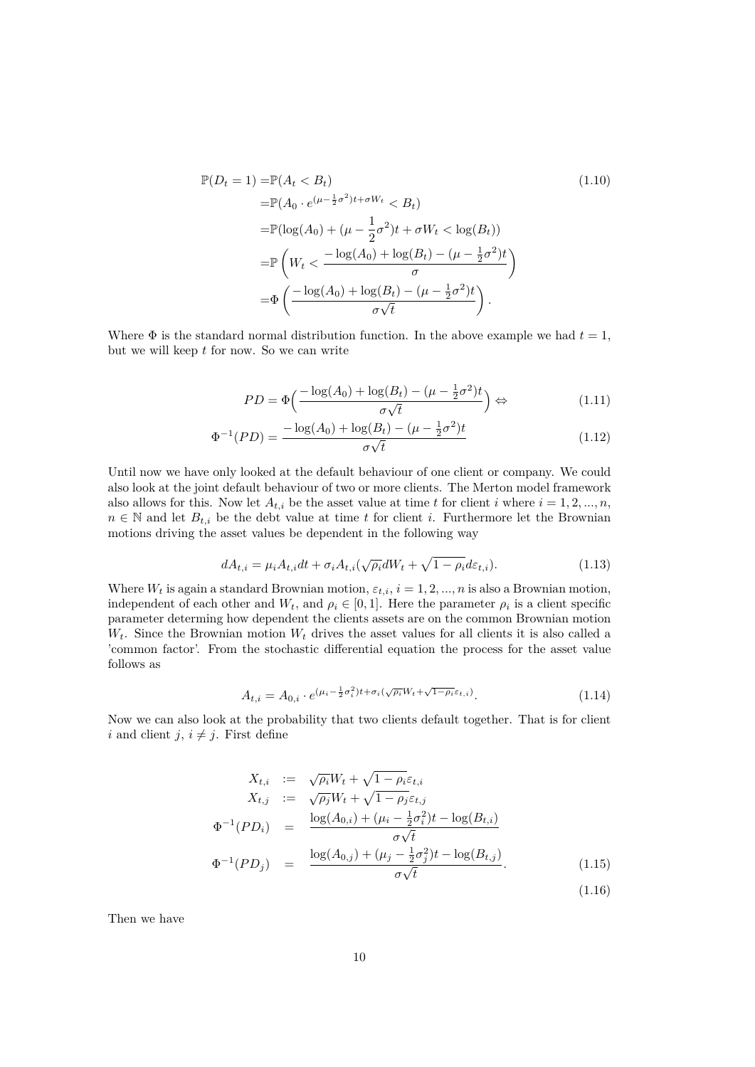$$
\mathbb{P}(D_t = 1) = \mathbb{P}(A_t < B_t) \tag{1.10}
$$
\n
$$
= \mathbb{P}(A_0 \cdot e^{(\mu - \frac{1}{2}\sigma^2)t + \sigma W_t} < B_t)
$$
\n
$$
= \mathbb{P}(\log(A_0) + (\mu - \frac{1}{2}\sigma^2)t + \sigma W_t < \log(B_t))
$$
\n
$$
= \mathbb{P}\left(W_t < \frac{-\log(A_0) + \log(B_t) - (\mu - \frac{1}{2}\sigma^2)t}{\sigma}\right)
$$
\n
$$
= \Phi\left(\frac{-\log(A_0) + \log(B_t) - (\mu - \frac{1}{2}\sigma^2)t}{\sigma\sqrt{t}}\right).
$$

Where  $\Phi$  is the standard normal distribution function. In the above example we had  $t = 1$ , but we will keep *t* for now. So we can write

$$
PD = \Phi\left(\frac{-\log(A_0) + \log(B_t) - (\mu - \frac{1}{2}\sigma^2)t}{\sigma\sqrt{t}}\right) \Leftrightarrow \tag{1.11}
$$

$$
\Phi^{-1}(PD) = \frac{-\log(A_0) + \log(B_t) - (\mu - \frac{1}{2}\sigma^2)t}{\sigma\sqrt{t}}
$$
\n(1.12)

Until now we have only looked at the default behaviour of one client or company. We could also look at the joint default behaviour of two or more clients. The Merton model framework also allows for this. Now let  $A_{t,i}$  be the asset value at time t for client i where  $i = 1, 2, ..., n$ ,  $n \in \mathbb{N}$  and let  $B_{t,i}$  be the debt value at time *t* for client *i*. Furthermore let the Brownian motions driving the asset values be dependent in the following way

$$
dA_{t,i} = \mu_i A_{t,i} dt + \sigma_i A_{t,i} (\sqrt{\rho_i} dW_t + \sqrt{1 - \rho_i} d\varepsilon_{t,i}).
$$
\n(1.13)

Where  $W_t$  is again a standard Brownian motion,  $\varepsilon_{t,i}$ ,  $i = 1, 2, ..., n$  is also a Brownian motion, independent of each other and  $W_t$ , and  $\rho_i \in [0,1]$ . Here the parameter  $\rho_i$  is a client specific parameter determing how dependent the clients assets are on the common Brownian motion  $W_t$ . Since the Brownian motion  $W_t$  drives the asset values for all clients it is also called a 'common factor'. From the stochastic differential equation the process for the asset value follows as

$$
A_{t,i} = A_{0,i} \cdot e^{(\mu_i - \frac{1}{2}\sigma_i^2)t + \sigma_i(\sqrt{\rho_i}W_t + \sqrt{1-\rho_i}\varepsilon_{t,i})}.
$$
\n(1.14)

Now we can also look at the probability that two clients default together. That is for client *i* and client *j*,  $i \neq j$ . First define

$$
X_{t,i} := \sqrt{\rho_i} W_t + \sqrt{1 - \rho_i} \varepsilon_{t,i}
$$
  
\n
$$
X_{t,j} := \sqrt{\rho_j} W_t + \sqrt{1 - \rho_j} \varepsilon_{t,j}
$$
  
\n
$$
\Phi^{-1}(PD_i) = \frac{\log(A_{0,i}) + (\mu_i - \frac{1}{2}\sigma_i^2)t - \log(B_{t,i})}{\sigma\sqrt{t}}
$$
  
\n
$$
\Phi^{-1}(PD_j) = \frac{\log(A_{0,j}) + (\mu_j - \frac{1}{2}\sigma_j^2)t - \log(B_{t,j})}{\sigma\sqrt{t}}.
$$
\n(1.15)

Then we have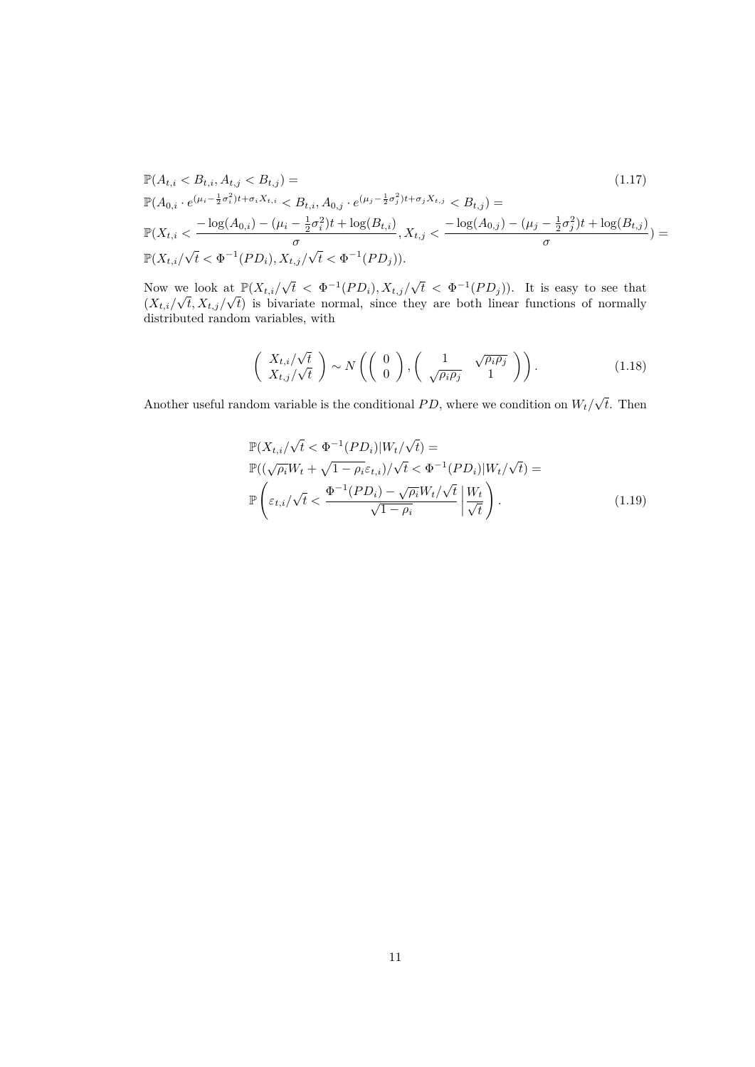$$
\mathbb{P}(A_{t,i} < B_{t,i}, A_{t,j} < B_{t,j}) =
$$
\n
$$
\mathbb{P}(A_{0,i} \cdot e^{(\mu_i - \frac{1}{2}\sigma_i^2)t + \sigma_i X_{t,i}} < B_{t,i}, A_{0,j} \cdot e^{(\mu_j - \frac{1}{2}\sigma_j^2)t + \sigma_j X_{t,j}} < B_{t,j}) =
$$
\n
$$
\mathbb{P}(X_{t,i} < \frac{-\log(A_{0,i}) - (\mu_i - \frac{1}{2}\sigma_i^2)t + \log(B_{t,i})}{\sigma}, X_{t,j} < \frac{-\log(A_{0,j}) - (\mu_j - \frac{1}{2}\sigma_j^2)t + \log(B_{t,j})}{\sigma}) =
$$
\n
$$
\mathbb{P}(X_{t,i}/\sqrt{t} < \Phi^{-1}(PD_i), X_{t,j}/\sqrt{t} < \Phi^{-1}(PD_j)).
$$
\n
$$
(1.17)
$$

Now we look at  $\mathbb{P}(X_{t,i}/\sqrt{t} < \Phi^{-1}(PD_i), X_{t,j}/\sqrt{t} < \Phi^{-1}(PD_j)).$  It is easy to see that Now we look at  $\mathbb{F}(X_{t,i}/\sqrt{t}) \leq \Psi$   $(PD_i), X_{t,j}/\sqrt{t} \leq \Psi$   $(PD_j))$ . It is easy to see that  $(X_{t,i}/\sqrt{t}, X_{t,j}/\sqrt{t})$  is bivariate normal, since they are both linear functions of normally distributed random variables, with

$$
\begin{pmatrix} X_{t,i}/\sqrt{t} \\ X_{t,j}/\sqrt{t} \end{pmatrix} \sim N\left( \begin{pmatrix} 0 \\ 0 \end{pmatrix}, \begin{pmatrix} 1 & \sqrt{\rho_i \rho_j} \\ \sqrt{\rho_i \rho_j} & 1 \end{pmatrix} \right).
$$
 (1.18)

Another useful random variable is the conditional  $PD$ , where we condition on  $W_t/\sqrt{t}$ . Then

$$
\mathbb{P}(X_{t,i}/\sqrt{t} < \Phi^{-1}(PD_i)|W_t/\sqrt{t}) = \\
\mathbb{P}((\sqrt{\rho_i}W_t + \sqrt{1-\rho_i}\varepsilon_{t,i})/\sqrt{t} < \Phi^{-1}(PD_i)|W_t/\sqrt{t}) = \\
\mathbb{P}\left(\varepsilon_{t,i}/\sqrt{t} < \frac{\Phi^{-1}(PD_i) - \sqrt{\rho_i}W_t/\sqrt{t}}{\sqrt{1-\rho_i}} \middle| \frac{W_t}{\sqrt{t}}\right). \tag{1.19}
$$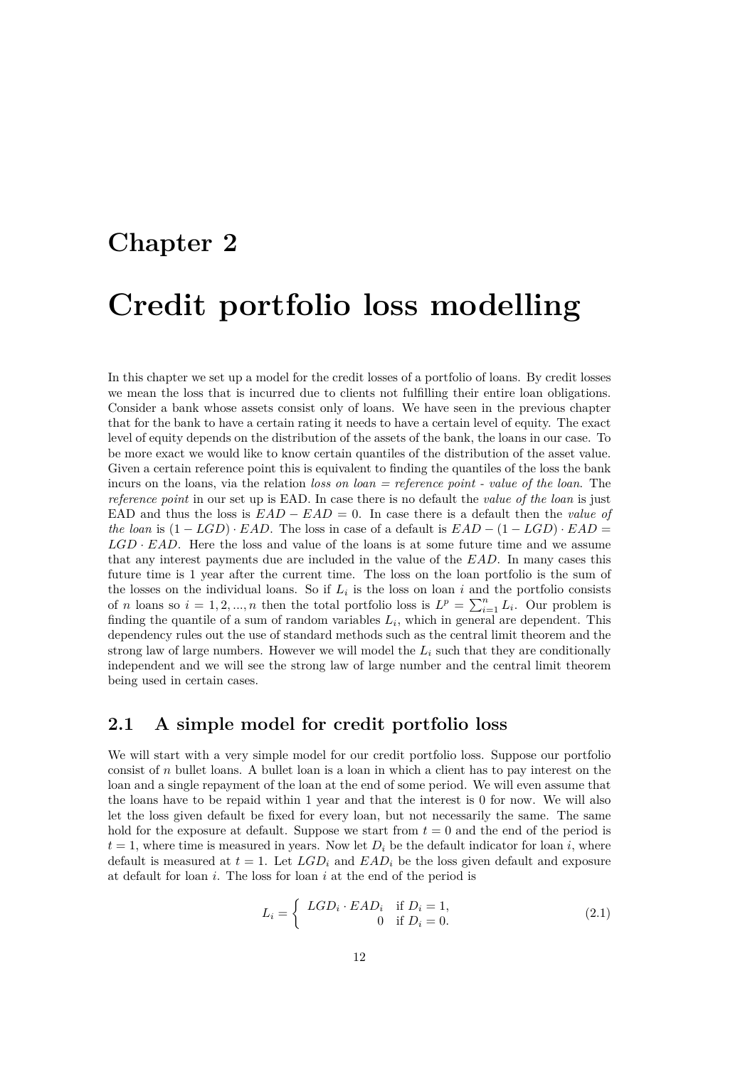# **Chapter 2 Credit portfolio loss modelling**

In this chapter we set up a model for the credit losses of a portfolio of loans. By credit losses we mean the loss that is incurred due to clients not fulfilling their entire loan obligations. Consider a bank whose assets consist only of loans. We have seen in the previous chapter that for the bank to have a certain rating it needs to have a certain level of equity. The exact level of equity depends on the distribution of the assets of the bank, the loans in our case. To be more exact we would like to know certain quantiles of the distribution of the asset value. Given a certain reference point this is equivalent to finding the quantiles of the loss the bank incurs on the loans, via the relation *loss on loan = reference point - value of the loan*. The *reference point* in our set up is EAD. In case there is no default the *value of the loan* is just EAD and thus the loss is *EAD − EAD* = 0. In case there is a default then the *value of the loan* is  $(1 - LGD) \cdot EAD$ . The loss in case of a default is  $EAD - (1 - LGD) \cdot EAD =$ *LGD · EAD*. Here the loss and value of the loans is at some future time and we assume that any interest payments due are included in the value of the *EAD*. In many cases this future time is 1 year after the current time. The loss on the loan portfolio is the sum of the losses on the individual loans. So if  $L_i$  is the loss on loan  $i$  and the portfolio consists of *n* loans so  $i = 1, 2, ..., n$  then the total portfolio loss is  $L^p = \sum_{i=1}^n L_i$ . Our problem is finding the quantile of a sum of random variables  $L_i$ , which in general are dependent. This dependency rules out the use of standard methods such as the central limit theorem and the strong law of large numbers. However we will model the *L<sup>i</sup>* such that they are conditionally independent and we will see the strong law of large number and the central limit theorem being used in certain cases.

#### **2.1 A simple model for credit portfolio loss**

We will start with a very simple model for our credit portfolio loss. Suppose our portfolio consist of *n* bullet loans. A bullet loan is a loan in which a client has to pay interest on the loan and a single repayment of the loan at the end of some period. We will even assume that the loans have to be repaid within 1 year and that the interest is 0 for now. We will also let the loss given default be fixed for every loan, but not necessarily the same. The same hold for the exposure at default. Suppose we start from  $t = 0$  and the end of the period is  $t = 1$ , where time is measured in years. Now let  $D_i$  be the default indicator for loan *i*, where default is measured at  $t = 1$ . Let  $LGD_i$  and  $EAD_i$  be the loss given default and exposure at default for loan *i*. The loss for loan *i* at the end of the period is

$$
L_i = \begin{cases} LGD_i \cdot EAD_i & \text{if } D_i = 1, \\ 0 & \text{if } D_i = 0. \end{cases}
$$
 (2.1)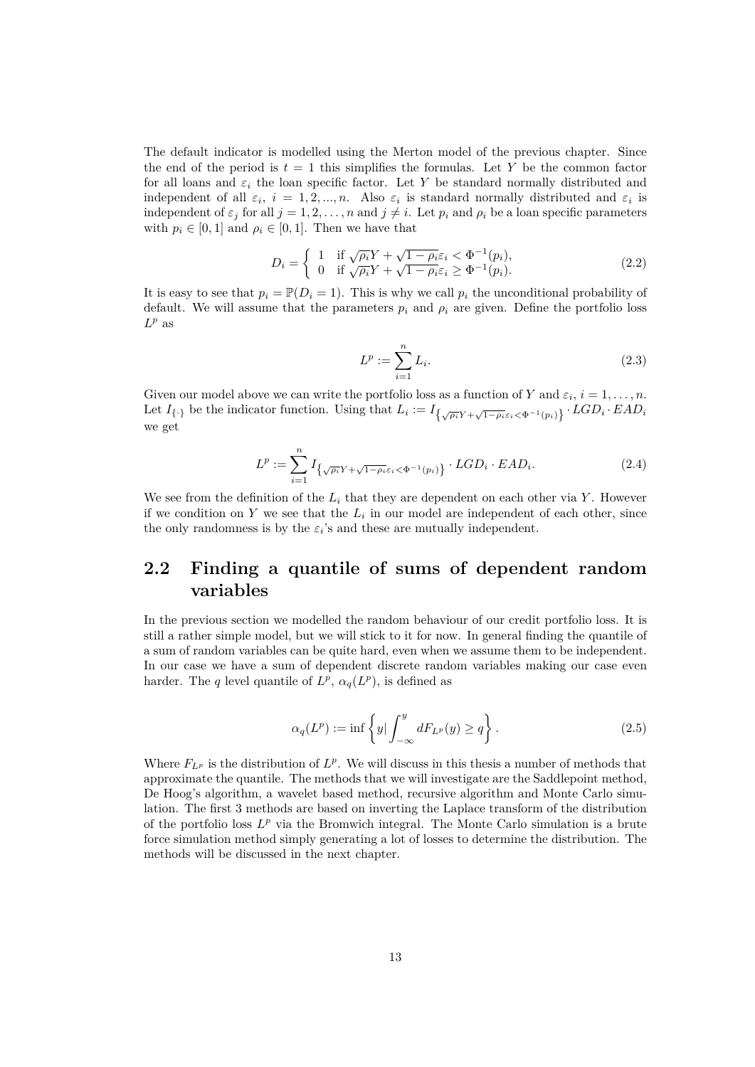The default indicator is modelled using the Merton model of the previous chapter. Since the end of the period is  $t = 1$  this simplifies the formulas. Let Y be the common factor for all loans and  $\varepsilon_i$  the loan specific factor. Let Y be standard normally distributed and independent of all  $\varepsilon_i$ ,  $i = 1, 2, ..., n$ . Also  $\varepsilon_i$  is standard normally distributed and  $\varepsilon_i$  is independent of  $\varepsilon_j$  for all  $j = 1, 2, ..., n$  and  $j \neq i$ . Let  $p_i$  and  $\rho_i$  be a loan specific parameters with  $p_i \in [0,1]$  and  $\rho_i \in [0,1]$ . Then we have that

$$
D_i = \begin{cases} 1 & \text{if } \sqrt{\rho_i} Y + \sqrt{1 - \rho_i} \varepsilon_i < \Phi^{-1}(p_i), \\ 0 & \text{if } \sqrt{\rho_i} Y + \sqrt{1 - \rho_i} \varepsilon_i \ge \Phi^{-1}(p_i). \end{cases}
$$
(2.2)

It is easy to see that  $p_i = \mathbb{P}(D_i = 1)$ . This is why we call  $p_i$  the unconditional probability of default. We will assume that the parameters  $p_i$  and  $\rho_i$  are given. Define the portfolio loss  $L^p$  as

$$
L^p := \sum_{i=1}^n L_i.
$$
\n(2.3)

Given our model above we can write the portfolio loss as a function of *Y* and  $\varepsilon_i$ ,  $i = 1, \ldots, n$ . Let  $I_{\{\cdot\}}$  be the indicator function. Using that  $L_i := I_{\{\sqrt{\rho_i}Y + \sqrt{1-\rho_i}\varepsilon_i \leq \Phi^{-1}(p_i)\}} \cdot LGD_i \cdot EAD_i$ we get

$$
L^p := \sum_{i=1}^n I_{\left\{\sqrt{\rho_i}Y + \sqrt{1-\rho_i}\varepsilon_i < \Phi^{-1}(p_i)\right\}} \cdot LGD_i \cdot EAD_i. \tag{2.4}
$$

We see from the definition of the  $L_i$  that they are dependent on each other via  $Y$ . However if we condition on  $Y$  we see that the  $L_i$  in our model are independent of each other, since the only randomness is by the  $\varepsilon_i$ 's and these are mutually independent.

## **2.2 Finding a quantile of sums of dependent random variables**

In the previous section we modelled the random behaviour of our credit portfolio loss. It is still a rather simple model, but we will stick to it for now. In general finding the quantile of a sum of random variables can be quite hard, even when we assume them to be independent. In our case we have a sum of dependent discrete random variables making our case even harder. The *q* level quantile of  $L^p$ ,  $\alpha_q(L^p)$ , is defined as

$$
\alpha_q(L^p) := \inf \left\{ y \mid \int_{-\infty}^y dF_{L^p}(y) \ge q \right\}.
$$
\n(2.5)

Where  $F_{L^p}$  is the distribution of  $L^p$ . We will discuss in this thesis a number of methods that approximate the quantile. The methods that we will investigate are the Saddlepoint method, De Hoog's algorithm, a wavelet based method, recursive algorithm and Monte Carlo simulation. The first 3 methods are based on inverting the Laplace transform of the distribution of the portfolio loss *L <sup>p</sup>* via the Bromwich integral. The Monte Carlo simulation is a brute force simulation method simply generating a lot of losses to determine the distribution. The methods will be discussed in the next chapter.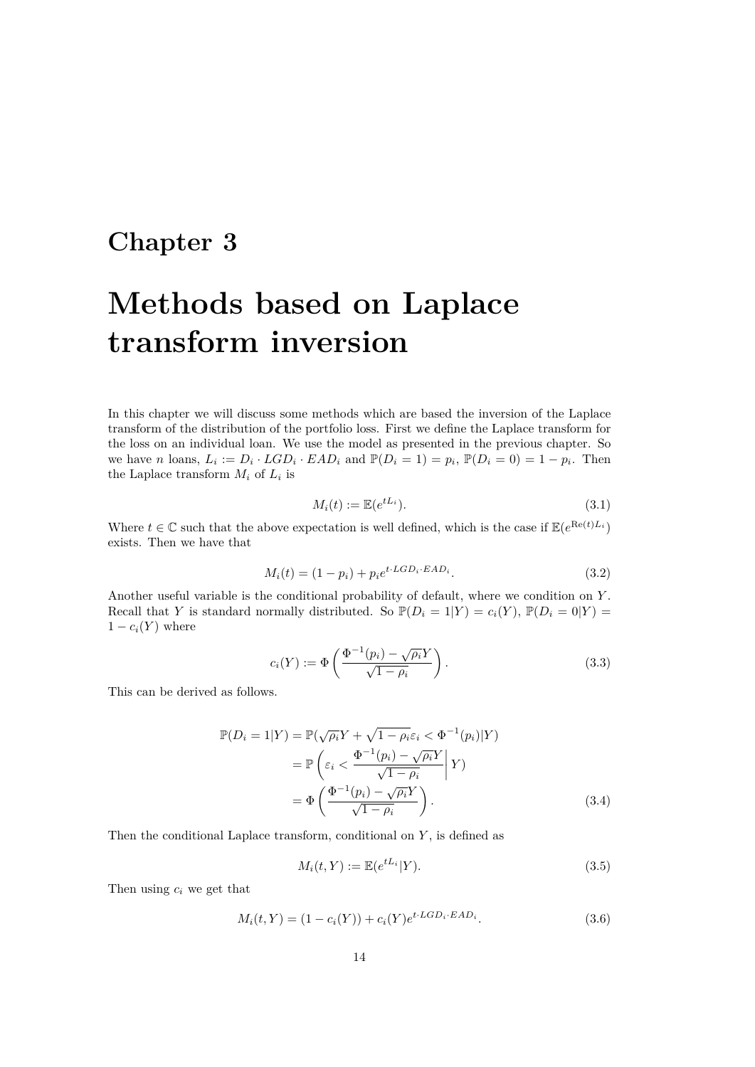## **Chapter 3**

## **Methods based on Laplace transform inversion**

In this chapter we will discuss some methods which are based the inversion of the Laplace transform of the distribution of the portfolio loss. First we define the Laplace transform for the loss on an individual loan. We use the model as presented in the previous chapter. So we have *n* loans,  $L_i := D_i \cdot LGD_i \cdot EAD_i$  and  $\mathbb{P}(D_i = 1) = p_i$ ,  $\mathbb{P}(D_i = 0) = 1 - p_i$ . Then the Laplace transform  $M_i$  of  $L_i$  is

$$
M_i(t) := \mathbb{E}(e^{tL_i}).\tag{3.1}
$$

Where  $t \in \mathbb{C}$  such that the above expectation is well defined, which is the case if  $\mathbb{E}(e^{\text{Re}(t)L_i})$ exists. Then we have that

$$
M_i(t) = (1 - p_i) + p_i e^{t \cdot LGD_i \cdot EAD_i}.
$$
\n(3.2)

Another useful variable is the conditional probability of default, where we condition on *Y* . Recall that *Y* is standard normally distributed. So  $\mathbb{P}(D_i = 1 | Y) = c_i(Y), \mathbb{P}(D_i = 0 | Y) =$  $1 - c_i(Y)$  where

$$
c_i(Y) := \Phi\left(\frac{\Phi^{-1}(p_i) - \sqrt{\rho_i}Y}{\sqrt{1 - \rho_i}}\right).
$$
\n(3.3)

This can be derived as follows.

$$
\mathbb{P}(D_i = 1|Y) = \mathbb{P}(\sqrt{\rho_i}Y + \sqrt{1 - \rho_i}\varepsilon_i < \Phi^{-1}(p_i)|Y) \n= \mathbb{P}\left(\varepsilon_i < \frac{\Phi^{-1}(p_i) - \sqrt{\rho_i}Y}{\sqrt{1 - \rho_i}}\middle| Y\right) \n= \Phi\left(\frac{\Phi^{-1}(p_i) - \sqrt{\rho_i}Y}{\sqrt{1 - \rho_i}}\right).
$$
\n(3.4)

Then the conditional Laplace transform, conditional on *Y* , is defined as

$$
M_i(t, Y) := \mathbb{E}(e^{tL_i}|Y). \tag{3.5}
$$

Then using *c<sup>i</sup>* we get that

$$
M_i(t, Y) = (1 - c_i(Y)) + c_i(Y)e^{t \cdot LGD_i \cdot EAD_i}.
$$
\n(3.6)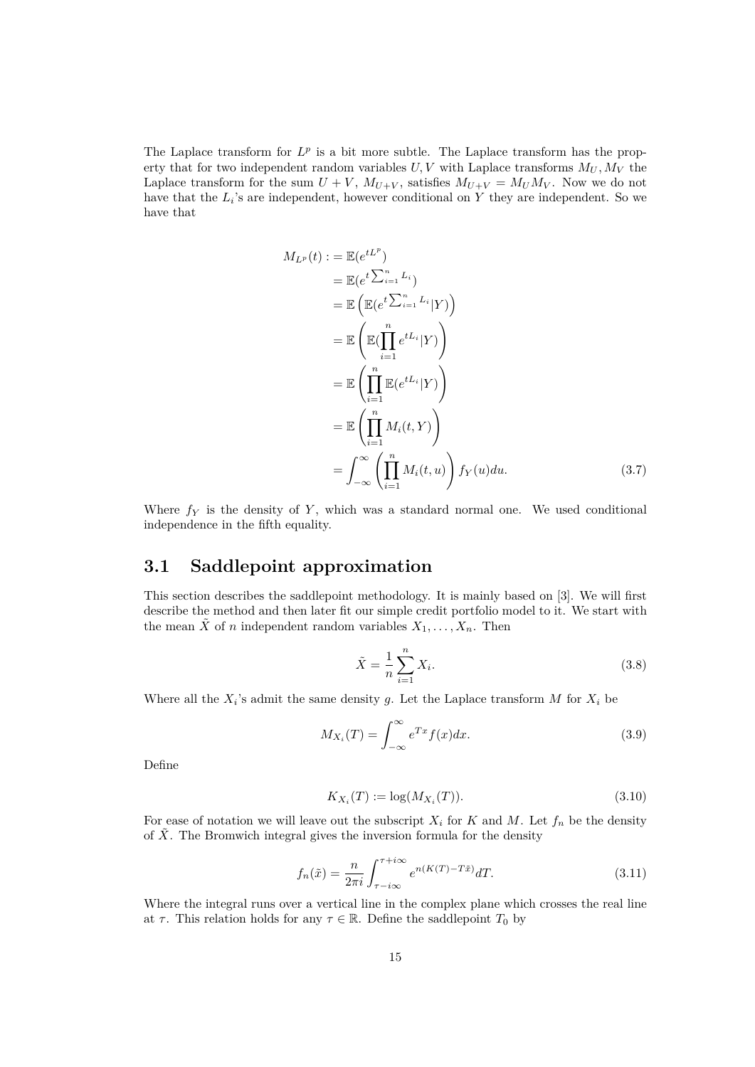The Laplace transform for  $L^p$  is a bit more subtle. The Laplace transform has the property that for two independent random variables  $U, V$  with Laplace transforms  $M_U, M_V$  the Laplace transform for the sum  $U + V$ ,  $M_{U+V}$ , satisfies  $M_{U+V} = M_{U}M_{V}$ . Now we do not have that the  $L_i$ 's are independent, however conditional on  $Y$  they are independent. So we have that

$$
M_{L^p}(t) := \mathbb{E}(e^{tL^p})
$$
  
\n
$$
= \mathbb{E}(e^{t\sum_{i=1}^n L_i})
$$
  
\n
$$
= \mathbb{E}\left(\mathbb{E}(e^{t\sum_{i=1}^n L_i}|Y)\right)
$$
  
\n
$$
= \mathbb{E}\left(\mathbb{E}(\prod_{i=1}^n e^{tL_i}|Y)\right)
$$
  
\n
$$
= \mathbb{E}\left(\prod_{i=1}^n \mathbb{E}(e^{tL_i}|Y)\right)
$$
  
\n
$$
= \mathbb{E}\left(\prod_{i=1}^n M_i(t,Y)\right)
$$
  
\n
$$
= \int_{-\infty}^{\infty} \left(\prod_{i=1}^n M_i(t,u)\right) f_Y(u) du.
$$
 (3.7)

Where  $f_Y$  is the density of  $Y$ , which was a standard normal one. We used conditional independence in the fifth equality.

### **3.1 Saddlepoint approximation**

This section describes the saddlepoint methodology. It is mainly based on [3]. We will first describe the method and then later fit our simple credit portfolio model to it. We start with the mean *X* of *n* independent random variables  $X_1, \ldots, X_n$ . Then

$$
\tilde{X} = \frac{1}{n} \sum_{i=1}^{n} X_i.
$$
\n(3.8)

Where all the  $X_i$ 's admit the same density g. Let the Laplace transform M for  $X_i$  be

$$
M_{X_i}(T) = \int_{-\infty}^{\infty} e^{Tx} f(x) dx.
$$
 (3.9)

Define

$$
K_{X_i}(T) := \log(M_{X_i}(T)).
$$
\n(3.10)

For ease of notation we will leave out the subscript  $X_i$  for  $K$  and  $M$ . Let  $f_n$  be the density of  $\tilde{X}$ . The Bromwich integral gives the inversion formula for the density

$$
f_n(\tilde{x}) = \frac{n}{2\pi i} \int_{\tau - i\infty}^{\tau + i\infty} e^{n(K(T) - T\tilde{x})} dT.
$$
 (3.11)

Where the integral runs over a vertical line in the complex plane which crosses the real line at  $\tau$ . This relation holds for any  $\tau \in \mathbb{R}$ . Define the saddlepoint  $T_0$  by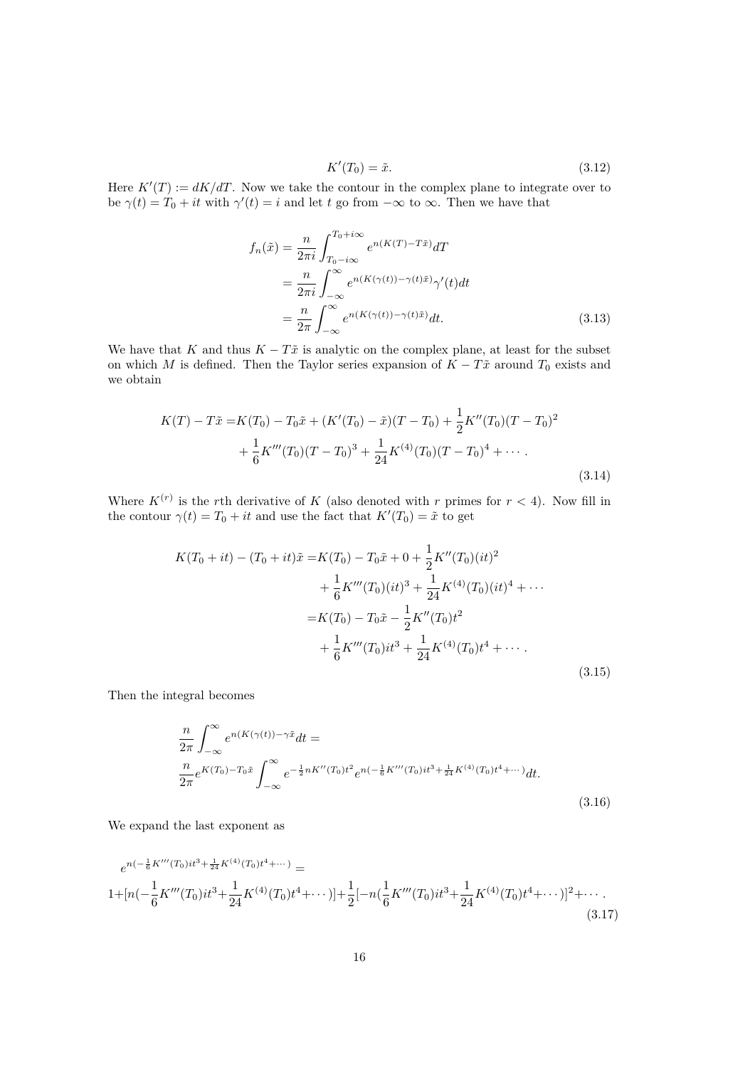$$
K'(T_0) = \tilde{x}.\tag{3.12}
$$

Here  $K'(T) := dK/dT$ . Now we take the contour in the complex plane to integrate over to be  $\gamma(t) = T_0 + it$  with  $\gamma'(t) = i$  and let *t* go from  $-\infty$  to  $\infty$ . Then we have that

$$
f_n(\tilde{x}) = \frac{n}{2\pi i} \int_{T_0 - i\infty}^{T_0 + i\infty} e^{n(K(T) - T\tilde{x})} dT
$$
  
= 
$$
\frac{n}{2\pi i} \int_{-\infty}^{\infty} e^{n(K(\gamma(t)) - \gamma(t)\tilde{x})} \gamma'(t) dt
$$
  
= 
$$
\frac{n}{2\pi} \int_{-\infty}^{\infty} e^{n(K(\gamma(t)) - \gamma(t)\tilde{x})} dt.
$$
 (3.13)

We have that *K* and thus  $K - T\tilde{x}$  is analytic on the complex plane, at least for the subset on which *M* is defined. Then the Taylor series expansion of  $K - T\tilde{x}$  around  $T_0$  exists and we obtain

$$
K(T) - T\tilde{x} = K(T_0) - T_0\tilde{x} + (K'(T_0) - \tilde{x})(T - T_0) + \frac{1}{2}K''(T_0)(T - T_0)^2
$$
  
+  $\frac{1}{6}K'''(T_0)(T - T_0)^3 + \frac{1}{24}K^{(4)}(T_0)(T - T_0)^4 + \cdots$  (3.14)

Where  $K^{(r)}$  is the *r*th derivative of K (also denoted with r primes for  $r < 4$ ). Now fill in the contour  $\gamma(t) = T_0 + it$  and use the fact that  $K'(T_0) = \tilde{x}$  to get

$$
K(T_0 + it) - (T_0 + it)\tilde{x} = K(T_0) - T_0\tilde{x} + 0 + \frac{1}{2}K''(T_0)(it)^2
$$
  
+  $\frac{1}{6}K'''(T_0)(it)^3 + \frac{1}{24}K^{(4)}(T_0)(it)^4 + \cdots$   
=  $K(T_0) - T_0\tilde{x} - \frac{1}{2}K''(T_0)t^2$   
+  $\frac{1}{6}K'''(T_0)it^3 + \frac{1}{24}K^{(4)}(T_0)t^4 + \cdots$  (3.15)

Then the integral becomes

$$
\frac{n}{2\pi} \int_{-\infty}^{\infty} e^{n(K(\gamma(t)) - \gamma \tilde{x}} dt =
$$
\n
$$
\frac{n}{2\pi} e^{K(T_0) - T_0 \tilde{x}} \int_{-\infty}^{\infty} e^{-\frac{1}{2}nK''(T_0)t^2} e^{n(-\frac{1}{6}K'''(T_0)it^3 + \frac{1}{24}K^{(4)}(T_0)t^4 + \cdots)} dt.
$$
\n(3.16)

We expand the last exponent as

$$
e^{n(-\frac{1}{6}K'''(T_0)it^3 + \frac{1}{24}K^{(4)}(T_0)t^4 + \cdots)} =
$$
  
1+ [n(-\frac{1}{6}K'''(T\_0)it^3 + \frac{1}{24}K^{(4)}(T\_0)t^4 + \cdots)] + \frac{1}{2}[-n(\frac{1}{6}K'''(T\_0)it^3 + \frac{1}{24}K^{(4)}(T\_0)t^4 + \cdots)]^2 + \cdots (3.17)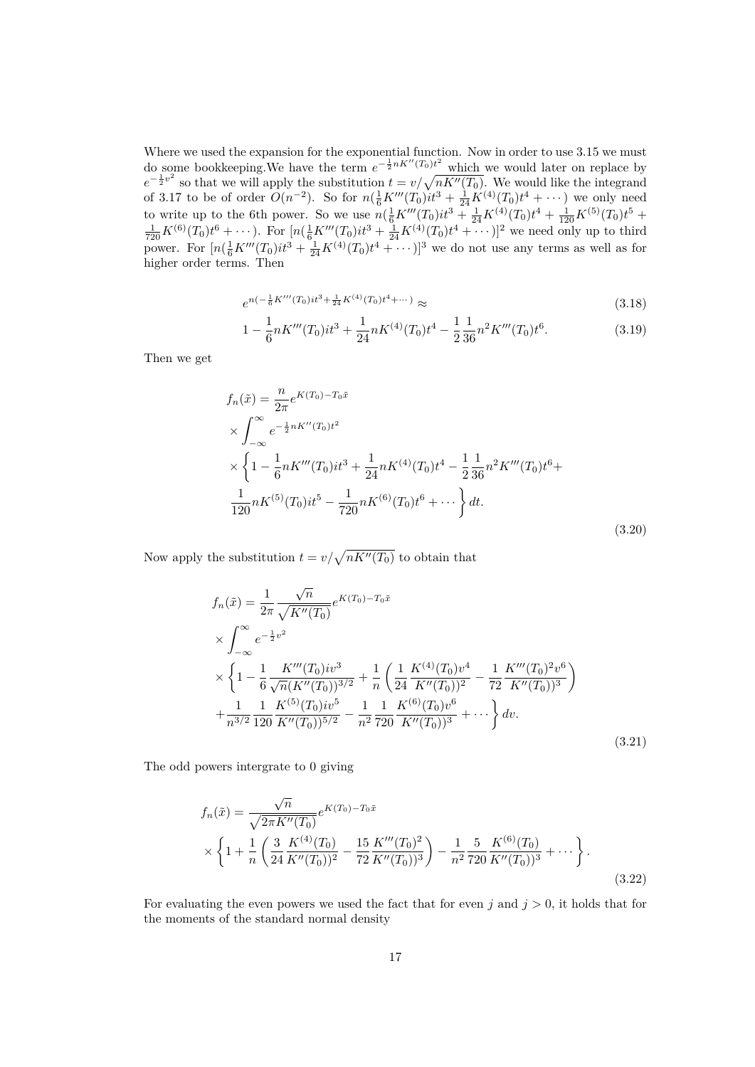Where we used the expansion for the exponential function. Now in order to use 3.15 we must do some bookkeeping. We have the term  $e^{-\frac{1}{2}nK''(T_0)t^2}$  which we would later on replace by  $e^{-\frac{1}{2}v^2}$  so that we will apply the substitution  $t = v/\sqrt{nK''(T_0)}$ . We would like the integrand of 3.17 to be of order  $O(n^{-2})$ . So for  $n(\frac{1}{6}K'''(T_0)it^3 + \frac{1}{24}K^{(4)}(T_0)t^4 + \cdots)$  we only need to write up to the 6th power. So we use  $n(\frac{1}{6}K'''(T_0)it^3 + \frac{1}{24}K^{(4)}(T_0)t^4 + \frac{1}{120}K^{(5)}(T_0)t^5 +$  $\frac{1}{720}K^{(6)}(T_0)t^6 + \cdots$ ). For  $[n(\frac{1}{6}K'''(T_0)it^3 + \frac{1}{24}K^{(4)}(T_0)t^4 + \cdots)]^2$  we need only up to third power. For  $[n(\frac{1}{6}K'''(T_0)it^3 + \frac{1}{24}K^{(4)}(T_0)t^4 + \cdots)]^3$  we do not use any terms as well as for higher order terms. Then

$$
e^{n(-\frac{1}{6}K'''(T_0)it^3 + \frac{1}{24}K^{(4)}(T_0)t^4 + \cdots)} \approx (3.18)
$$

$$
1 - \frac{1}{6}nK'''(T_0)it^3 + \frac{1}{24}nK^{(4)}(T_0)t^4 - \frac{1}{2}\frac{1}{36}n^2K'''(T_0)t^6.
$$
 (3.19)

Then we get

$$
f_n(\tilde{x}) = \frac{n}{2\pi} e^{K(T_0) - T_0 \tilde{x}}
$$
  
\n
$$
\times \int_{-\infty}^{\infty} e^{-\frac{1}{2}nK''(T_0)t^2}
$$
  
\n
$$
\times \left\{ 1 - \frac{1}{6} nK'''(T_0)it^3 + \frac{1}{24} nK^{(4)}(T_0)t^4 - \frac{1}{2} \frac{1}{36} n^2K'''(T_0)t^6 + \frac{1}{120} nK^{(5)}(T_0)it^5 - \frac{1}{720} nK^{(6)}(T_0)t^6 + \cdots \right\} dt.
$$
\n(3.20)

Now apply the substitution  $t = v / \sqrt{n K''(T_0)}$  to obtain that

$$
f_n(\tilde{x}) = \frac{1}{2\pi} \frac{\sqrt{n}}{\sqrt{K''(T_0)}} e^{K(T_0) - T_0 \tilde{x}}
$$
  
\n
$$
\times \int_{-\infty}^{\infty} e^{-\frac{1}{2}v^2}
$$
  
\n
$$
\times \left\{ 1 - \frac{1}{6} \frac{K'''(T_0)iv^3}{\sqrt{n}(K''(T_0))^{3/2}} + \frac{1}{n} \left( \frac{1}{24} \frac{K^{(4)}(T_0)v^4}{K''(T_0))^{2}} - \frac{1}{72} \frac{K'''(T_0)^{2}v^6}{K''(T_0))^{3}} \right) + \frac{1}{n^{3/2}} \frac{1}{120} \frac{K^{(5)}(T_0)iv^5}{K''(T_0))^{5/2}} - \frac{1}{n^2} \frac{1}{720} \frac{K^{(6)}(T_0)v^6}{K''(T_0))^{3}} + \cdots \right\} dv.
$$
\n(3.21)

The odd powers intergrate to 0 giving

$$
f_n(\tilde{x}) = \frac{\sqrt{n}}{\sqrt{2\pi K''(T_0)}} e^{K(T_0) - T_0 \tilde{x}}
$$
  
 
$$
\times \left\{ 1 + \frac{1}{n} \left( \frac{3}{24} \frac{K^{(4)}(T_0)}{K''(T_0))^2} - \frac{15}{72} \frac{K'''(T_0)^2}{K''(T_0))^3} \right) - \frac{1}{n^2} \frac{5}{720} \frac{K^{(6)}(T_0)}{K''(T_0))^3} + \cdots \right\}.
$$
(3.22)

For evaluating the even powers we used the fact that for even  $j$  and  $j > 0$ , it holds that for the moments of the standard normal density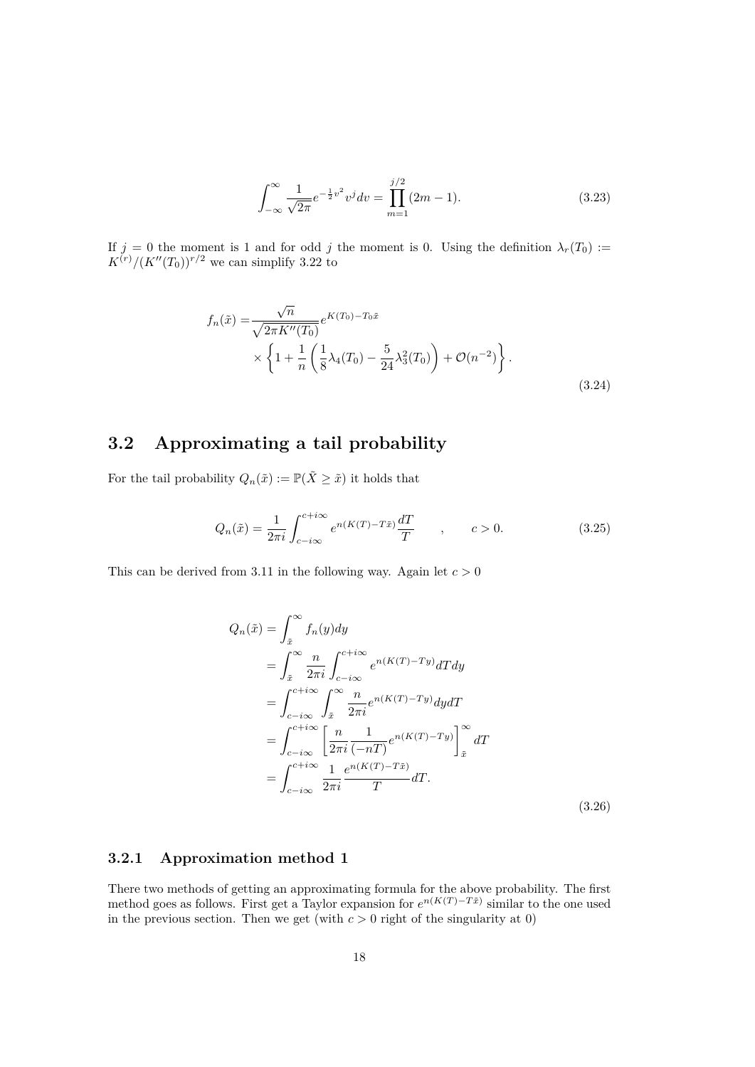$$
\int_{-\infty}^{\infty} \frac{1}{\sqrt{2\pi}} e^{-\frac{1}{2}v^2} v^j dv = \prod_{m=1}^{j/2} (2m - 1).
$$
 (3.23)

If  $j = 0$  the moment is 1 and for odd *j* the moment is 0. Using the definition  $\lambda_r(T_0) :=$  $K^{(r)}/(K''(T_0))^{r/2}$  we can simplify 3.22 to

$$
f_n(\tilde{x}) = \frac{\sqrt{n}}{\sqrt{2\pi K''(T_0)}} e^{K(T_0) - T_0 \tilde{x}} \times \left\{ 1 + \frac{1}{n} \left( \frac{1}{8} \lambda_4(T_0) - \frac{5}{24} \lambda_3^2(T_0) \right) + \mathcal{O}(n^{-2}) \right\}.
$$
\n(3.24)

## **3.2 Approximating a tail probability**

For the tail probability  $Q_n(\tilde{x}) := \mathbb{P}(\tilde{X} \geq \tilde{x})$  it holds that

$$
Q_n(\tilde{x}) = \frac{1}{2\pi i} \int_{c-i\infty}^{c+i\infty} e^{n(K(T)-T\tilde{x})} \frac{dT}{T} \qquad , \qquad c > 0.
$$
 (3.25)

This can be derived from 3.11 in the following way. Again let  $c > 0$ 

$$
Q_n(\tilde{x}) = \int_{\tilde{x}}^{\infty} f_n(y) dy
$$
  
\n
$$
= \int_{\tilde{x}}^{\infty} \frac{n}{2\pi i} \int_{c-i\infty}^{c+i\infty} e^{n(K(T)-Ty)} dT dy
$$
  
\n
$$
= \int_{c-i\infty}^{c+i\infty} \int_{\tilde{x}}^{\infty} \frac{n}{2\pi i} e^{n(K(T)-Ty)} dy dT
$$
  
\n
$$
= \int_{c-i\infty}^{c+i\infty} \left[ \frac{n}{2\pi i} \frac{1}{(-nT)} e^{n(K(T)-Ty)} \right]_{\tilde{x}}^{\infty} dT
$$
  
\n
$$
= \int_{c-i\infty}^{c+i\infty} \frac{1}{2\pi i} \frac{e^{n(K(T)-T\tilde{x})}}{T} dT.
$$
\n(3.26)

#### **3.2.1 Approximation method 1**

There two methods of getting an approximating formula for the above probability. The first method goes as follows. First get a Taylor expansion for  $e^{n(K(T)-T\tilde{x})}$  similar to the one used in the previous section. Then we get (with  $c > 0$  right of the singularity at  $0$ )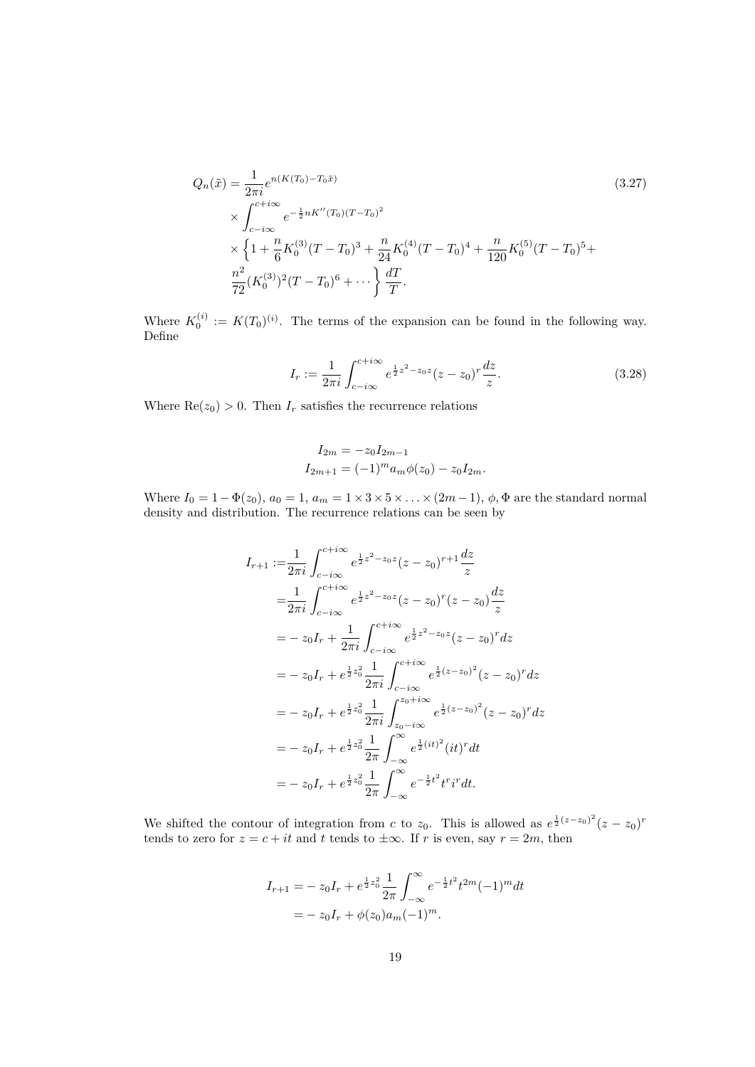$$
Q_n(\tilde{x}) = \frac{1}{2\pi i} e^{n(K(T_0) - T_0\tilde{x})}
$$
\n
$$
\times \int_{c-i\infty}^{c+i\infty} e^{-\frac{1}{2}nK''(T_0)(T - T_0)^2}
$$
\n
$$
\times \left\{ 1 + \frac{n}{6} K_0^{(3)}(T - T_0)^3 + \frac{n}{24} K_0^{(4)}(T - T_0)^4 + \frac{n}{120} K_0^{(5)}(T - T_0)^5 + \frac{n^2}{72} (K_0^{(3)})^2 (T - T_0)^6 + \dots \right\} \frac{dT}{T}.
$$
\n(3.27)

Where  $K_0^{(i)} := K(T_0)^{(i)}$ . The terms of the expansion can be found in the following way. Define

$$
I_r := \frac{1}{2\pi i} \int_{c-i\infty}^{c+i\infty} e^{\frac{1}{2}z^2 - z_0 z} (z - z_0)^r \frac{dz}{z}.
$$
 (3.28)

Where  $\text{Re}(z_0) > 0$ . Then  $I_r$  satisfies the recurrence relations

$$
I_{2m} = -z_0 I_{2m-1}
$$
  
\n
$$
I_{2m+1} = (-1)^m a_m \phi(z_0) - z_0 I_{2m}.
$$

Where  $I_0 = 1 - \Phi(z_0)$ ,  $a_0 = 1$ ,  $a_m = 1 \times 3 \times 5 \times \ldots \times (2m-1)$ ,  $\phi$ ,  $\Phi$  are the standard normal density and distribution. The recurrence relations can be seen by

$$
I_{r+1} := \frac{1}{2\pi i} \int_{c-i\infty}^{c+i\infty} e^{\frac{1}{2}z^2 - z_0 z} (z - z_0)^{r+1} \frac{dz}{z}
$$
  
\n
$$
= \frac{1}{2\pi i} \int_{c-i\infty}^{c+i\infty} e^{\frac{1}{2}z^2 - z_0 z} (z - z_0)^r (z - z_0) \frac{dz}{z}
$$
  
\n
$$
= -z_0 I_r + \frac{1}{2\pi i} \int_{c-i\infty}^{c+i\infty} e^{\frac{1}{2}z^2 - z_0 z} (z - z_0)^r dz
$$
  
\n
$$
= -z_0 I_r + e^{\frac{1}{2}z_0^2} \frac{1}{2\pi i} \int_{c-i\infty}^{c+i\infty} e^{\frac{1}{2}(z - z_0)^2} (z - z_0)^r dz
$$
  
\n
$$
= -z_0 I_r + e^{\frac{1}{2}z_0^2} \frac{1}{2\pi i} \int_{z_0 - i\infty}^{z_0 + i\infty} e^{\frac{1}{2}(z - z_0)^2} (z - z_0)^r dz
$$
  
\n
$$
= -z_0 I_r + e^{\frac{1}{2}z_0^2} \frac{1}{2\pi} \int_{-\infty}^{\infty} e^{\frac{1}{2}(it)^2} (it)^r dt
$$
  
\n
$$
= -z_0 I_r + e^{\frac{1}{2}z_0^2} \frac{1}{2\pi} \int_{-\infty}^{\infty} e^{-\frac{1}{2}t^2} t^r i^r dt.
$$

We shifted the contour of integration from *c* to  $z_0$ . This is allowed as  $e^{\frac{1}{2}(z-z_0)^2}(z-z_0)^r$ tends to zero for  $z = c + it$  and  $t$  tends to  $\pm \infty$ . If  $r$  is even, say  $r = 2m$ , then

$$
I_{r+1} = -z_0 I_r + e^{\frac{1}{2}z_0^2} \frac{1}{2\pi} \int_{-\infty}^{\infty} e^{-\frac{1}{2}t^2} t^{2m} (-1)^m dt
$$
  
=  $-z_0 I_r + \phi(z_0) a_m (-1)^m$ .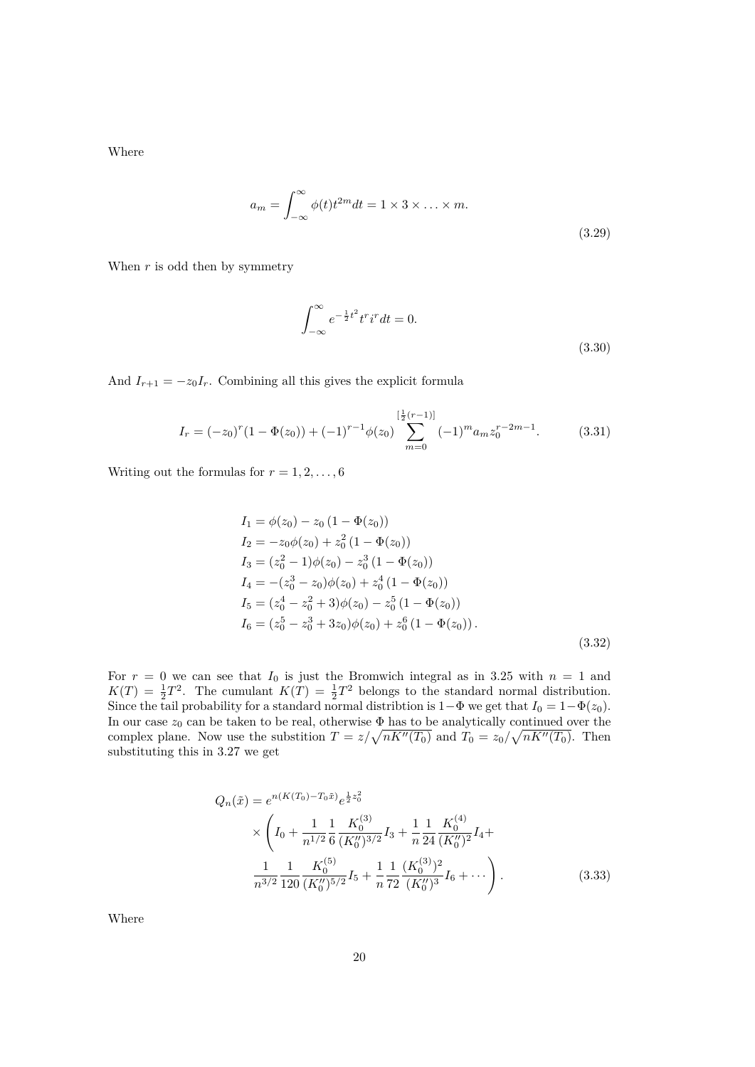Where

$$
a_m = \int_{-\infty}^{\infty} \phi(t)t^{2m} dt = 1 \times 3 \times \dots \times m.
$$
\n(3.29)

When *r* is odd then by symmetry

$$
\int_{-\infty}^{\infty} e^{-\frac{1}{2}t^2} t^r i^r dt = 0.
$$
\n(3.30)

And  $I_{r+1} = -z_0 I_r$ . Combining all this gives the explicit formula

$$
I_r = (-z_0)^r (1 - \Phi(z_0)) + (-1)^{r-1} \phi(z_0) \sum_{m=0}^{\left[\frac{1}{2}(r-1)\right]} (-1)^m a_m z_0^{r-2m-1}.
$$
 (3.31)

Writing out the formulas for  $r = 1, 2, \ldots, 6$ 

$$
I_1 = \phi(z_0) - z_0 (1 - \Phi(z_0))
$$
  
\n
$$
I_2 = -z_0 \phi(z_0) + z_0^2 (1 - \Phi(z_0))
$$
  
\n
$$
I_3 = (z_0^2 - 1)\phi(z_0) - z_0^3 (1 - \Phi(z_0))
$$
  
\n
$$
I_4 = -(z_0^3 - z_0)\phi(z_0) + z_0^4 (1 - \Phi(z_0))
$$
  
\n
$$
I_5 = (z_0^4 - z_0^2 + 3)\phi(z_0) - z_0^5 (1 - \Phi(z_0))
$$
  
\n
$$
I_6 = (z_0^5 - z_0^3 + 3z_0)\phi(z_0) + z_0^6 (1 - \Phi(z_0)).
$$
\n(3.32)

For  $r = 0$  we can see that  $I_0$  is just the Bromwich integral as in 3.25 with  $n = 1$  and  $K(T) = \frac{1}{2}T^2$ . The cumulant  $K(T) = \frac{1}{2}T^2$  belongs to the standard normal distribution. Since the tail probability for a standard normal distribtion is  $1-\Phi$  we get that  $I_0 = 1-\Phi(z_0)$ . In our case  $z_0$  can be taken to be real, otherwise  $\Phi$  has to be analytically continued over the complex plane. Now use the substition  $T = z/\sqrt{nK'}$   $(T_0)$  and  $T_0 = z_0/\sqrt{nK''(T_0)}$ . Then substituting this in 3.27 we get

$$
Q_n(\tilde{x}) = e^{n(K(T_0) - T_0 \tilde{x})} e^{\frac{1}{2} z_0^2}
$$
  
 
$$
\times \left( I_0 + \frac{1}{n^{1/2}} \frac{1}{6} \frac{K_0^{(3)}}{(K_0'')^{3/2}} I_3 + \frac{1}{n} \frac{1}{24} \frac{K_0^{(4)}}{(K_0'')^2} I_4 + \frac{1}{n^{3/2}} \frac{1}{120} \frac{K_0^{(5)}}{(K_0'')^{5/2}} I_5 + \frac{1}{n} \frac{1}{72} \frac{(K_0^{(3)})^2}{(K_0'')^3} I_6 + \cdots \right).
$$
 (3.33)

Where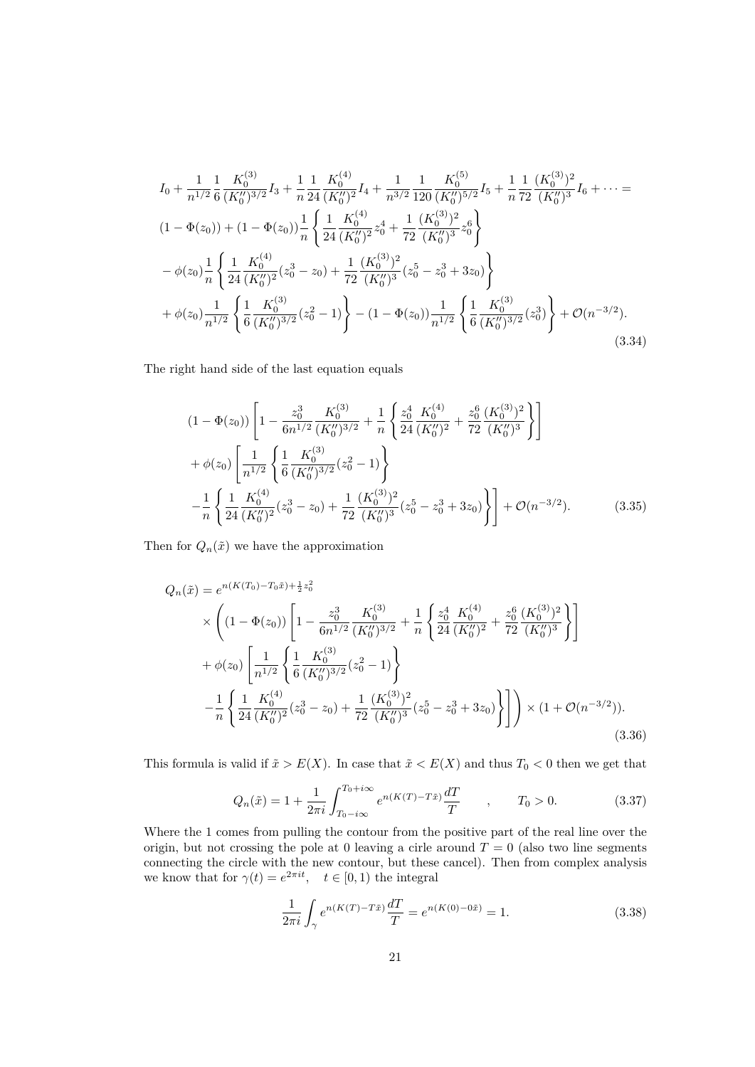$$
I_{0} + \frac{1}{n^{1/2}} \frac{1}{6} \frac{K_{0}^{(3)}}{(K_{0}^{"})^{3/2}} I_{3} + \frac{1}{n} \frac{1}{24} \frac{K_{0}^{(4)}}{(K_{0}^{"})^{2}} I_{4} + \frac{1}{n^{3/2}} \frac{1}{120} \frac{K_{0}^{(5)}}{(K_{0}^{"})^{5/2}} I_{5} + \frac{1}{n} \frac{1}{72} \frac{(K_{0}^{(3)})^{2}}{(K_{0}^{"})^{3}} I_{6} + \cdots =
$$
\n
$$
(1 - \Phi(z_{0})) + (1 - \Phi(z_{0})) \frac{1}{n} \left\{ \frac{1}{24} \frac{K_{0}^{(4)}}{(K_{0}^{"})^{2}} z_{0}^{4} + \frac{1}{72} \frac{(K_{0}^{(3)})^{2}}{(K_{0}^{"})^{3}} z_{0}^{6} \right\}
$$
\n
$$
- \phi(z_{0}) \frac{1}{n} \left\{ \frac{1}{24} \frac{K_{0}^{(4)}}{(K_{0}^{"})^{2}} (z_{0}^{3} - z_{0}) + \frac{1}{72} \frac{(K_{0}^{(3)})^{2}}{(K_{0}^{"})^{3}} (z_{0}^{5} - z_{0}^{3} + 3z_{0}) \right\}
$$
\n
$$
+ \phi(z_{0}) \frac{1}{n^{1/2}} \left\{ \frac{1}{6} \frac{K_{0}^{(3)}}{(K_{0}^{"})^{3/2}} (z_{0}^{2} - 1) \right\} - (1 - \Phi(z_{0})) \frac{1}{n^{1/2}} \left\{ \frac{1}{6} \frac{K_{0}^{(3)}}{(K_{0}^{"})^{3/2}} (z_{0}^{3}) \right\} + \mathcal{O}(n^{-3/2}). \tag{3.34}
$$

The right hand side of the last equation equals

$$
(1 - \Phi(z_0)) \left[ 1 - \frac{z_0^3}{6n^{1/2}} \frac{K_0^{(3)}}{(K_0'')^{3/2}} + \frac{1}{n} \left\{ \frac{z_0^4}{24} \frac{K_0^{(4)}}{(K_0'')^2} + \frac{z_0^6}{72} \frac{(K_0^{(3)})^2}{(K_0'')^3} \right\} \right]
$$
  
+  $\phi(z_0) \left[ \frac{1}{n^{1/2}} \left\{ \frac{1}{6} \frac{K_0^{(3)}}{(K_0'')^{3/2}} (z_0^2 - 1) \right\}$   
-  $\frac{1}{n} \left\{ \frac{1}{24} \frac{K_0^{(4)}}{(K_0'')^2} (z_0^3 - z_0) + \frac{1}{72} \frac{(K_0^{(3)})^2}{(K_0'')^3} (z_0^5 - z_0^3 + 3z_0) \right\} \right\} + \mathcal{O}(n^{-3/2}).$  (3.35)

Then for  $Q_n(\tilde{x})$  we have the approximation

$$
Q_n(\tilde{x}) = e^{n(K(T_0) - T_0\tilde{x}) + \frac{1}{2}z_0^2}
$$
  
\n
$$
\times \left( (1 - \Phi(z_0)) \left[ 1 - \frac{z_0^3}{6n^{1/2}} \frac{K_0^{(3)}}{(K_0'')^{3/2}} + \frac{1}{n} \left\{ \frac{z_0^4}{24} \frac{K_0^{(4)}}{(K_0'')^2} + \frac{z_0^6}{72} \frac{(K_0^{(3)})^2}{(K_0'')^3} \right\} \right]
$$
  
\n
$$
+ \phi(z_0) \left[ \frac{1}{n^{1/2}} \left\{ \frac{1}{6} \frac{K_0^{(3)}}{(K_0'')^{3/2}} (z_0^2 - 1) \right\}
$$
  
\n
$$
- \frac{1}{n} \left\{ \frac{1}{24} \frac{K_0^{(4)}}{(K_0'')^2} (z_0^3 - z_0) + \frac{1}{72} \frac{(K_0^{(3)})^2}{(K_0'')^3} (z_0^5 - z_0^3 + 3z_0) \right\} \right] \right\} \times (1 + \mathcal{O}(n^{-3/2})).
$$
\n(3.36)

This formula is valid if  $\tilde{x} > E(X)$ . In case that  $\tilde{x} < E(X)$  and thus  $T_0 < 0$  then we get that

$$
Q_n(\tilde{x}) = 1 + \frac{1}{2\pi i} \int_{T_0 - i\infty}^{T_0 + i\infty} e^{n(K(T) - T\tilde{x})} \frac{dT}{T} , \qquad T_0 > 0.
$$
 (3.37)

Where the 1 comes from pulling the contour from the positive part of the real line over the origin, but not crossing the pole at 0 leaving a cirle around  $T = 0$  (also two line segments connecting the circle with the new contour, but these cancel). Then from complex analysis we know that for  $\gamma(t) = e^{2\pi i t}$ ,  $t \in [0, 1)$  the integral

$$
\frac{1}{2\pi i} \int_{\gamma} e^{n(K(T) - T\tilde{x})} \frac{dT}{T} = e^{n(K(0) - 0\tilde{x})} = 1.
$$
 (3.38)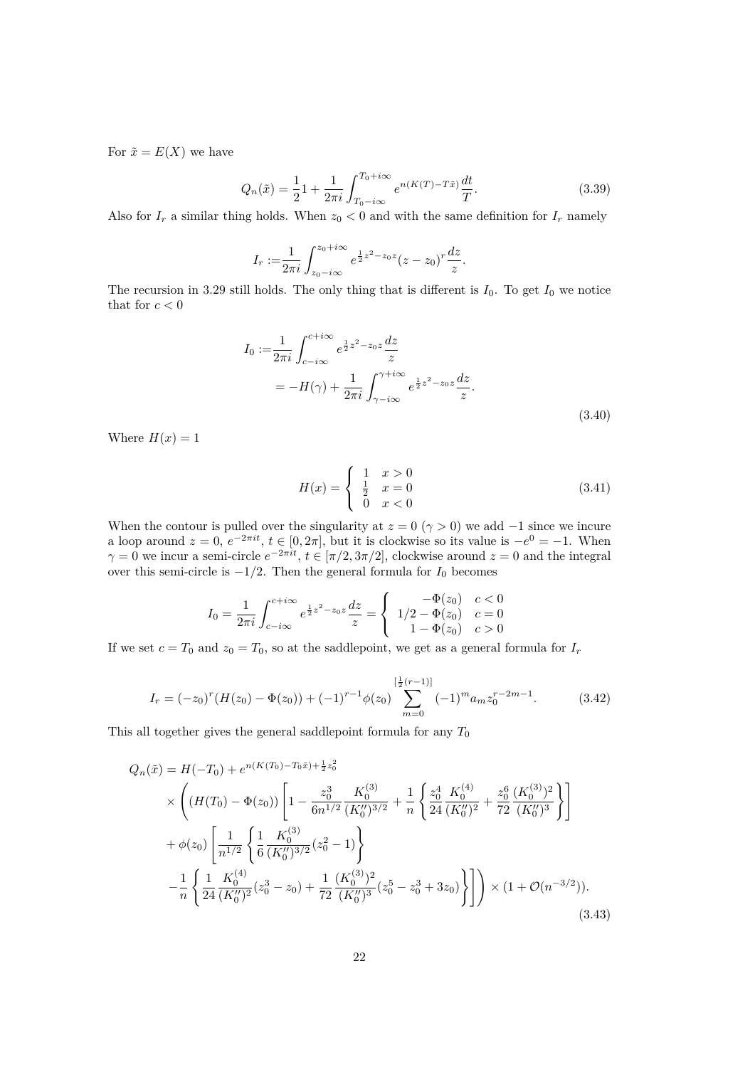For  $\tilde{x} = E(X)$  we have

$$
Q_n(\tilde{x}) = \frac{1}{2}1 + \frac{1}{2\pi i} \int_{T_0 - i\infty}^{T_0 + i\infty} e^{n(K(T) - T\tilde{x})} \frac{dt}{T}.
$$
\n(3.39)

Also for  $I_r$  a similar thing holds. When  $z_0 < 0$  and with the same definition for  $I_r$  namely

$$
I_r := \frac{1}{2\pi i} \int_{z_0 - i\infty}^{z_0 + i\infty} e^{\frac{1}{2}z^2 - z_0 z} (z - z_0)^r \frac{dz}{z}.
$$

The recursion in 3.29 still holds. The only thing that is different is  $I_0$ . To get  $I_0$  we notice that for  $c < 0$ 

$$
I_0 := \frac{1}{2\pi i} \int_{c-i\infty}^{c+i\infty} e^{\frac{1}{2}z^2 - z_0 z} \frac{dz}{z}
$$
  
=  $-H(\gamma) + \frac{1}{2\pi i} \int_{\gamma - i\infty}^{\gamma + i\infty} e^{\frac{1}{2}z^2 - z_0 z} \frac{dz}{z}.$  (3.40)

Where  $H(x) = 1$ 

$$
H(x) = \begin{cases} 1 & x > 0 \\ \frac{1}{2} & x = 0 \\ 0 & x < 0 \end{cases}
$$
 (3.41)

When the contour is pulled over the singularity at  $z = 0 \ (\gamma > 0)$  we add  $-1$  since we incure a loop around  $z = 0$ ,  $e^{-2\pi i t}$ ,  $t \in [0, 2\pi]$ , but it is clockwise so its value is  $-e^{0} = -1$ . When  $\gamma = 0$  we incur a semi-circle  $e^{-2\pi i t}$ ,  $t \in [\pi/2, 3\pi/2]$ , clockwise around  $z = 0$  and the integral over this semi-circle is *−*1*/*2. Then the general formula for *I*<sup>0</sup> becomes

$$
I_0 = \frac{1}{2\pi i} \int_{c-i\infty}^{c+i\infty} e^{\frac{1}{2}z^2 - z_0 z} \frac{dz}{z} = \begin{cases} -\Phi(z_0) & c < 0\\ 1/2 - \Phi(z_0) & c = 0\\ 1 - \Phi(z_0) & c > 0 \end{cases}
$$

If we set  $c = T_0$  and  $z_0 = T_0$ , so at the saddlepoint, we get as a general formula for  $I_r$ 

$$
I_r = (-z_0)^r (H(z_0) - \Phi(z_0)) + (-1)^{r-1} \phi(z_0) \sum_{m=0}^{\left[\frac{1}{2}(r-1)\right]} (-1)^m a_m z_0^{r-2m-1}.
$$
 (3.42)

This all together gives the general saddlepoint formula for any  $T_0$ 

$$
Q_n(\tilde{x}) = H(-T_0) + e^{n(K(T_0) - T_0\tilde{x}) + \frac{1}{2}z_0^2}
$$
  
\n
$$
\times \left( (H(T_0) - \Phi(z_0)) \left[ 1 - \frac{z_0^3}{6n^{1/2}} \frac{K_0^{(3)}}{(K_0'')^{3/2}} + \frac{1}{n} \left\{ \frac{z_0^4}{24} \frac{K_0^{(4)}}{(K_0''')^2} + \frac{z_0^6}{72} \frac{(K_0^{(3)})^2}{(K_0'')^3} \right\} \right]
$$
  
\n
$$
+ \phi(z_0) \left[ \frac{1}{n^{1/2}} \left\{ \frac{1}{6} \frac{K_0^{(3)}}{(K_0'')^{3/2}} (z_0^2 - 1) \right\}
$$
  
\n
$$
- \frac{1}{n} \left\{ \frac{1}{24} \frac{K_0^{(4)}}{(K_0'')^2} (z_0^3 - z_0) + \frac{1}{72} \frac{(K_0^{(3)})^2}{(K_0'')^3} (z_0^5 - z_0^3 + 3z_0) \right\} \right] \right\} \times (1 + \mathcal{O}(n^{-3/2})).
$$
\n(3.43)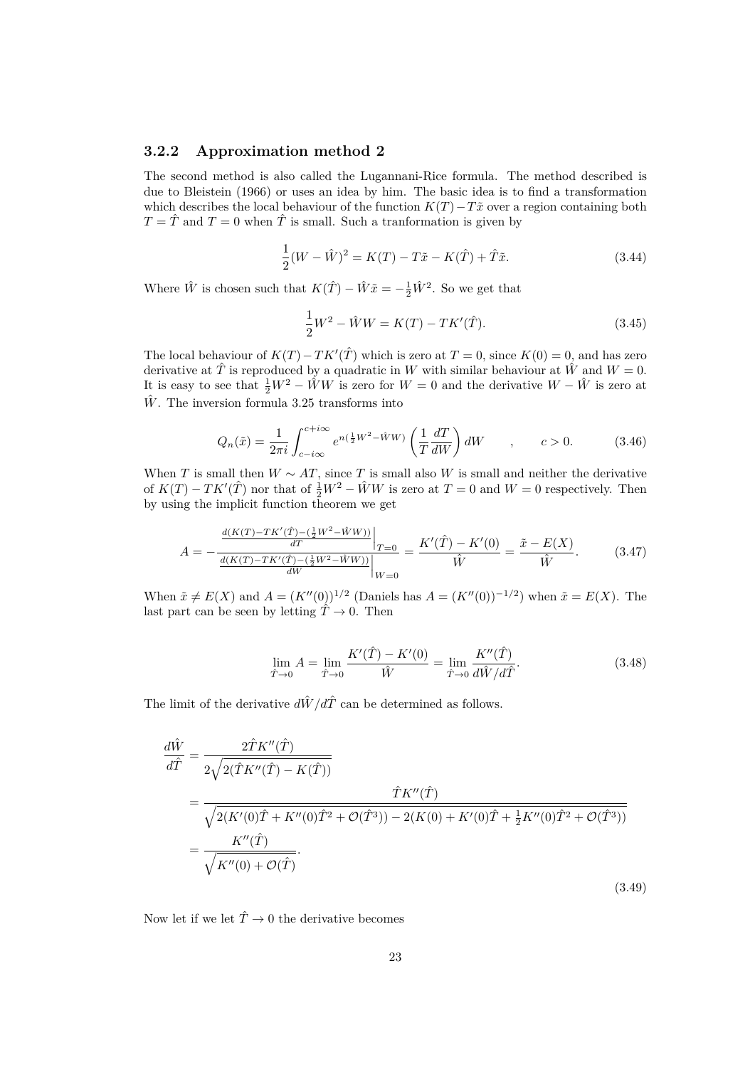#### **3.2.2 Approximation method 2**

The second method is also called the Lugannani-Rice formula. The method described is due to Bleistein (1966) or uses an idea by him. The basic idea is to find a transformation which describes the local behaviour of the function  $K(T)$ *−Tx* over a region containing both  $T = \hat{T}$  and  $T = 0$  when  $\hat{T}$  is small. Such a tranformation is given by

$$
\frac{1}{2}(W - \hat{W})^2 = K(T) - T\tilde{x} - K(\hat{T}) + \hat{T}\tilde{x}.
$$
 (3.44)

Where  $\hat{W}$  is chosen such that  $K(\hat{T}) - \hat{W}\tilde{x} = -\frac{1}{2}\hat{W}^2$ . So we get that

$$
\frac{1}{2}W^2 - \hat{W}W = K(T) - TK'(\hat{T}).
$$
\n(3.45)

The local behaviour of  $K(T) - TK'(\hat{T})$  which is zero at  $T = 0$ , since  $K(0) = 0$ , and has zero derivative at  $\hat{T}$  is reproduced by a quadratic in *W* with similar behaviour at  $\hat{W}$  and  $W = 0$ . It is easy to see that  $\frac{1}{2}W^2 - \hat{W}W$  is zero for  $W = 0$  and the derivative  $W - \hat{W}$  is zero at  $\hat{W}$ . The inversion formula 3.25 transforms into

$$
Q_n(\tilde{x}) = \frac{1}{2\pi i} \int_{c-i\infty}^{c+i\infty} e^{n(\frac{1}{2}W^2 - \hat{W}W)} \left(\frac{1}{T} \frac{dT}{dW}\right) dW \qquad , \qquad c > 0. \tag{3.46}
$$

When *T* is small then  $W \sim AT$ , since *T* is small also *W* is small and neither the derivative of  $K(T) - TK'(\hat{T})$  nor that of  $\frac{1}{2}W^2 - \hat{W}W$  is zero at  $T = 0$  and  $W = 0$  respectively. Then by using the implicit function theorem we get

$$
A = -\frac{\frac{d(K(T) - TK'(T) - (\frac{1}{2}W^2 - \hat{W}W))}{dT}}{\frac{d(K(T) - TK'(T) - (\frac{1}{2}W^2 - \hat{W}W))}{dW}}\Big|_{W=0} = \frac{K'(\hat{T}) - K'(0)}{\hat{W}} = \frac{\tilde{x} - E(X)}{\hat{W}}.
$$
(3.47)

When  $\tilde{x} \neq E(X)$  and  $A = (K''(0))^{1/2}$  (Daniels has  $A = (K''(0))^{-1/2}$ ) when  $\tilde{x} = E(X)$ . The last part can be seen by letting  $\hat{T} \rightarrow 0$ . Then

$$
\lim_{\hat{T}\to 0} A = \lim_{\hat{T}\to 0} \frac{K'(\hat{T}) - K'(0)}{\hat{W}} = \lim_{\hat{T}\to 0} \frac{K''(\hat{T})}{d\hat{W}/d\hat{T}}.
$$
\n(3.48)

The limit of the derivative  $d\hat{W}/d\hat{T}$  can be determined as follows.

$$
\frac{d\hat{W}}{d\hat{T}} = \frac{2\hat{T}K''(\hat{T})}{2\sqrt{2(\hat{T}K''(\hat{T}) - K(\hat{T}))}}
$$
\n
$$
= \frac{\hat{T}K''(\hat{T})}{\sqrt{2(K'(0)\hat{T} + K''(0)\hat{T}^2 + \mathcal{O}(\hat{T}^3)) - 2(K(0) + K'(0)\hat{T} + \frac{1}{2}K''(0)\hat{T}^2 + \mathcal{O}(\hat{T}^3))}}
$$
\n
$$
= \frac{K''(\hat{T})}{\sqrt{K''(0) + \mathcal{O}(\hat{T})}}.
$$
\n(3.49)

Now let if we let  $\hat{T} \rightarrow 0$  the derivative becomes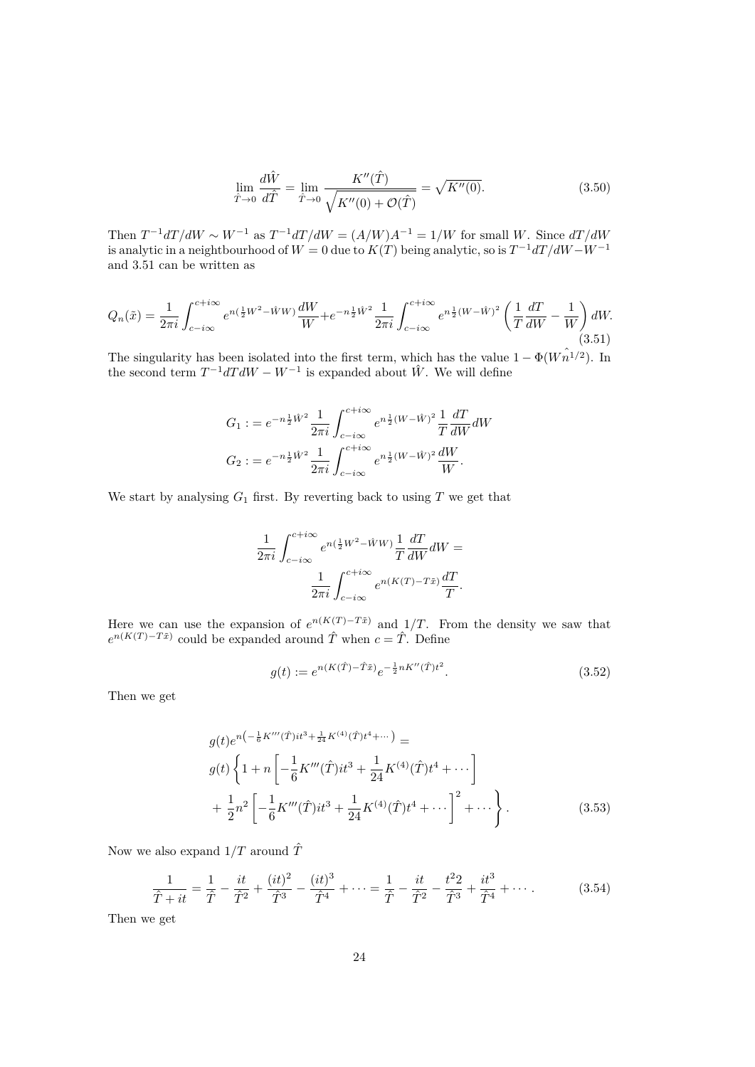$$
\lim_{\hat{T}\to 0} \frac{d\hat{W}}{d\hat{T}} = \lim_{\hat{T}\to 0} \frac{K''(\hat{T})}{\sqrt{K''(0) + \mathcal{O}(\hat{T})}} = \sqrt{K''(0)}.
$$
\n(3.50)

Then  $T^{-1}dT/dW \sim W^{-1}$  as  $T^{-1}dT/dW = (A/W)A^{-1} = 1/W$  for small *W*. Since  $dT/dW$ is analytic in a neightbourhood of  $W = 0$  due to  $K(T)$  being analytic, so is  $T^{-1}dT/dW - W^{-1}$ and 3.51 can be written as

$$
Q_n(\tilde{x}) = \frac{1}{2\pi i} \int_{c-i\infty}^{c+i\infty} e^{n(\frac{1}{2}W^2 - \hat{W}W)} \frac{dW}{W} + e^{-n\frac{1}{2}\hat{W}^2} \frac{1}{2\pi i} \int_{c-i\infty}^{c+i\infty} e^{n\frac{1}{2}(W-\hat{W})^2} \left(\frac{1}{T}\frac{dT}{dW} - \frac{1}{W}\right) dW.
$$
\n(3.51)

The singularity has been isolated into the first term, which has the value  $1 - \Phi(W \hat{n}^{1/2})$ . In the second term  $T^{-1}dT dW - W^{-1}$  is expanded about  $\hat{W}$ . We will define

$$
G_1 := e^{-n\frac{1}{2}\hat{W}^2} \frac{1}{2\pi i} \int_{c-i\infty}^{c+i\infty} e^{n\frac{1}{2}(W-\hat{W})^2} \frac{1}{T} \frac{dT}{dW} dW
$$
  
\n
$$
G_2 := e^{-n\frac{1}{2}\hat{W}^2} \frac{1}{2\pi i} \int_{c-i\infty}^{c+i\infty} e^{n\frac{1}{2}(W-\hat{W})^2} \frac{dW}{W}.
$$

We start by analysing  $G_1$  first. By reverting back to using  $T$  we get that

$$
\frac{1}{2\pi i} \int_{c-i\infty}^{c+i\infty} e^{n(\frac{1}{2}W^2 - \hat{W}W)} \frac{1}{T} \frac{dT}{dW} dW =
$$

$$
\frac{1}{2\pi i} \int_{c-i\infty}^{c+i\infty} e^{n(K(T) - T\tilde{x})} \frac{dT}{T}.
$$

Here we can use the expansion of  $e^{n(K(T)-T\tilde{x})}$  and 1/*T*. From the density we saw that  $e^{n(K(T)-T\tilde{x})}$  could be expanded around  $\hat{T}$  when  $c = \hat{T}$ . Define

$$
g(t) := e^{n(K(\hat{T}) - \hat{T}\tilde{x})} e^{-\frac{1}{2}nK''(\hat{T})t^2}.
$$
\n(3.52)

Then we get

$$
g(t)e^{n\left(-\frac{1}{6}K'''(\hat{T})it^3 + \frac{1}{24}K^{(4)}(\hat{T})t^4 + \cdots\right)} =
$$
  
\n
$$
g(t)\left\{1 + n\left[-\frac{1}{6}K'''(\hat{T})it^3 + \frac{1}{24}K^{(4)}(\hat{T})t^4 + \cdots\right]\right\}
$$
  
\n
$$
+\frac{1}{2}n^2\left[-\frac{1}{6}K'''(\hat{T})it^3 + \frac{1}{24}K^{(4)}(\hat{T})t^4 + \cdots\right]^2 + \cdots\right\}.
$$
\n(3.53)

Now we also expand  $1/T$  around  $\hat{T}$ 

$$
\frac{1}{\hat{T} + it} = \frac{1}{\hat{T}} - \frac{it}{\hat{T}^2} + \frac{(it)^2}{\hat{T}^3} - \frac{(it)^3}{\hat{T}^4} + \dots = \frac{1}{\hat{T}} - \frac{it}{\hat{T}^2} - \frac{t^2}{\hat{T}^3} + \frac{it^3}{\hat{T}^4} + \dots
$$
(3.54)

Then we get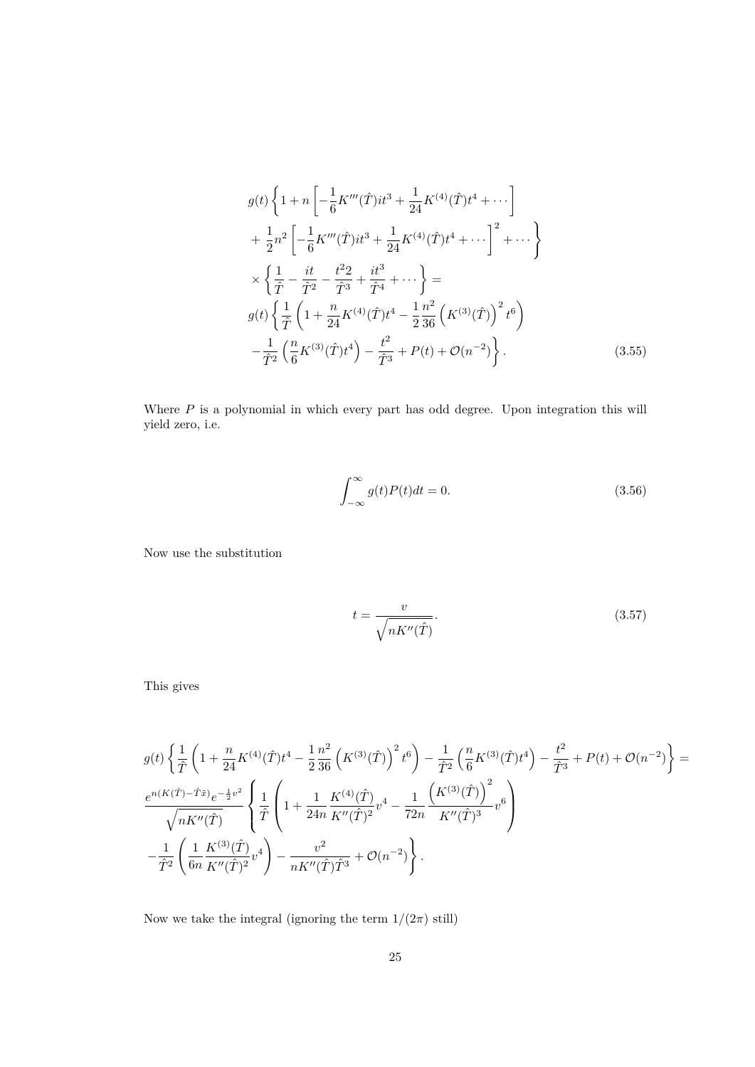$$
g(t)\left\{1+n\left[-\frac{1}{6}K'''(\hat{T})it^3+\frac{1}{24}K^{(4)}(\hat{T})t^4+\cdots\right]\right.+\frac{1}{2}n^2\left[-\frac{1}{6}K'''(\hat{T})it^3+\frac{1}{24}K^{(4)}(\hat{T})t^4+\cdots\right]^2+\cdots\right\}\times\left\{\frac{1}{\hat{T}}-\frac{it}{\hat{T}^2}-\frac{t^2}{\hat{T}^3}+\frac{it^3}{\hat{T}^4}+\cdots\right\}=g(t)\left\{\frac{1}{\hat{T}}\left(1+\frac{n}{24}K^{(4)}(\hat{T})t^4-\frac{1}{2}\frac{n^2}{36}\left(K^{(3)}(\hat{T})\right)^2t^6\right)\right.-\frac{1}{\hat{T}^2}\left(\frac{n}{6}K^{(3)}(\hat{T})t^4\right)-\frac{t^2}{\hat{T}^3}+P(t)+\mathcal{O}(n^{-2})\right\}.
$$
(3.55)

Where  $P$  is a polynomial in which every part has odd degree. Upon integration this will yield zero, i.e.

$$
\int_{-\infty}^{\infty} g(t)P(t)dt = 0.
$$
\n(3.56)

Now use the substitution

$$
t = \frac{v}{\sqrt{nK''(\hat{T})}}.\tag{3.57}
$$

This gives

$$
\begin{split} &g(t)\left\{\frac{1}{\hat{T}}\left(1+\frac{n}{24}K^{(4)}(\hat{T})t^4-\frac{1}{2}\frac{n^2}{36}\left(K^{(3)}(\hat{T})\right)^2t^6\right)-\frac{1}{\hat{T}^2}\left(\frac{n}{6}K^{(3)}(\hat{T})t^4\right)-\frac{t^2}{\hat{T}^3}+P(t)+\mathcal{O}(n^{-2})\right\}=\\ &\frac{e^{n(K(\hat{T})-\hat{T}\hat{x})}e^{-\frac{1}{2}v^2}}{\sqrt{nK''(\hat{T})}}\left\{\frac{1}{\hat{T}}\left(1+\frac{1}{24n}\frac{K^{(4)}(\hat{T})}{K''(\hat{T})^2}v^4-\frac{1}{72n}\frac{\left(K^{(3)}(\hat{T})\right)^2}{K''(\hat{T})^3}v^6\right)\right.\\ &\left. -\frac{1}{\hat{T}^2}\left(\frac{1}{6n}\frac{K^{(3)}(\hat{T})}{K''(\hat{T})^2}v^4\right)-\frac{v^2}{nK''(\hat{T})\hat{T}^3}+\mathcal{O}(n^{-2})\right\}. \end{split}
$$

Now we take the integral (ignoring the term  $1/(2\pi)$  still)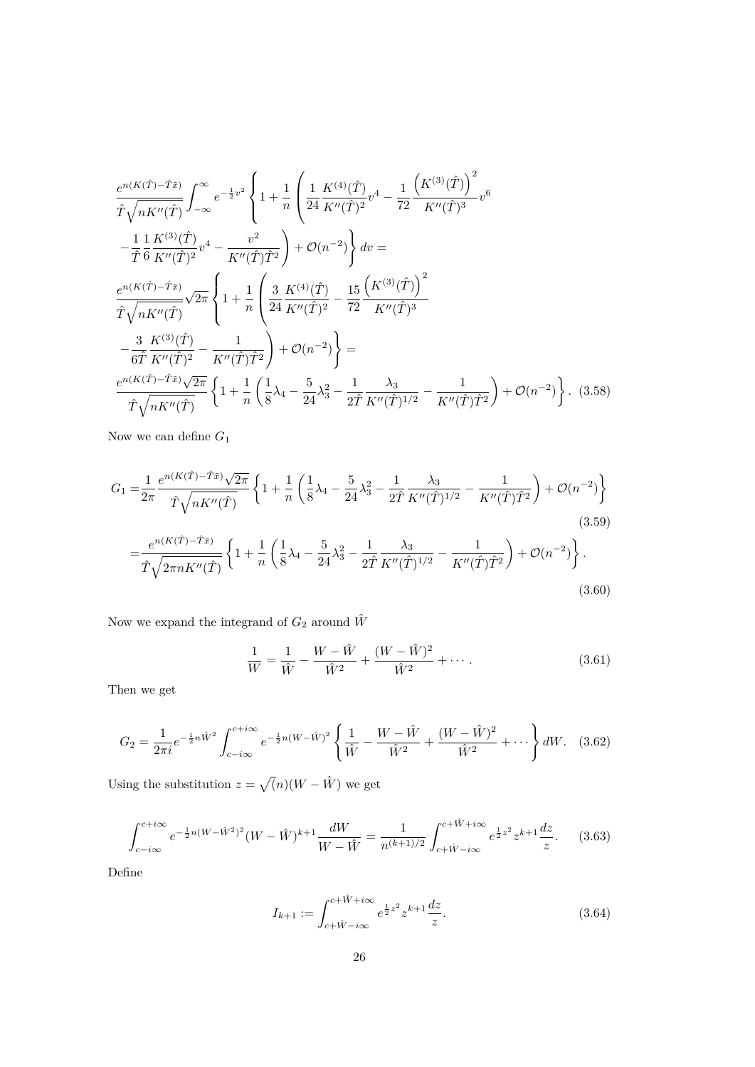$$
\frac{e^{n(K(\hat{T})-\hat{T}\tilde{x})}}{\hat{T}\sqrt{nK''(\hat{T})}} \int_{-\infty}^{\infty} e^{-\frac{1}{2}v^{2}} \left\{ 1 + \frac{1}{n} \left( \frac{1}{24} \frac{K^{(4)}(\hat{T})}{K''(\hat{T})^{2}} v^{4} - \frac{1}{72} \frac{\left( K^{(3)}(\hat{T}) \right)^{2}}{K''(\hat{T})^{3}} v^{6} \right) \right\} \n- \frac{1}{\hat{T}} \frac{1}{6} \frac{K^{(3)}(\hat{T})}{K''(\hat{T})^{2}} v^{4} - \frac{v^{2}}{K''(\hat{T})\hat{T}^{2}} \right) + \mathcal{O}(n^{-2}) \left\} dv = \n\frac{e^{n(K(\hat{T})-\hat{T}\tilde{x})}}{\hat{T}\sqrt{nK''(\hat{T})}} \sqrt{2\pi} \left\{ 1 + \frac{1}{n} \left( \frac{3}{24} \frac{K^{(4)}(\hat{T})}{K''(\hat{T})^{2}} - \frac{15}{72} \frac{\left( K^{(3)}(\hat{T}) \right)^{2}}{K''(\hat{T})^{3}} \right. \right. \n- \frac{3}{6\hat{T}} \frac{K^{(3)}(\hat{T})}{K''(\hat{T})^{2}} - \frac{1}{K''(\hat{T})\hat{T}^{2}} \right) + \mathcal{O}(n^{-2}) \left\} = \n\frac{e^{n(K(\hat{T})-\hat{T}\tilde{x})} \sqrt{2\pi}}{\hat{T}\sqrt{nK''(\hat{T})}} \left\{ 1 + \frac{1}{n} \left( \frac{1}{8} \lambda_{4} - \frac{5}{24} \lambda_{3}^{2} - \frac{1}{2\hat{T}} \frac{\lambda_{3}}{K''(\hat{T})^{1/2}} - \frac{1}{K''(\hat{T})\hat{T}^{2}} \right) + \mathcal{O}(n^{-2}) \right\}. \tag{3.58}
$$

Now we can define *G*<sup>1</sup>

$$
G_{1} = \frac{1}{2\pi} \frac{e^{n(K(\hat{T}) - \hat{T}\tilde{x})}\sqrt{2\pi}}{\hat{T}\sqrt{nK''(\hat{T})}} \left\{ 1 + \frac{1}{n} \left( \frac{1}{8}\lambda_{4} - \frac{5}{24}\lambda_{3}^{2} - \frac{1}{2\hat{T}}\frac{\lambda_{3}}{K''(\hat{T})^{1/2}} - \frac{1}{K''(\hat{T})\hat{T}^{2}} \right) + \mathcal{O}(n^{-2}) \right\}
$$
\n
$$
= \frac{e^{n(K(\hat{T}) - \hat{T}\tilde{x})}}{\hat{T}\sqrt{2\pi nK''(\hat{T})}} \left\{ 1 + \frac{1}{n} \left( \frac{1}{8}\lambda_{4} - \frac{5}{24}\lambda_{3}^{2} - \frac{1}{2\hat{T}}\frac{\lambda_{3}}{K''(\hat{T})^{1/2}} - \frac{1}{K''(\hat{T})\hat{T}^{2}} \right) + \mathcal{O}(n^{-2}) \right\}.
$$
\n(3.59)

Now we expand the integrand of  $G_2$  around  $\hat{W}$ 

$$
\frac{1}{W} = \frac{1}{\hat{W}} - \frac{W - \hat{W}}{\hat{W}^2} + \frac{(W - \hat{W})^2}{\hat{W}^2} + \cdots
$$
 (3.61)

Then we get

$$
G_2 = \frac{1}{2\pi i} e^{-\frac{1}{2}n\hat{W}^2} \int_{c-i\infty}^{c+i\infty} e^{-\frac{1}{2}n(W-\hat{W})^2} \left\{ \frac{1}{\hat{W}} - \frac{W-\hat{W}}{\hat{W}^2} + \frac{(W-\hat{W})^2}{\hat{W}^2} + \cdots \right\} dW. \tag{3.62}
$$

Using the substitution  $z = \sqrt{n}(W - \hat{W})$  we get

$$
\int_{c-i\infty}^{c+i\infty} e^{-\frac{1}{2}n(W-\hat{W}^2)^2} (W-\hat{W})^{k+1} \frac{dW}{W-\hat{W}} = \frac{1}{n^{(k+1)/2}} \int_{c+\hat{W}-i\infty}^{c+\hat{W}+i\infty} e^{\frac{1}{2}z^2} z^{k+1} \frac{dz}{z}.
$$
 (3.63)

Define

$$
I_{k+1} := \int_{c+\hat{W}-i\infty}^{c+\hat{W}+i\infty} e^{\frac{1}{2}z^2} z^{k+1} \frac{dz}{z}.
$$
 (3.64)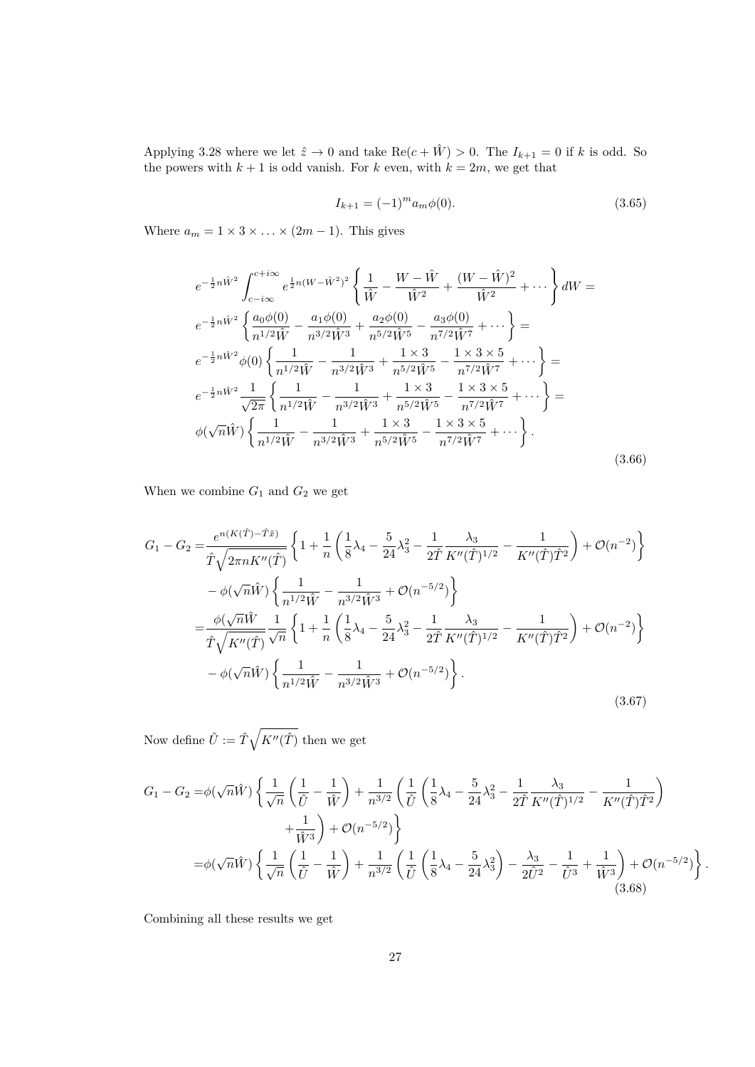Applying 3.28 where we let  $\hat{z} \to 0$  and take  $\text{Re}(c + \hat{W}) > 0$ . The  $I_{k+1} = 0$  if k is odd. So the powers with  $k + 1$  is odd vanish. For  $k$  even, with  $k = 2m$ , we get that

$$
I_{k+1} = (-1)^m a_m \phi(0). \tag{3.65}
$$

Where  $a_m = 1 \times 3 \times \ldots \times (2m - 1)$ . This gives

$$
e^{-\frac{1}{2}n\hat{W}^2} \int_{c-i\infty}^{c+i\infty} e^{\frac{1}{2}n(W-\hat{W}^2)^2} \left\{ \frac{1}{\hat{W}} - \frac{W-\hat{W}}{\hat{W}^2} + \frac{(W-\hat{W})^2}{\hat{W}^2} + \cdots \right\} dW =
$$
  
\n
$$
e^{-\frac{1}{2}n\hat{W}^2} \left\{ \frac{a_0\phi(0)}{n^{1/2}\hat{W}} - \frac{a_1\phi(0)}{n^{3/2}\hat{W}^3} + \frac{a_2\phi(0)}{n^{5/2}\hat{W}^5} - \frac{a_3\phi(0)}{n^{7/2}\hat{W}^7} + \cdots \right\} =
$$
  
\n
$$
e^{-\frac{1}{2}n\hat{W}^2} \phi(0) \left\{ \frac{1}{n^{1/2}\hat{W}} - \frac{1}{n^{3/2}\hat{W}^3} + \frac{1 \times 3}{n^{5/2}\hat{W}^5} - \frac{1 \times 3 \times 5}{n^{7/2}\hat{W}^7} + \cdots \right\} =
$$
  
\n
$$
e^{-\frac{1}{2}n\hat{W}^2} \frac{1}{\sqrt{2\pi}} \left\{ \frac{1}{n^{1/2}\hat{W}} - \frac{1}{n^{3/2}\hat{W}^3} + \frac{1 \times 3}{n^{5/2}\hat{W}^5} - \frac{1 \times 3 \times 5}{n^{7/2}\hat{W}^7} + \cdots \right\} =
$$
  
\n
$$
\phi(\sqrt{n}\hat{W}) \left\{ \frac{1}{n^{1/2}\hat{W}} - \frac{1}{n^{3/2}\hat{W}^3} + \frac{1 \times 3}{n^{5/2}\hat{W}^5} - \frac{1 \times 3 \times 5}{n^{7/2}\hat{W}^7} + \cdots \right\}.
$$
  
\n(3.66)

When we combine  $G_1$  and  $G_2$  we get

$$
G_{1} - G_{2} = \frac{e^{n(K(\hat{T}) - \hat{T}\tilde{x})}}{\hat{T}\sqrt{2\pi nK''(\hat{T})}} \left\{ 1 + \frac{1}{n} \left( \frac{1}{8}\lambda_{4} - \frac{5}{24}\lambda_{3}^{2} - \frac{1}{2\hat{T}}\frac{\lambda_{3}}{K''(\hat{T})^{1/2}} - \frac{1}{K''(\hat{T})\hat{T}^{2}} \right) + \mathcal{O}(n^{-2}) \right\}
$$
  

$$
- \phi(\sqrt{n}\hat{W}) \left\{ \frac{1}{n^{1/2}\hat{W}} - \frac{1}{n^{3/2}\hat{W}^{3}} + \mathcal{O}(n^{-5/2}) \right\}
$$
  

$$
= \frac{\phi(\sqrt{n}\hat{W})}{\hat{T}\sqrt{K''(\hat{T})}} \frac{1}{\sqrt{n}} \left\{ 1 + \frac{1}{n} \left( \frac{1}{8}\lambda_{4} - \frac{5}{24}\lambda_{3}^{2} - \frac{1}{2\hat{T}}\frac{\lambda_{3}}{K''(\hat{T})^{1/2}} - \frac{1}{K''(\hat{T})\hat{T}^{2}} \right) + \mathcal{O}(n^{-2}) \right\}
$$
  

$$
- \phi(\sqrt{n}\hat{W}) \left\{ \frac{1}{n^{1/2}\hat{W}} - \frac{1}{n^{3/2}\hat{W}^{3}} + \mathcal{O}(n^{-5/2}) \right\}.
$$
  
(3.67)

Now define  $\hat{U} := \hat{T}\sqrt{K''(\hat{T})}$  then we get

$$
G_{1} - G_{2} = \phi(\sqrt{n}\hat{W}) \left\{ \frac{1}{\sqrt{n}} \left( \frac{1}{\hat{U}} - \frac{1}{\hat{W}} \right) + \frac{1}{n^{3/2}} \left( \frac{1}{\hat{U}} \left( \frac{1}{8} \lambda_{4} - \frac{5}{24} \lambda_{3}^{2} - \frac{1}{2\hat{T}} \frac{\lambda_{3}}{K''(\hat{T})^{1/2}} - \frac{1}{K''(\hat{T}) \hat{T}^{2}} \right) \right) \right\}
$$
  

$$
+ \frac{1}{\hat{W}^{3}} + \mathcal{O}(n^{-5/2}) \left\} \qquad (n^{-5/2})
$$
  

$$
= \phi(\sqrt{n}\hat{W}) \left\{ \frac{1}{\sqrt{n}} \left( \frac{1}{\hat{U}} - \frac{1}{\hat{W}} \right) + \frac{1}{n^{3/2}} \left( \frac{1}{\hat{U}} \left( \frac{1}{8} \lambda_{4} - \frac{5}{24} \lambda_{3}^{2} \right) - \frac{\lambda_{3}}{2\hat{U}^{2}} - \frac{1}{\hat{U}^{3}} + \frac{1}{\hat{W}^{3}} \right) + \mathcal{O}(n^{-5/2}) \right\}.
$$
  
(3.68)

Combining all these results we get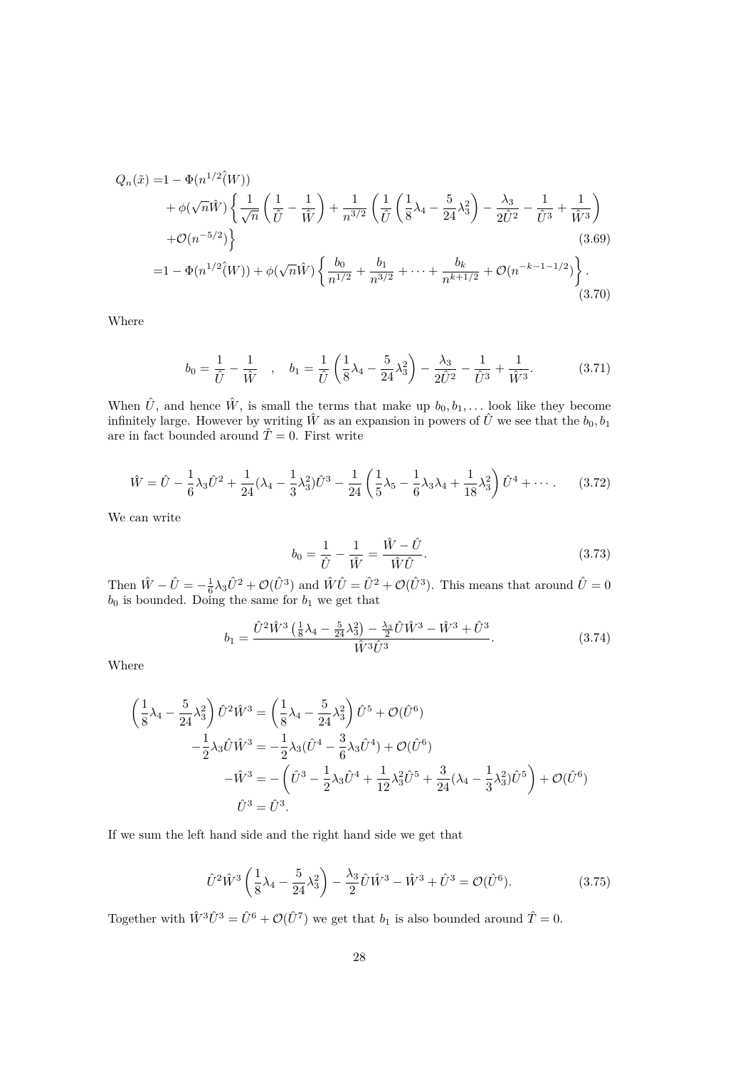$$
Q_n(\tilde{x}) = 1 - \Phi(n^{1/2}(\tilde{W}))
$$
  
+  $\phi(\sqrt{n}\tilde{W}) \left\{ \frac{1}{\sqrt{n}} \left( \frac{1}{\tilde{U}} - \frac{1}{\tilde{W}} \right) + \frac{1}{n^{3/2}} \left( \frac{1}{\tilde{U}} \left( \frac{1}{8} \lambda_4 - \frac{5}{24} \lambda_3^2 \right) - \frac{\lambda_3}{2\tilde{U}^2} - \frac{1}{\tilde{U}^3} + \frac{1}{\tilde{W}^3} \right)$   
+  $\mathcal{O}(n^{-5/2}) \right\}$  (3.69)  
=  $1 - \Phi(n^{1/2}(\tilde{W})) + \phi(\sqrt{n}\tilde{W}) \left\{ \frac{b_0}{n^{1/2}} + \frac{b_1}{n^{3/2}} + \dots + \frac{b_k}{n^{k+1/2}} + \mathcal{O}(n^{-k-1-1/2}) \right\}.$  (3.70)

Where

$$
b_0 = \frac{1}{\hat{U}} - \frac{1}{\hat{W}} \quad , \quad b_1 = \frac{1}{\hat{U}} \left( \frac{1}{8} \lambda_4 - \frac{5}{24} \lambda_3^2 \right) - \frac{\lambda_3}{2 \hat{U}^2} - \frac{1}{\hat{U}^3} + \frac{1}{\hat{W}^3}.
$$
 (3.71)

When  $\hat{U}$ , and hence  $\hat{W}$ , is small the terms that make up  $b_0, b_1, \ldots$  look like they become infinitely large. However by writing  $\hat{W}$  as an expansion in powers of  $\hat{U}$  we see that the  $b_0, b_1$ are in fact bounded around  $\hat{T} = 0$ . First write

$$
\hat{W} = \hat{U} - \frac{1}{6}\lambda_3 \hat{U}^2 + \frac{1}{24}(\lambda_4 - \frac{1}{3}\lambda_3^2)\hat{U}^3 - \frac{1}{24}\left(\frac{1}{5}\lambda_5 - \frac{1}{6}\lambda_3\lambda_4 + \frac{1}{18}\lambda_3^2\right)\hat{U}^4 + \cdots
$$
 (3.72)

We can write

$$
b_0 = \frac{1}{\hat{U}} - \frac{1}{\hat{W}} = \frac{\hat{W} - \hat{U}}{\hat{W}\hat{U}}.
$$
\n(3.73)

Then  $\hat{W} - \hat{U} = -\frac{1}{6}\lambda_3 \hat{U}^2 + \mathcal{O}(\hat{U}^3)$  and  $\hat{W}\hat{U} = \hat{U}^2 + \mathcal{O}(\hat{U}^3)$ . This means that around  $\hat{U} = 0$  $b_0$  is bounded. Doing the same for  $b_1$  we get that

$$
b_1 = \frac{\hat{U}^2 \hat{W}^3 \left(\frac{1}{8}\lambda_4 - \frac{5}{24}\lambda_3^2\right) - \frac{\lambda_3}{2}\hat{U}\hat{W}^3 - \hat{W}^3 + \hat{U}^3}{\hat{W}^3 \hat{U}^3}.
$$
 (3.74)

Where

$$
\left(\frac{1}{8}\lambda_4 - \frac{5}{24}\lambda_3^2\right)\hat{U}^2\hat{W}^3 = \left(\frac{1}{8}\lambda_4 - \frac{5}{24}\lambda_3^2\right)\hat{U}^5 + \mathcal{O}(\hat{U}^6) \n- \frac{1}{2}\lambda_3\hat{U}\hat{W}^3 = -\frac{1}{2}\lambda_3(\hat{U}^4 - \frac{3}{6}\lambda_3\hat{U}^4) + \mathcal{O}(\hat{U}^6) \n- \hat{W}^3 = -\left(\hat{U}^3 - \frac{1}{2}\lambda_3\hat{U}^4 + \frac{1}{12}\lambda_3^2\hat{U}^5 + \frac{3}{24}(\lambda_4 - \frac{1}{3}\lambda_3^2)\hat{U}^5\right) + \mathcal{O}(\hat{U}^6) \n\hat{U}^3 = \hat{U}^3.
$$

If we sum the left hand side and the right hand side we get that

$$
\hat{U}^2 \hat{W}^3 \left( \frac{1}{8} \lambda_4 - \frac{5}{24} \lambda_3^2 \right) - \frac{\lambda_3}{2} \hat{U} \hat{W}^3 - \hat{W}^3 + \hat{U}^3 = \mathcal{O}(\hat{U}^6).
$$
 (3.75)

Together with  $\hat{W}^3 \hat{U}^3 = \hat{U}^6 + \mathcal{O}(\hat{U}^7)$  we get that  $b_1$  is also bounded around  $\hat{T} = 0$ .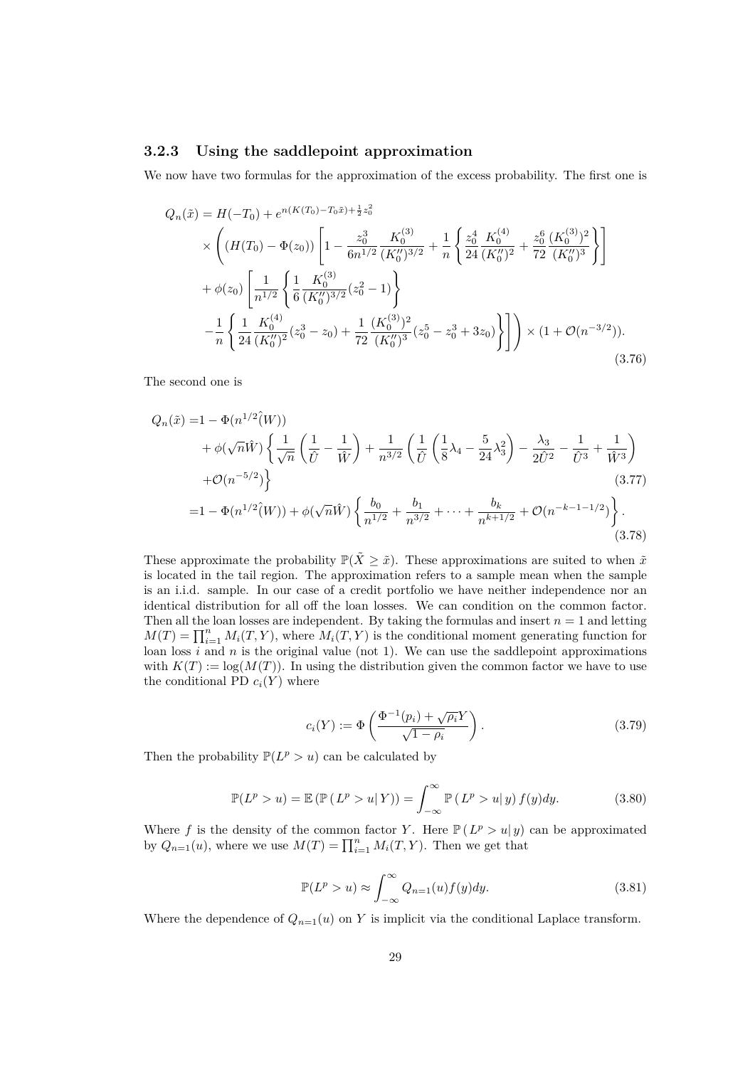#### **3.2.3 Using the saddlepoint approximation**

We now have two formulas for the approximation of the excess probability. The first one is

$$
Q_n(\tilde{x}) = H(-T_0) + e^{n(K(T_0) - T_0\tilde{x}) + \frac{1}{2}z_0^2}
$$
  
\n
$$
\times \left( (H(T_0) - \Phi(z_0)) \left[ 1 - \frac{z_0^3}{6n^{1/2}} \frac{K_0^{(3)}}{(K_0'')^{3/2}} + \frac{1}{n} \left\{ \frac{z_0^4}{24} \frac{K_0^{(4)}}{(K_0'')^2} + \frac{z_0^6}{72} \frac{(K_0^{(3)})^2}{(K_0'')^3} \right\} \right]
$$
  
\n
$$
+ \phi(z_0) \left[ \frac{1}{n^{1/2}} \left\{ \frac{1}{6} \frac{K_0^{(3)}}{(K_0'')^{3/2}} (z_0^2 - 1) \right\}
$$
  
\n
$$
- \frac{1}{n} \left\{ \frac{1}{24} \frac{K_0^{(4)}}{(K_0'')^2} (z_0^3 - z_0) + \frac{1}{72} \frac{(K_0^{(3)})^2}{(K_0'')^3} (z_0^5 - z_0^3 + 3z_0) \right\} \right] \right\} \times (1 + \mathcal{O}(n^{-3/2})).
$$
\n(3.76)

The second one is

$$
Q_n(\tilde{x}) = 1 - \Phi(n^{1/2}(\tilde{W}))
$$
  
+  $\phi(\sqrt{n}\hat{W}) \left\{ \frac{1}{\sqrt{n}} \left( \frac{1}{\hat{U}} - \frac{1}{\hat{W}} \right) + \frac{1}{n^{3/2}} \left( \frac{1}{\hat{U}} \left( \frac{1}{8} \lambda_4 - \frac{5}{24} \lambda_3^2 \right) - \frac{\lambda_3}{2 \hat{U}^2} - \frac{1}{\hat{U}^3} + \frac{1}{\hat{W}^3} \right) \right\}$   
+  $\mathcal{O}(n^{-5/2})$ }  
=  $1 - \Phi(n^{1/2}(\tilde{W})) + \phi(\sqrt{n}\hat{W}) \left\{ \frac{b_0}{n^{1/2}} + \frac{b_1}{n^{3/2}} + \dots + \frac{b_k}{n^{k+1/2}} + \mathcal{O}(n^{-k-1-1/2}) \right\}.$  (3.77)

These approximate the probability  $\mathbb{P}(\tilde{X} \geq \tilde{x})$ . These approximations are suited to when  $\tilde{x}$ is located in the tail region. The approximation refers to a sample mean when the sample is an i.i.d. sample. In our case of a credit portfolio we have neither independence nor an identical distribution for all off the loan losses. We can condition on the common factor. Then all the loan losses are independent. By taking the formulas and insert  $n = 1$  and letting  $M(T) = \prod_{i=1}^{n} M_i(T, Y)$ , where  $M_i(T, Y)$  is the conditional moment generating function for loan loss  $i$  and  $n$  is the original value (not 1). We can use the saddlepoint approximations with  $K(T) := \log(M(T))$ . In using the distribution given the common factor we have to use the conditional PD  $c_i(Y)$  where

$$
c_i(Y) := \Phi\left(\frac{\Phi^{-1}(p_i) + \sqrt{\rho_i}Y}{\sqrt{1 - \rho_i}}\right). \tag{3.79}
$$

Then the probability  $\mathbb{P}(L^p > u)$  can be calculated by

$$
\mathbb{P}(L^p > u) = \mathbb{E}\left(\mathbb{P}\left(L^p > u | Y\right)\right) = \int_{-\infty}^{\infty} \mathbb{P}\left(L^p > u | y\right) f(y) dy.
$$
 (3.80)

Where f is the density of the common factor Y. Here  $P(L^p > u | y)$  can be approximated by  $Q_{n=1}(u)$ , where we use  $M(T) = \prod_{i=1}^{n} M_i(T, Y)$ . Then we get that

$$
\mathbb{P}(L^p > u) \approx \int_{-\infty}^{\infty} Q_{n=1}(u) f(y) dy.
$$
 (3.81)

Where the dependence of  $Q_{n=1}(u)$  on *Y* is implicit via the conditional Laplace transform.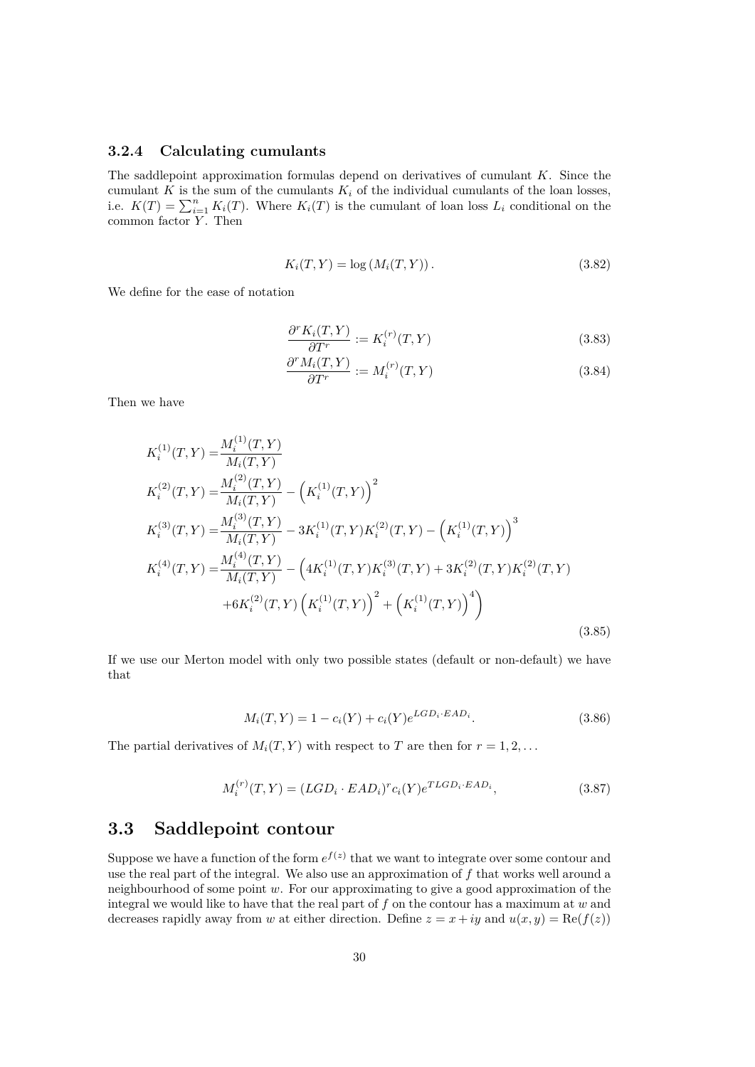#### **3.2.4 Calculating cumulants**

The saddlepoint approximation formulas depend on derivatives of cumulant *K*. Since the cumulant *K* is the sum of the cumulants  $K_i$  of the individual cumulants of the loan losses, i.e.  $K(T) = \sum_{i=1}^{n} K_i(T)$ . Where  $K_i(T)$  is the cumulant of loan loss  $L_i$  conditional on the common factor Y. Then

$$
K_i(T, Y) = \log(M_i(T, Y)).
$$
\n(3.82)

We define for the ease of notation

$$
\frac{\partial^r K_i(T, Y)}{\partial T^r} := K_i^{(r)}(T, Y) \tag{3.83}
$$

$$
\frac{\partial^r M_i(T, Y)}{\partial T^r} := M_i^{(r)}(T, Y) \tag{3.84}
$$

Then we have

$$
K_i^{(1)}(T,Y) = \frac{M_i^{(1)}(T,Y)}{M_i(T,Y)}
$$
  
\n
$$
K_i^{(2)}(T,Y) = \frac{M_i^{(2)}(T,Y)}{M_i(T,Y)} - (K_i^{(1)}(T,Y))^2
$$
  
\n
$$
K_i^{(3)}(T,Y) = \frac{M_i^{(3)}(T,Y)}{M_i(T,Y)} - 3K_i^{(1)}(T,Y)K_i^{(2)}(T,Y) - (K_i^{(1)}(T,Y))^3
$$
  
\n
$$
K_i^{(4)}(T,Y) = \frac{M_i^{(4)}(T,Y)}{M_i(T,Y)} - (4K_i^{(1)}(T,Y)K_i^{(3)}(T,Y) + 3K_i^{(2)}(T,Y)K_i^{(2)}(T,Y)
$$
  
\n
$$
+6K_i^{(2)}(T,Y) (K_i^{(1)}(T,Y))^2 + (K_i^{(1)}(T,Y))^4)
$$
\n(3.85)

If we use our Merton model with only two possible states (default or non-default) we have that

$$
M_i(T, Y) = 1 - c_i(Y) + c_i(Y)e^{LGD_i \cdot EAD_i}.
$$
\n(3.86)

The partial derivatives of  $M_i(T, Y)$  with respect to *T* are then for  $r = 1, 2, \ldots$ 

$$
M_i^{(r)}(T,Y) = (LGD_i \cdot EAD_i)^r c_i(Y) e^{TLGD_i \cdot EAD_i},\tag{3.87}
$$

## **3.3 Saddlepoint contour**

Suppose we have a function of the form  $e^{f(z)}$  that we want to integrate over some contour and use the real part of the integral. We also use an approximation of *f* that works well around a neighbourhood of some point *w*. For our approximating to give a good approximation of the integral we would like to have that the real part of *f* on the contour has a maximum at *w* and decreases rapidly away from *w* at either direction. Define  $z = x + iy$  and  $u(x, y) = \text{Re}(f(z))$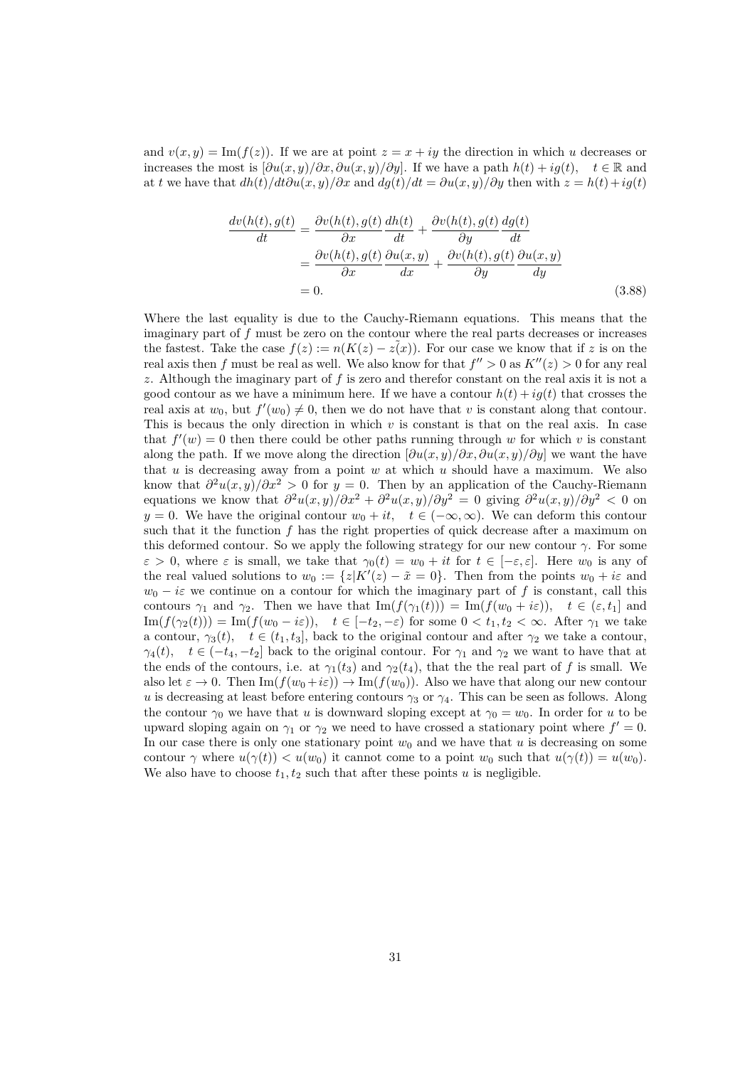and  $v(x, y) = \text{Im}(f(z))$ . If we are at point  $z = x + iy$  the direction in which *u* decreases or increases the most is  $[\partial u(x, y)/\partial x, \partial u(x, y)/\partial y]$ . If we have a path  $h(t) + iq(t)$ ,  $t \in \mathbb{R}$  and at *t* we have that  $dh(t)/dt\partial u(x, y)/\partial x$  and  $dg(t)/dt = \partial u(x, y)/\partial y$  then with  $z = h(t) + ig(t)$ 

$$
\frac{dv(h(t), g(t))}{dt} = \frac{\partial v(h(t), g(t))}{\partial x} \frac{dh(t)}{dt} + \frac{\partial v(h(t), g(t))}{\partial y} \frac{dg(t)}{dt}
$$

$$
= \frac{\partial v(h(t), g(t))}{\partial x} \frac{\partial u(x, y)}{dx} + \frac{\partial v(h(t), g(t))}{\partial y} \frac{\partial u(x, y)}{dy}
$$

$$
= 0.
$$
(3.88)

Where the last equality is due to the Cauchy-Riemann equations. This means that the imaginary part of *f* must be zero on the contour where the real parts decreases or increases the fastest. Take the case  $f(z) := n(K(z) - z(x))$ . For our case we know that if *z* is on the real axis then *f* must be real as well. We also know for that  $f'' > 0$  as  $K''(z) > 0$  for any real *z*. Although the imaginary part of *f* is zero and therefor constant on the real axis it is not a good contour as we have a minimum here. If we have a contour  $h(t) + i\dot{q}(t)$  that crosses the real axis at  $w_0$ , but  $f'(w_0) \neq 0$ , then we do not have that *v* is constant along that contour. This is becaus the only direction in which *v* is constant is that on the real axis. In case that  $f'(w) = 0$  then there could be other paths running through w for which v is constant along the path. If we move along the direction  $\left[\frac{\partial u(x, y)}{\partial x}, \frac{\partial u(x, y)}{\partial y}\right]$  we want the have that *u* is decreasing away from a point *w* at which *u* should have a maximum. We also know that  $\frac{\partial^2 u(x,y)}{\partial x^2} > 0$  for  $y = 0$ . Then by an application of the Cauchy-Riemann equations we know that  $\frac{\partial^2 u(x,y)}{\partial x^2} + \frac{\partial^2 u(x,y)}{\partial y^2} = 0$  giving  $\frac{\partial^2 u(x,y)}{\partial y^2} < 0$  on *y* = 0. We have the original contour  $w_0 + it$ ,  $t \in (-\infty, \infty)$ . We can deform this contour such that it the function  $f$  has the right properties of quick decrease after a maximum on this deformed contour. So we apply the following strategy for our new contour  $\gamma$ . For some  $\varepsilon > 0$ , where  $\varepsilon$  is small, we take that  $\gamma_0(t) = w_0 + it$  for  $t \in [-\varepsilon, \varepsilon]$ . Here  $w_0$  is any of the real valued solutions to  $w_0 := \{z | K'(z) - \tilde{x} = 0\}$ . Then from the points  $w_0 + i\varepsilon$  and  $w_0 - i\varepsilon$  we continue on a contour for which the imaginary part of *f* is constant, call this contours  $\gamma_1$  and  $\gamma_2$ . Then we have that  $\text{Im}(f(\gamma_1(t))) = \text{Im}(f(w_0 + i\varepsilon))$ ,  $t \in (\varepsilon, t_1]$  and  $\text{Im}(f(\gamma_2(t))) = \text{Im}(f(w_0 - i\varepsilon))$ ,  $t \in [-t_2, -\varepsilon)$  for some  $0 < t_1, t_2 < \infty$ . After  $\gamma_1$  we take a contour,  $\gamma_3(t)$ ,  $t \in (t_1, t_3]$ , back to the original contour and after  $\gamma_2$  we take a contour, *γ*<sub>4</sub>(*t*)*, t* ∈ (−*t*<sub>4</sub>*,* −*t*<sub>2</sub>] back to the original contour. For *γ*<sub>1</sub> and *γ*<sub>2</sub> we want to have that at the ends of the contours, i.e. at  $\gamma_1(t_3)$  and  $\gamma_2(t_4)$ , that the the real part of f is small. We also let  $\varepsilon \to 0$ . Then  $\text{Im}(f(w_0 + i\varepsilon)) \to \text{Im}(f(w_0))$ . Also we have that along our new contour *u* is decreasing at least before entering contours  $\gamma_3$  or  $\gamma_4$ . This can be seen as follows. Along the contour  $\gamma_0$  we have that *u* is downward sloping except at  $\gamma_0 = w_0$ . In order for *u* to be upward sloping again on  $\gamma_1$  or  $\gamma_2$  we need to have crossed a stationary point where  $f' = 0$ . In our case there is only one stationary point  $w_0$  and we have that  $u$  is decreasing on some contour *γ* where  $u(\gamma(t)) < u(w_0)$  it cannot come to a point  $w_0$  such that  $u(\gamma(t)) = u(w_0)$ . We also have to choose  $t_1, t_2$  such that after these points  $u$  is negligible.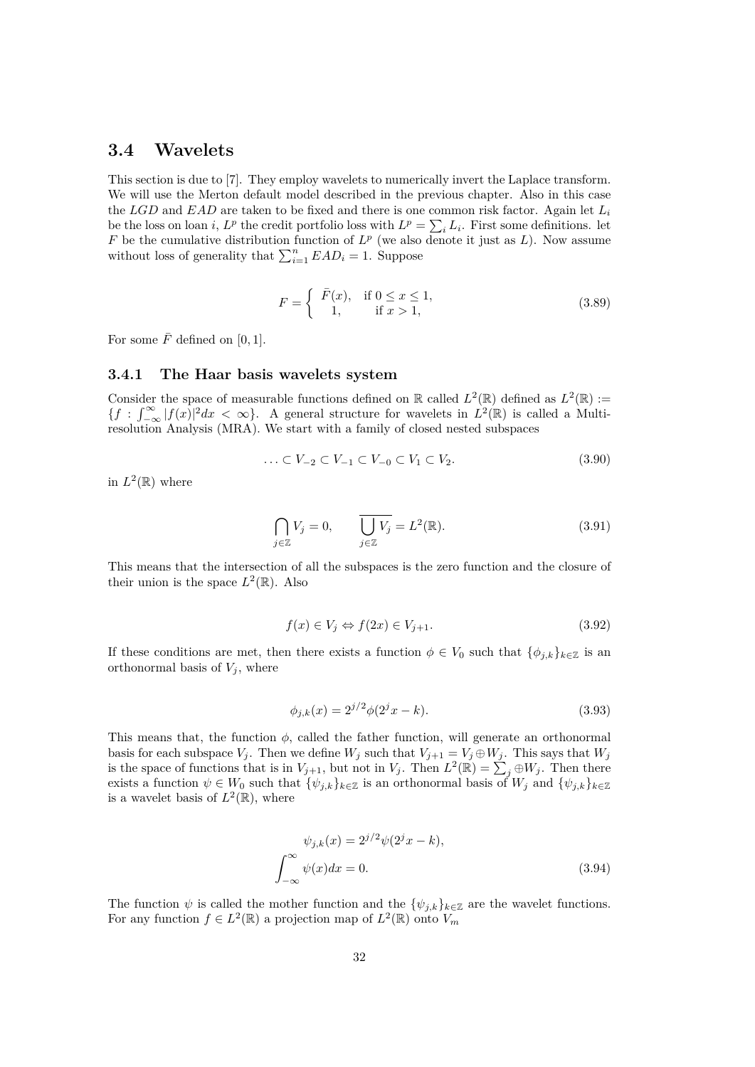### **3.4 Wavelets**

This section is due to [7]. They employ wavelets to numerically invert the Laplace transform. We will use the Merton default model described in the previous chapter. Also in this case the *LGD* and *EAD* are taken to be fixed and there is one common risk factor. Again let *L<sup>i</sup>* be the loss on loan *i*,  $L^p$  the credit portfolio loss with  $L^p = \sum_i L_i$ . First some definitions. let *F* be the cumulative distribution function of  $L^p$  (we also denote it just as  $L$ ). Now assume without loss of generality that  $\sum_{i=1}^{n} EAD_i = 1$ . Suppose

$$
F = \begin{cases} \overline{F}(x), & \text{if } 0 \le x \le 1, \\ 1, & \text{if } x > 1, \end{cases} \tag{3.89}
$$

For some  $\bar{F}$  defined on [0, 1].

#### **3.4.1 The Haar basis wavelets system**

Consider the space of measurable functions defined on  $\mathbb R$  called  $L^2(\mathbb R)$  defined as  $L^2(\mathbb R)$  :=  ${f : \int_{-\infty}^{\infty} |f(x)|^2 dx < \infty}$ . A general structure for wavelets in  $\hat{L}^2(\mathbb{R})$  is called a Multiresolution Analysis (MRA). We start with a family of closed nested subspaces

$$
\ldots \subset V_{-2} \subset V_{-1} \subset V_{-0} \subset V_1 \subset V_2. \tag{3.90}
$$

in  $L^2(\mathbb{R})$  where

$$
\bigcap_{j\in\mathbb{Z}} V_j = 0, \qquad \overline{\bigcup_{j\in\mathbb{Z}} V_j} = L^2(\mathbb{R}). \tag{3.91}
$$

This means that the intersection of all the subspaces is the zero function and the closure of their union is the space  $L^2(\mathbb{R})$ . Also

$$
f(x) \in V_j \Leftrightarrow f(2x) \in V_{j+1}.\tag{3.92}
$$

If these conditions are met, then there exists a function  $\phi \in V_0$  such that  $\{\phi_{i,k}\}_{k\in\mathbb{Z}}$  is an orthonormal basis of  $V_j$ , where

$$
\phi_{j,k}(x) = 2^{j/2}\phi(2^jx - k). \tag{3.93}
$$

This means that, the function *ϕ*, called the father function, will generate an orthonormal basis for each subspace  $V_j$ . Then we define  $W_j$  such that  $V_{j+1} = V_j \oplus W_j$ . This says that  $W_j$ is the space of functions that is in  $V_{j+1}$ , but not in  $V_j$ . Then  $L^2(\mathbb{R}) = \sum_j \oplus W_j$ . Then there exists a function  $\psi \in W_0$  such that  $\{\psi_{j,k}\}_{k \in \mathbb{Z}}$  is an orthonormal basis of  $W_j$  and  $\{\psi_{j,k}\}_{k \in \mathbb{Z}}$ is a wavelet basis of  $L^2(\mathbb{R})$ , where

$$
\psi_{j,k}(x) = 2^{j/2}\psi(2^jx - k),
$$

$$
\int_{-\infty}^{\infty} \psi(x)dx = 0.
$$
 (3.94)

The function  $\psi$  is called the mother function and the  ${\lbrace \psi_{j,k} \rbrace_{k \in \mathbb{Z}}}$  are the wavelet functions. For any function  $f \in L^2(\mathbb{R})$  a projection map of  $L^2(\mathbb{R})$  onto  $V_m$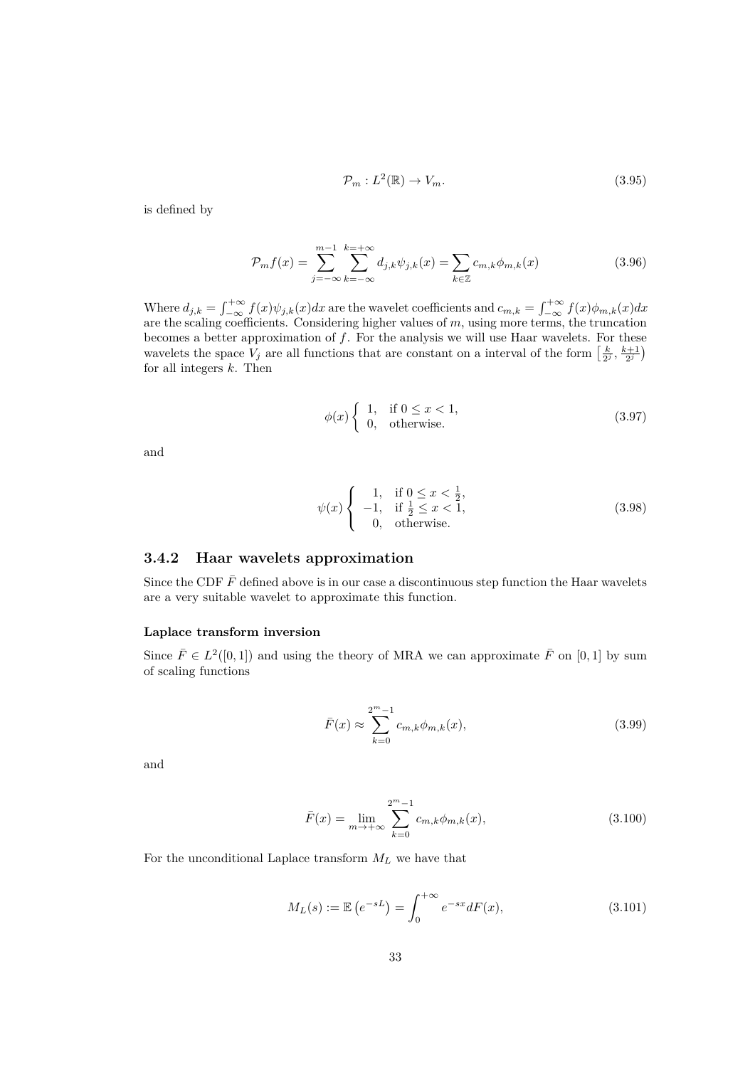$$
\mathcal{P}_m: L^2(\mathbb{R}) \to V_m. \tag{3.95}
$$

is defined by

$$
\mathcal{P}_{m}f(x) = \sum_{j=-\infty}^{m-1} \sum_{k=-\infty}^{k=-\infty} d_{j,k} \psi_{j,k}(x) = \sum_{k \in \mathbb{Z}} c_{m,k} \phi_{m,k}(x)
$$
(3.96)

Where  $d_{j,k} = \int_{-\infty}^{+\infty} f(x)\psi_{j,k}(x)dx$  are the wavelet coefficients and  $c_{m,k} = \int_{-\infty}^{+\infty} f(x)\phi_{m,k}(x)dx$ are the scaling coefficients. Considering higher values of *m*, using more terms, the truncation becomes a better approximation of *f*. For the analysis we will use Haar wavelets. For these wavelets the space  $V_j$  are all functions that are constant on a interval of the form  $\left[\frac{k}{2^j}, \frac{k+1}{2^j}\right)$ for all integers *k*. Then

$$
\phi(x) \begin{cases} 1, & \text{if } 0 \le x < 1, \\ 0, & \text{otherwise.} \end{cases} \tag{3.97}
$$

and

$$
\psi(x) \begin{cases}\n1, & \text{if } 0 \le x < \frac{1}{2}, \\
-1, & \text{if } \frac{1}{2} \le x < 1, \\
0, & \text{otherwise.} \n\end{cases}
$$
\n(3.98)

#### **3.4.2 Haar wavelets approximation**

Since the CDF  $\bar{F}$  defined above is in our case a discontinuous step function the Haar wavelets are a very suitable wavelet to approximate this function.

#### **Laplace transform inversion**

Since  $\bar{F} \in L^2([0,1])$  and using the theory of MRA we can approximate  $\bar{F}$  on [0, 1] by sum of scaling functions

$$
\bar{F}(x) \approx \sum_{k=0}^{2^m - 1} c_{m,k} \phi_{m,k}(x),
$$
\n(3.99)

and

$$
\bar{F}(x) = \lim_{m \to +\infty} \sum_{k=0}^{2^m - 1} c_{m,k} \phi_{m,k}(x),
$$
\n(3.100)

For the unconditional Laplace transform  ${\cal M}_L$  we have that

$$
M_L(s) := \mathbb{E}\left(e^{-sL}\right) = \int_0^{+\infty} e^{-sx} dF(x),\tag{3.101}
$$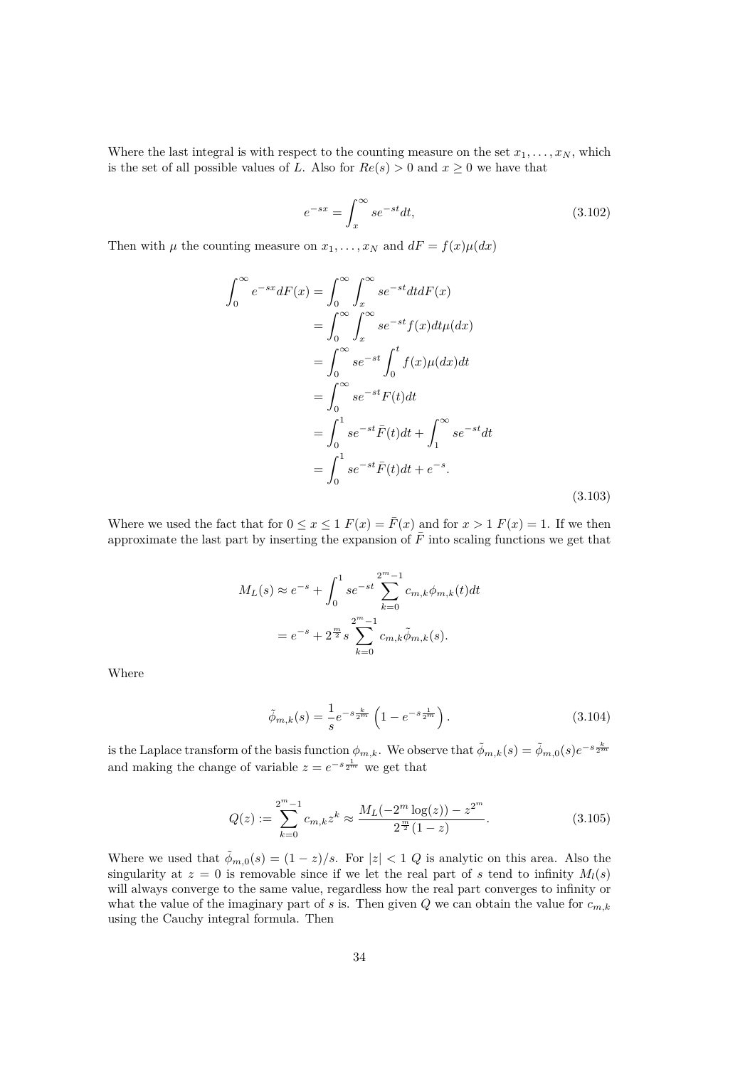Where the last integral is with respect to the counting measure on the set  $x_1, \ldots, x_N$ , which is the set of all possible values of *L*. Also for  $Re(s) > 0$  and  $x \ge 0$  we have that

$$
e^{-sx} = \int_{x}^{\infty} se^{-st}dt,
$$
\n(3.102)

Then with  $\mu$  the counting measure on  $x_1, \ldots, x_N$  and  $dF = f(x)\mu(dx)$ 

$$
\int_0^\infty e^{-sx} dF(x) = \int_0^\infty \int_x^\infty s e^{-st} dt dF(x)
$$

$$
= \int_0^\infty \int_x^\infty s e^{-st} f(x) dt \mu(dx)
$$

$$
= \int_0^\infty s e^{-st} \int_0^t f(x) \mu(dx) dt
$$

$$
= \int_0^\infty s e^{-st} F(t) dt
$$

$$
= \int_0^1 s e^{-st} \bar{F}(t) dt + \int_1^\infty s e^{-st} dt
$$

$$
= \int_0^1 s e^{-st} \bar{F}(t) dt + e^{-s}.
$$
(3.103)

Where we used the fact that for  $0 \le x \le 1$   $F(x) = \overline{F}(x)$  and for  $x > 1$   $F(x) = 1$ . If we then approximate the last part by inserting the expansion of  $\bar{F}$  into scaling functions we get that

$$
M_L(s) \approx e^{-s} + \int_0^1 s e^{-st} \sum_{k=0}^{2^m - 1} c_{m,k} \phi_{m,k}(t) dt
$$
  
=  $e^{-s} + 2^{\frac{m}{2}} s \sum_{k=0}^{2^m - 1} c_{m,k} \tilde{\phi}_{m,k}(s).$ 

Where

$$
\tilde{\phi}_{m,k}(s) = \frac{1}{s} e^{-s \frac{k}{2^m}} \left( 1 - e^{-s \frac{1}{2^m}} \right). \tag{3.104}
$$

is the Laplace transform of the basis function  $\phi_{m,k}$ . We observe that  $\tilde{\phi}_{m,k}(s) = \tilde{\phi}_{m,0}(s)e^{-s\frac{k}{2m}}$ and making the change of variable  $z = e^{-s\frac{1}{2m}}$  we get that

$$
Q(z) := \sum_{k=0}^{2^m - 1} c_{m,k} z^k \approx \frac{M_L(-2^m \log(z)) - z^{2^m}}{2^{\frac{m}{2}} (1 - z)}.
$$
 (3.105)

Where we used that  $\tilde{\phi}_{m,0}(s) = (1-z)/s$ . For  $|z| < 1$  *Q* is analytic on this area. Also the singularity at  $z = 0$  is removable since if we let the real part of *s* tend to infinity  $M_l(s)$ will always converge to the same value, regardless how the real part converges to infinity or what the value of the imaginary part of *s* is. Then given  $Q$  we can obtain the value for  $c_{m,k}$ using the Cauchy integral formula. Then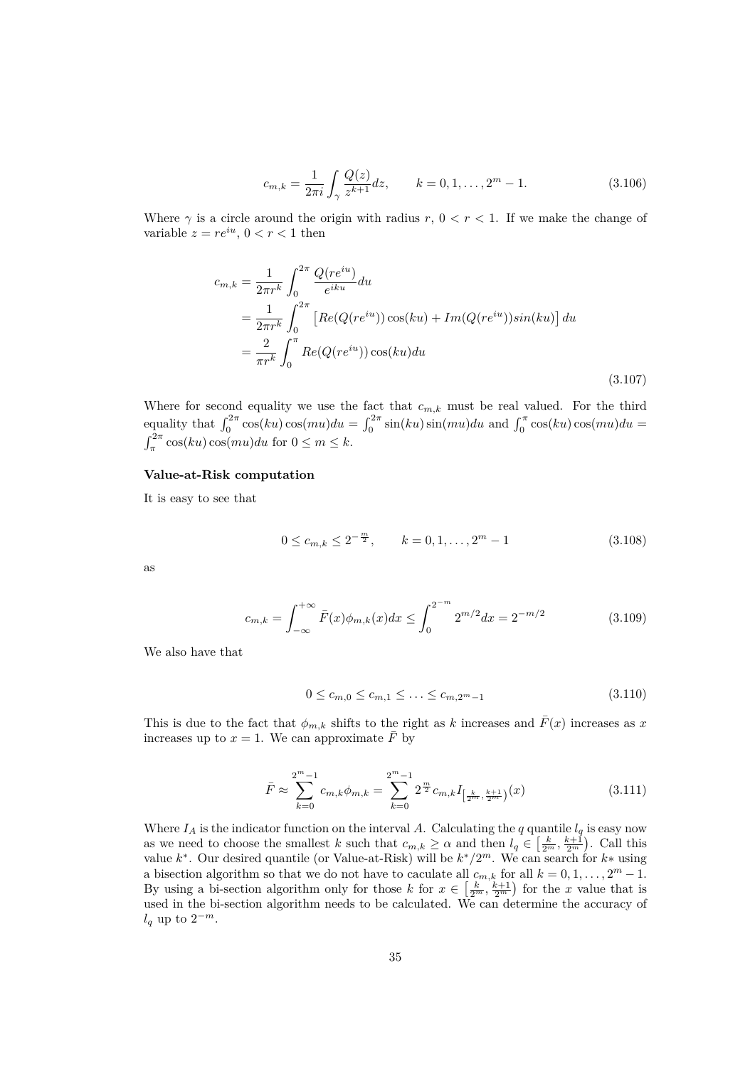$$
c_{m,k} = \frac{1}{2\pi i} \int_{\gamma} \frac{Q(z)}{z^{k+1}} dz, \qquad k = 0, 1, \dots, 2^m - 1.
$$
 (3.106)

Where  $\gamma$  is a circle around the origin with radius  $r, 0 < r < 1$ . If we make the change of variable  $z = re^{iu}$ ,  $0 < r < 1$  then

$$
c_{m,k} = \frac{1}{2\pi r^k} \int_0^{2\pi} \frac{Q(re^{iu})}{e^{iku}} du
$$
  
= 
$$
\frac{1}{2\pi r^k} \int_0^{2\pi} \left[ Re(Q(re^{iu})) \cos(ku) + Im(Q(re^{iu})) \sin(ku) \right] du
$$
  
= 
$$
\frac{2}{\pi r^k} \int_0^{\pi} Re(Q(re^{iu})) \cos(ku) du
$$
(3.107)

Where for second equality we use the fact that  $c_{m,k}$  must be real valued. For the third equality that  $\int_0^{2\pi} \cos(ku)\cos(mu)du = \int_0^{2\pi} \sin(ku)\sin(mu)du$  and  $\int_0^{\pi} \cos(ku)\cos(mu)du =$  $\int_{\pi}^{2\pi} \cos(ku)\cos(mu)du$  for  $0 \le m \le k$ .

#### **Value-at-Risk computation**

It is easy to see that

$$
0 \le c_{m,k} \le 2^{-\frac{m}{2}}, \qquad k = 0, 1, \dots, 2^m - 1 \tag{3.108}
$$

as

$$
c_{m,k} = \int_{-\infty}^{+\infty} \bar{F}(x)\phi_{m,k}(x)dx \le \int_{0}^{2^{-m}} 2^{m/2}dx = 2^{-m/2}
$$
 (3.109)

We also have that

$$
0 \le c_{m,0} \le c_{m,1} \le \dots \le c_{m,2^m-1} \tag{3.110}
$$

This is due to the fact that  $\phi_{m,k}$  shifts to the right as *k* increases and  $\bar{F}(x)$  increases as *x* increases up to  $x = 1$ . We can approximate  $\overline{F}$  by

$$
\bar{F} \approx \sum_{k=0}^{2^m - 1} c_{m,k} \phi_{m,k} = \sum_{k=0}^{2^m - 1} 2^{\frac{m}{2}} c_{m,k} I_{\left[\frac{k}{2^m}, \frac{k+1}{2^m}\right)}(x)
$$
(3.111)

Where  $I_A$  is the indicator function on the interval A. Calculating the *q* quantile  $I_q$  is easy now as we need to choose the smallest *k* such that  $c_{m,k} \geq \alpha$  and then  $l_q \in \left[\frac{k}{2^m}, \frac{k+1}{2^m}\right)$ . Call this value  $k^*$ . Our desired quantile (or Value-at-Risk) will be  $k^*/2^m$ . We can search for  $k^*$  using a bisection algorithm so that we do not have to caculate all  $c_{m,k}$  for all  $k = 0, 1, \ldots, 2<sup>m</sup> - 1$ . By using a bi-section algorithm only for those *k* for  $x \in \left[\frac{k}{2^m}, \frac{k+1}{2^m}\right)$  for the *x* value that is used in the bi-section algorithm needs to be calculated. We can determine the accuracy of  $l_q$  up to  $2^{-m}$ .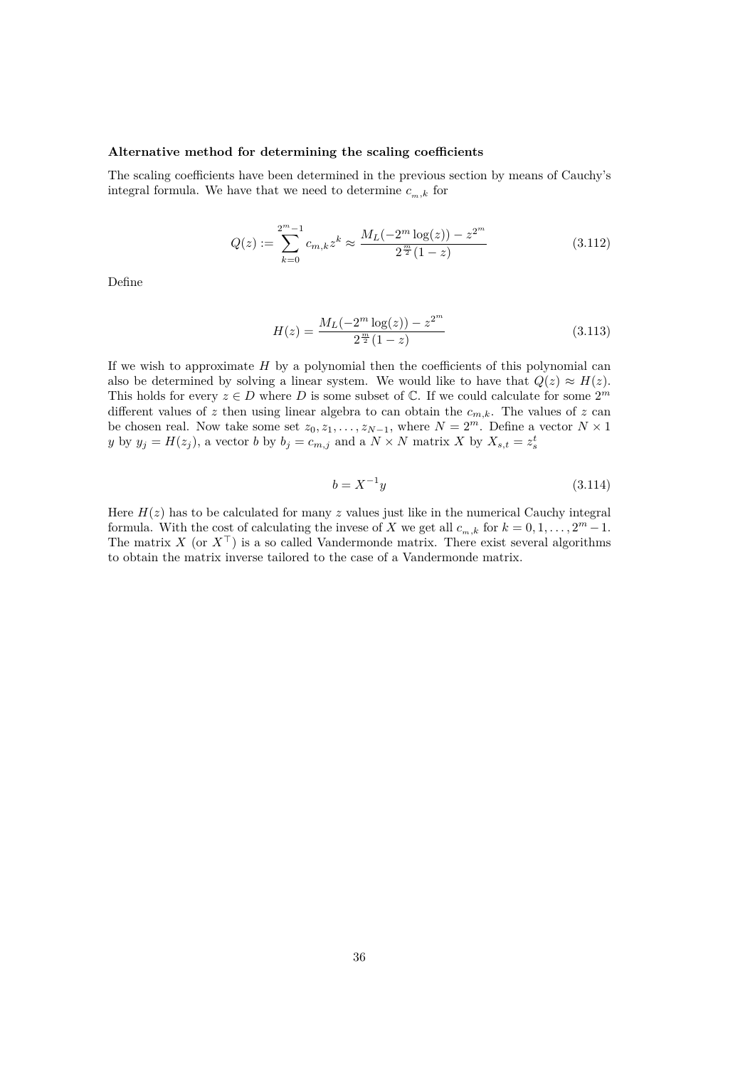#### **Alternative method for determining the scaling coefficients**

The scaling coefficients have been determined in the previous section by means of Cauchy's integral formula. We have that we need to determine  $c_{m,k}$  for

$$
Q(z) := \sum_{k=0}^{2^m - 1} c_{m,k} z^k \approx \frac{M_L(-2^m \log(z)) - z^{2^m}}{2^{\frac{m}{2}} (1 - z)}
$$
(3.112)

Define

$$
H(z) = \frac{M_L(-2^m \log(z)) - z^{2^m}}{2^{\frac{m}{2}}(1-z)}
$$
(3.113)

If we wish to approximate *H* by a polynomial then the coefficients of this polynomial can also be determined by solving a linear system. We would like to have that  $Q(z) \approx H(z)$ . This holds for every  $z \in D$  where  $D$  is some subset of  $\mathbb{C}$ . If we could calculate for some  $2^m$ different values of  $z$  then using linear algebra to can obtain the  $c_{m,k}$ . The values of  $z$  can be chosen real. Now take some set  $z_0, z_1, \ldots, z_{N-1}$ , where  $N = 2^m$ . Define a vector  $N \times 1$ *y* by  $y_j = H(z_j)$ , a vector *b* by  $b_j = c_{m,j}$  and a  $N \times N$  matrix *X* by  $X_{s,t} = z_s^t$ 

$$
b = X^{-1}y\tag{3.114}
$$

Here  $H(z)$  has to be calculated for many  $z$  values just like in the numerical Cauchy integral formula. With the cost of calculating the invese of *X* we get all  $c_{m,k}$  for  $k = 0, 1, \ldots, 2<sup>m</sup> - 1$ . The matrix *X* (or  $X<sup>T</sup>$ ) is a so called Vandermonde matrix. There exist several algorithms to obtain the matrix inverse tailored to the case of a Vandermonde matrix.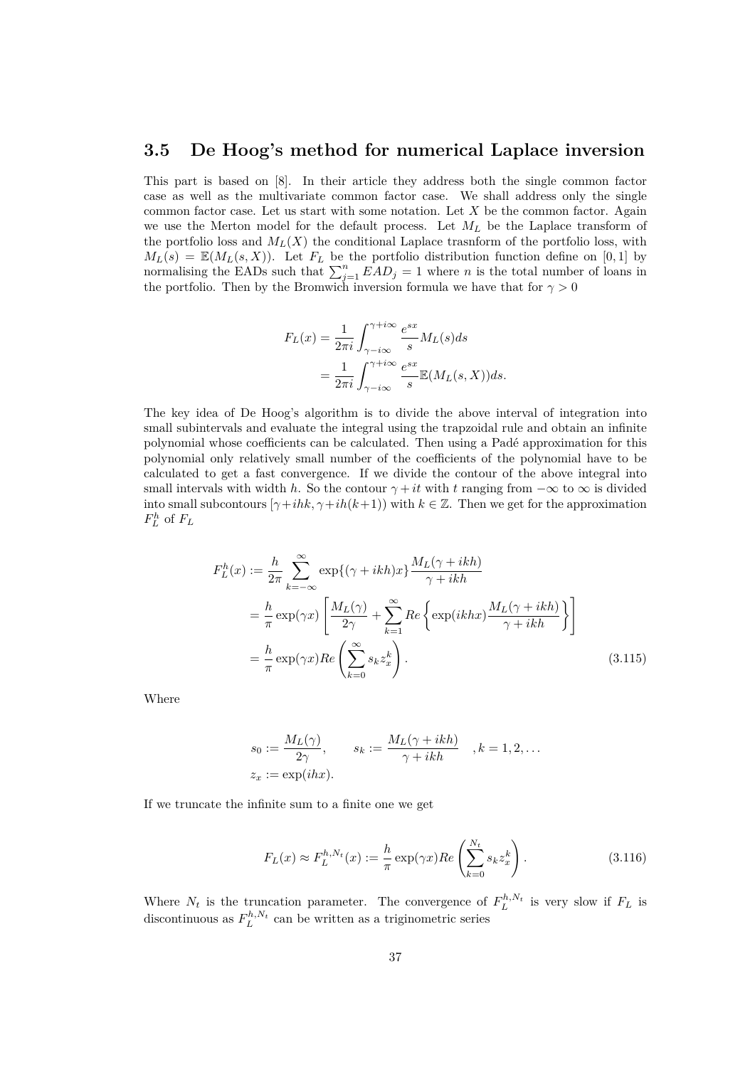### **3.5 De Hoog's method for numerical Laplace inversion**

This part is based on [8]. In their article they address both the single common factor case as well as the multivariate common factor case. We shall address only the single common factor case. Let us start with some notation. Let *X* be the common factor. Again we use the Merton model for the default process. Let *M<sup>L</sup>* be the Laplace transform of the portfolio loss and  $M_L(X)$  the conditional Laplace trasnform of the portfolio loss, with  $M_L(s) = \mathbb{E}(M_L(s, X))$ . Let  $F_L$  be the portfolio distribution function define on [0, 1] by normalising the EADs such that  $\sum_{j=1}^{n} EAD_j = 1$  where *n* is the total number of loans in the portfolio. Then by the Bromwich inversion formula we have that for  $\gamma > 0$ 

$$
F_L(x) = \frac{1}{2\pi i} \int_{\gamma - i\infty}^{\gamma + i\infty} \frac{e^{sx}}{s} M_L(s) ds
$$
  
= 
$$
\frac{1}{2\pi i} \int_{\gamma - i\infty}^{\gamma + i\infty} \frac{e^{sx}}{s} \mathbb{E}(M_L(s, X)) ds.
$$

The key idea of De Hoog's algorithm is to divide the above interval of integration into small subintervals and evaluate the integral using the trapzoidal rule and obtain an infinite polynomial whose coefficients can be calculated. Then using a Padé approximation for this polynomial only relatively small number of the coefficients of the polynomial have to be calculated to get a fast convergence. If we divide the contour of the above integral into small intervals with width *h*. So the contour  $\gamma + it$  with *t* ranging from  $-\infty$  to  $\infty$  is divided into small subcontours  $[\gamma + ihk, \gamma + i(h(k+1))$  with  $k \in \mathbb{Z}$ . Then we get for the approximation  $F^h_L$  of  $F_L$ 

$$
F_L^h(x) := \frac{h}{2\pi} \sum_{k=-\infty}^{\infty} \exp\{(\gamma + ikh)x\} \frac{M_L(\gamma + ikh)}{\gamma + ikh}
$$
  
=  $\frac{h}{\pi} \exp(\gamma x) \left[ \frac{M_L(\gamma)}{2\gamma} + \sum_{k=1}^{\infty} Re \left\{ \exp(ikhx) \frac{M_L(\gamma + ikh)}{\gamma + ikh} \right\} \right]$   
=  $\frac{h}{\pi} \exp(\gamma x) Re \left( \sum_{k=0}^{\infty} s_k z_x^k \right).$  (3.115)

Where

$$
s_0 := \frac{M_L(\gamma)}{2\gamma}, \qquad s_k := \frac{M_L(\gamma + ikh)}{\gamma + ikh} \quad , k = 1, 2, \dots
$$
  

$$
z_x := \exp(ikx).
$$

If we truncate the infinite sum to a finite one we get

$$
F_L(x) \approx F_L^{h, N_t}(x) := \frac{h}{\pi} \exp(\gamma x) Re\left(\sum_{k=0}^{N_t} s_k z_x^k\right).
$$
 (3.116)

Where  $N_t$  is the truncation parameter. The convergence of  $F_L^{h,N_t}$  is very slow if  $F_L$  is discontinuous as  $F_L^{h,N_t}$  can be written as a triginometric series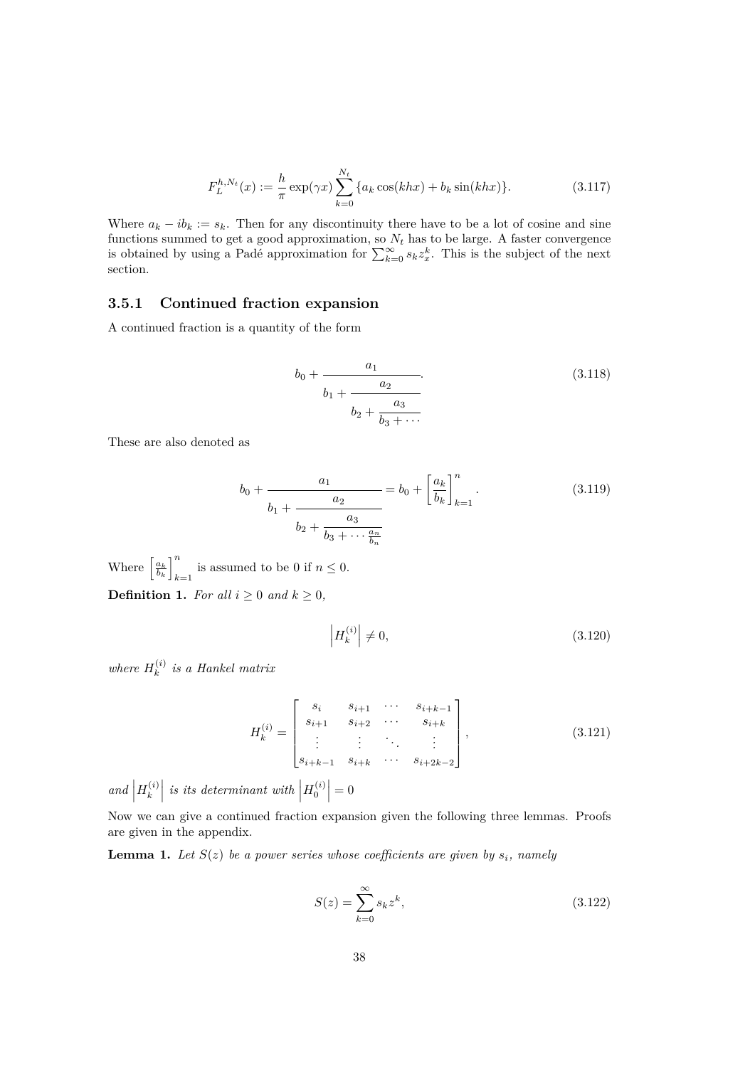$$
F_L^{h,N_t}(x) := \frac{h}{\pi} \exp(\gamma x) \sum_{k=0}^{N_t} \{a_k \cos(khx) + b_k \sin(khx)\}.
$$
 (3.117)

Where  $a_k - ib_k := s_k$ . Then for any discontinuity there have to be a lot of cosine and sine functions summed to get a good approximation, so *N<sup>t</sup>* has to be large. A faster convergence is obtained by using a Padé approximation for  $\sum_{k=0}^{\infty} s_k z_x^k$ . This is the subject of the next section.

#### **3.5.1 Continued fraction expansion**

A continued fraction is a quantity of the form

$$
b_0 + \frac{a_1}{b_1 + \frac{a_2}{b_2 + \frac{a_3}{b_3 + \dots}}}
$$
\n(3.118)

These are also denoted as

$$
b_0 + \frac{a_1}{b_1 + \frac{a_2}{b_2 + \frac{a_3}{b_3 + \dots + \frac{a_n}{b_n}}}} = b_0 + \left[\frac{a_k}{b_k}\right]_{k=1}^n.
$$
 (3.119)

Where  $\left[\frac{a_k}{b_k}\right]_k^n$ is assumed to be 0 if  $n \leq 0$ . **Definition 1.** *For all*  $i \geq 0$  *and*  $k \geq 0$ *,* 

> $\begin{array}{c} \begin{array}{c} \begin{array}{c} \end{array} \\ \begin{array}{c} \end{array} \end{array} \end{array}$  $H_k^{(i)}$ *k*  $\neq 0,$  (3.120)

*where*  $H_k^{(i)}$ *k is a Hankel matrix*

$$
H_k^{(i)} = \begin{bmatrix} s_i & s_{i+1} & \cdots & s_{i+k-1} \\ s_{i+1} & s_{i+2} & \cdots & s_{i+k} \\ \vdots & \vdots & \ddots & \vdots \\ s_{i+k-1} & s_{i+k} & \cdots & s_{i+2k-2} \end{bmatrix},
$$
(3.121)

*and*  $H_k^{(i)}$ *k is its determinant with*  $H_0^{(i)}$  $= 0$ 

Now we can give a continued fraction expansion given the following three lemmas. Proofs are given in the appendix.

**Lemma 1.** Let  $S(z)$  be a power series whose coefficients are given by  $s_i$ , namely

$$
S(z) = \sum_{k=0}^{\infty} s_k z^k,
$$
\n(3.122)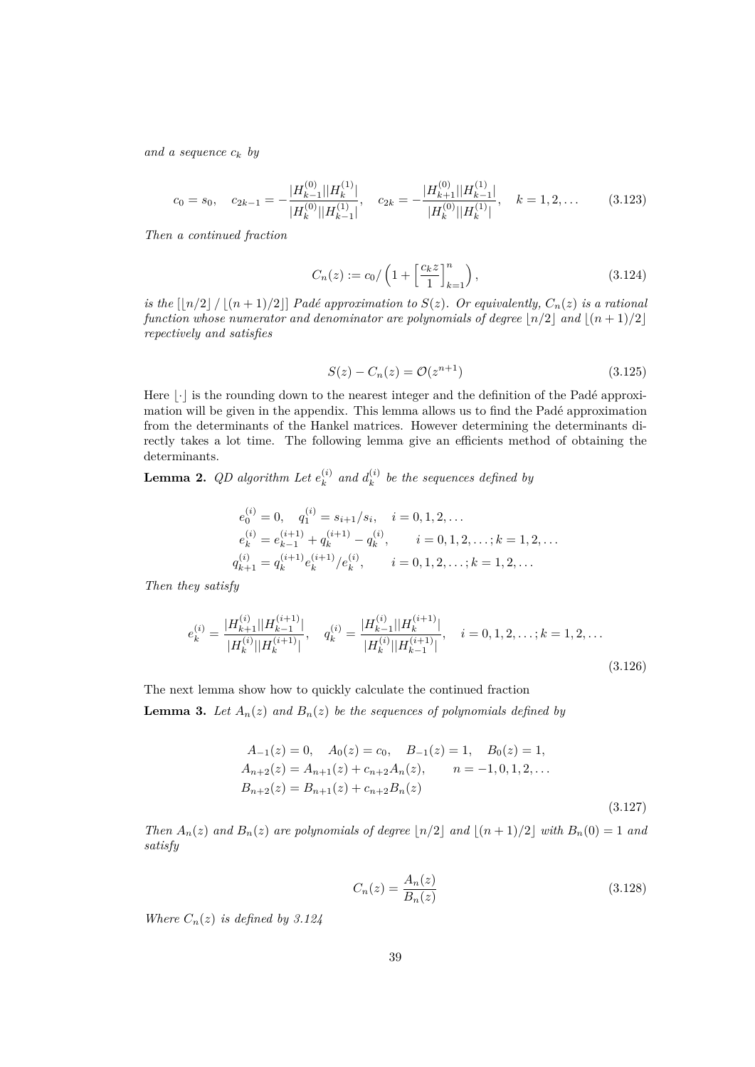*and a sequence c<sup>k</sup> by*

$$
c_0 = s_0, \quad c_{2k-1} = -\frac{|H_{k-1}^{(0)}||H_k^{(1)}|}{|H_k^{(0)}||H_{k-1}^{(1)}|}, \quad c_{2k} = -\frac{|H_{k+1}^{(0)}||H_{k-1}^{(1)}|}{|H_k^{(0)}||H_k^{(1)}|}, \quad k = 1, 2, \dots
$$
 (3.123)

*Then a continued fraction*

$$
C_n(z) := c_0 / \left( 1 + \left[ \frac{c_k z}{1} \right]_{k=1}^n \right), \tag{3.124}
$$

*is the*  $\lfloor n/2 \rfloor / \lfloor (n+1)/2 \rfloor$  *Padé approximation to*  $S(z)$ *. Or equivalently,*  $C_n(z)$  *is a rational function whose numerator and denominator are polynomials of degree*  $\lfloor n/2 \rfloor$  *and*  $\lfloor (n+1)/2 \rfloor$ *repectively and satisfies*

$$
S(z) - C_n(z) = \mathcal{O}(z^{n+1})
$$
\n(3.125)

Here *|⋅* is the rounding down to the nearest integer and the definition of the Padé approximation will be given in the appendix. This lemma allows us to find the Padé approximation from the determinants of the Hankel matrices. However determining the determinants directly takes a lot time. The following lemma give an efficients method of obtaining the determinants.

**Lemma 2.** QD algorithm Let  $e_k^{(i)}$  $\binom{i}{k}$  and  $d_k^{(i)}$  $h_k^{(i)}$  be the sequences defined by

$$
e_0^{(i)} = 0, \quad q_1^{(i)} = s_{i+1}/s_i, \quad i = 0, 1, 2, \dots
$$
  
\n
$$
e_k^{(i)} = e_{k-1}^{(i+1)} + q_k^{(i+1)} - q_k^{(i)}, \quad i = 0, 1, 2, \dots; k = 1, 2, \dots
$$
  
\n
$$
q_{k+1}^{(i)} = q_k^{(i+1)} e_k^{(i+1)}/e_k^{(i)}, \quad i = 0, 1, 2, \dots; k = 1, 2, \dots
$$

*Then they satisfy*

$$
e_k^{(i)} = \frac{|H_{k+1}^{(i)}||H_{k-1}^{(i+1)}|}{|H_k^{(i)}||H_k^{(i+1)}|}, \quad q_k^{(i)} = \frac{|H_{k-1}^{(i)}||H_k^{(i+1)}|}{|H_k^{(i)}||H_{k-1}^{(i+1)}|}, \quad i = 0, 1, 2, \dots; k = 1, 2, \dots
$$
\n(3.126)

The next lemma show how to quickly calculate the continued fraction

**Lemma 3.** Let  $A_n(z)$  and  $B_n(z)$  be the sequences of polynomials defined by

$$
A_{-1}(z) = 0, \quad A_0(z) = c_0, \quad B_{-1}(z) = 1, \quad B_0(z) = 1,
$$
  
\n
$$
A_{n+2}(z) = A_{n+1}(z) + c_{n+2}A_n(z), \qquad n = -1, 0, 1, 2, ...
$$
  
\n
$$
B_{n+2}(z) = B_{n+1}(z) + c_{n+2}B_n(z)
$$
\n(3.127)

Then  $A_n(z)$  and  $B_n(z)$  are polynomials of degree  $\lfloor n/2 \rfloor$  and  $\lfloor (n+1)/2 \rfloor$  with  $B_n(0) = 1$  and *satisfy*

$$
C_n(z) = \frac{A_n(z)}{B_n(z)}
$$
(3.128)

*Where*  $C_n(z)$  *is defined by 3.124*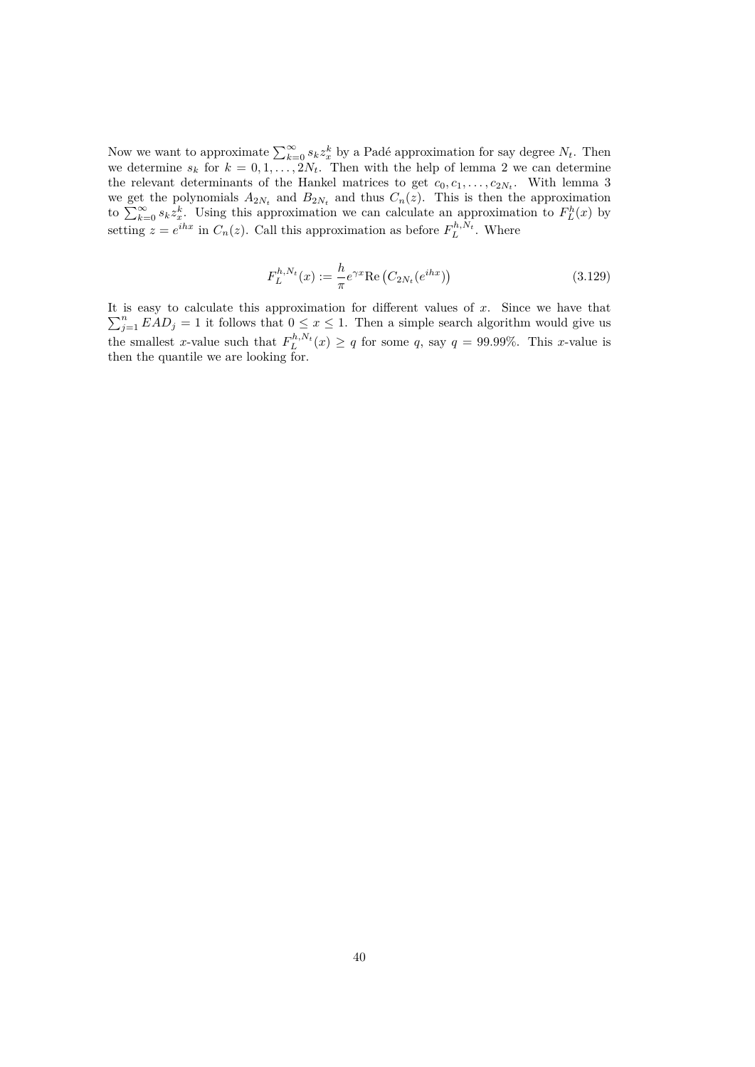Now we want to approximate  $\sum_{k=0}^{\infty} s_k z_x^k$  by a Padé approximation for say degree  $N_t$ . Then we determine  $s_k$  for  $k = 0, 1, \ldots, 2N_t$ . Then with the help of lemma 2 we can determine the relevant determinants of the Hankel matrices to get  $c_0, c_1, \ldots, c_{2N_t}$ . With lemma 3 we get the polynomials  $A_{2N_t}$  and  $B_{2N_t}$  and thus  $C_n(z)$ . This is then the approximation to  $\sum_{k=0}^{\infty} s_k z_x^k$ . Using this approximation we can calculate an approximation to  $F_L^h(x)$  by setting  $z = e^{ihx}$  in  $C_n(z)$ . Call this approximation as before  $F_L^{h,N_t}$ . Where

$$
F_L^{h,N_t}(x) := \frac{h}{\pi} e^{\gamma x} \text{Re}\left(C_{2N_t}(e^{ihx})\right)
$$
 (3.129)

It is easy to calculate this approximation for different values of *x*. Since we have that  $\sum_{j=1}^{n} EAD_j = 1$  it follows that  $0 \leq x \leq 1$ . Then a simple search algorithm would give us the smallest *x*-value such that  $F_L^{h,N_t}(x) \ge q$  for some *q*, say  $q = 99.99\%$ . This *x*-value is then the quantile we are looking for.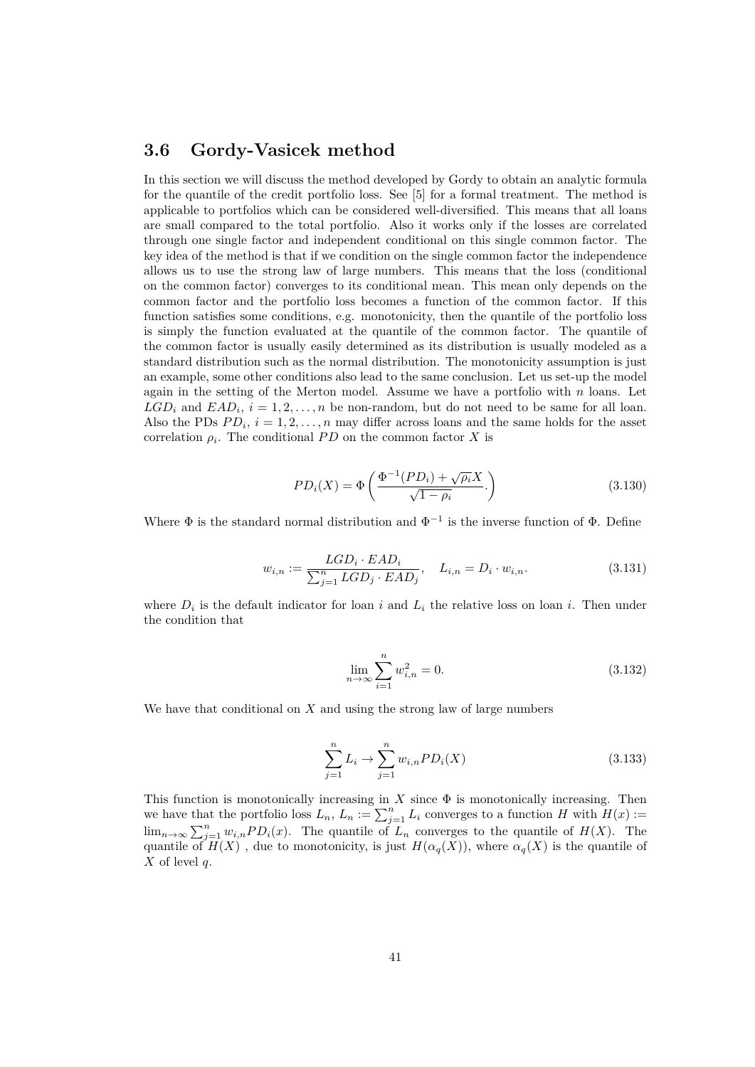### **3.6 Gordy-Vasicek method**

In this section we will discuss the method developed by Gordy to obtain an analytic formula for the quantile of the credit portfolio loss. See [5] for a formal treatment. The method is applicable to portfolios which can be considered well-diversified. This means that all loans are small compared to the total portfolio. Also it works only if the losses are correlated through one single factor and independent conditional on this single common factor. The key idea of the method is that if we condition on the single common factor the independence allows us to use the strong law of large numbers. This means that the loss (conditional on the common factor) converges to its conditional mean. This mean only depends on the common factor and the portfolio loss becomes a function of the common factor. If this function satisfies some conditions, e.g. monotonicity, then the quantile of the portfolio loss is simply the function evaluated at the quantile of the common factor. The quantile of the common factor is usually easily determined as its distribution is usually modeled as a standard distribution such as the normal distribution. The monotonicity assumption is just an example, some other conditions also lead to the same conclusion. Let us set-up the model again in the setting of the Merton model. Assume we have a portfolio with *n* loans. Let  $LGD_i$  and  $EAD_i$ ,  $i = 1, 2, \ldots, n$  be non-random, but do not need to be same for all loan. Also the PDs  $PD_i$ ,  $i = 1, 2, \ldots, n$  may differ across loans and the same holds for the asset correlation  $\rho_i$ . The conditional *PD* on the common factor *X* is

$$
PD_i(X) = \Phi\left(\frac{\Phi^{-1}(PD_i) + \sqrt{\rho_i}X}{\sqrt{1-\rho_i}}\right)
$$
\n(3.130)

Where  $\Phi$  is the standard normal distribution and  $\Phi^{-1}$  is the inverse function of  $\Phi$ . Define

$$
w_{i,n} := \frac{LGD_i \cdot EAD_i}{\sum_{j=1}^n LGD_j \cdot EAD_j}, \quad L_{i,n} = D_i \cdot w_{i,n}.
$$
\n(3.131)

where  $D_i$  is the default indicator for loan *i* and  $L_i$  the relative loss on loan *i*. Then under the condition that

$$
\lim_{n \to \infty} \sum_{i=1}^{n} w_{i,n}^{2} = 0.
$$
\n(3.132)

We have that conditional on *X* and using the strong law of large numbers

$$
\sum_{j=1}^{n} L_i \to \sum_{j=1}^{n} w_{i,n} PD_i(X)
$$
\n(3.133)

This function is monotonically increasing in  $X$  since  $\Phi$  is monotonically increasing. Then we have that the portfolio loss  $L_n$ ,  $L_n := \sum_{j=1}^n L_j$  converges to a function *H* with  $H(x) :=$  $\lim_{n\to\infty}\sum_{j=1}^n w_{i,n} PD_i(x)$ . The quantile of  $L_n$  converges to the quantile of  $H(X)$ . The quantile of  $H(X)$ , due to monotonicity, is just  $H(\alpha_q(X))$ , where  $\alpha_q(X)$  is the quantile of *X* of level *q*.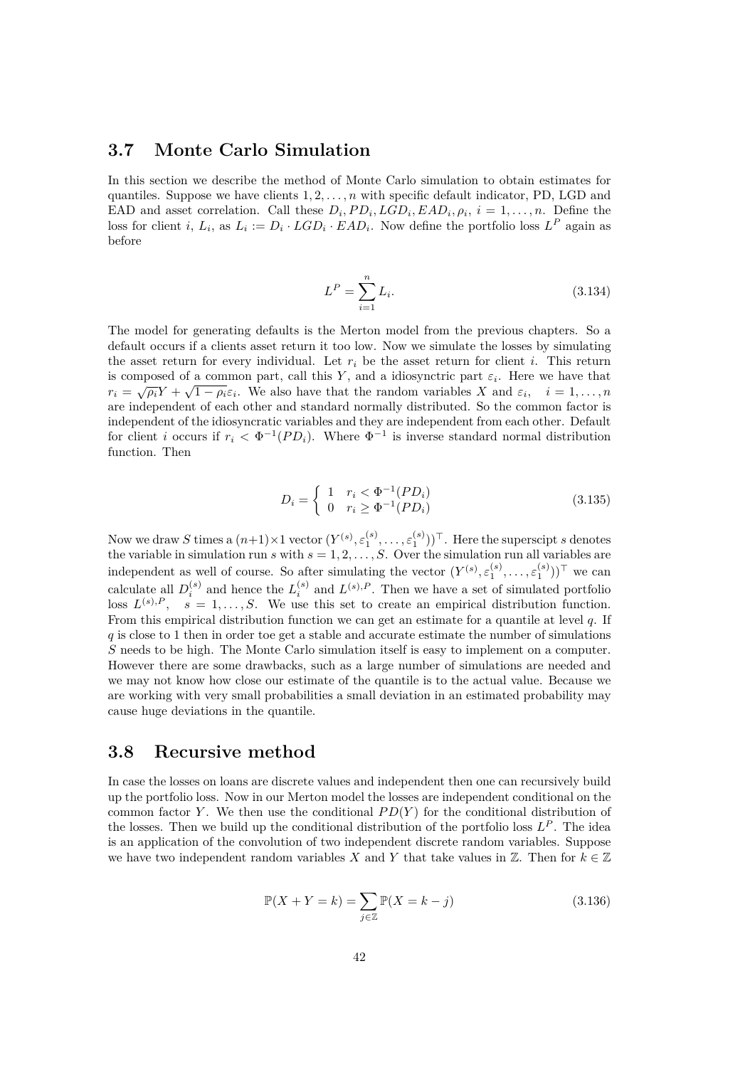## **3.7 Monte Carlo Simulation**

In this section we describe the method of Monte Carlo simulation to obtain estimates for quantiles. Suppose we have clients 1*,* 2*, . . . , n* with specific default indicator, PD, LGD and EAD and asset correlation. Call these  $D_i$ ,  $PD_i$ ,  $LGD_i$ ,  $EAD_i$ ,  $\rho_i$ ,  $i = 1, \ldots, n$ . Define the loss for client *i*,  $L_i$ , as  $L_i := D_i \cdot LGD_i \cdot EAD_i$ . Now define the portfolio loss  $L^P$  again as before

$$
L^{P} = \sum_{i=1}^{n} L_{i}.
$$
\n(3.134)

The model for generating defaults is the Merton model from the previous chapters. So a default occurs if a clients asset return it too low. Now we simulate the losses by simulating the asset return for every individual. Let  $r_i$  be the asset return for client *i*. This return is composed of a common part, call this *Y*, and a idiosynctric part  $\varepsilon_i$ . Here we have that  $r_i = \sqrt{\rho_i} Y + \sqrt{1 - \rho_i} \varepsilon_i$ . We also have that the random variables *X* and  $\varepsilon_i$ ,  $i = 1, ..., n$ are independent of each other and standard normally distributed. So the common factor is independent of the idiosyncratic variables and they are independent from each other. Default for client *i* occurs if  $r_i < \Phi^{-1}(PD_i)$ . Where  $\Phi^{-1}$  is inverse standard normal distribution function. Then

$$
D_i = \begin{cases} 1 & r_i < \Phi^{-1}(PD_i) \\ 0 & r_i \ge \Phi^{-1}(PD_i) \end{cases}
$$
 (3.135)

Now we draw *S* times a  $(n+1) \times 1$  vector  $(Y^{(s)}, \varepsilon_1^{(s)}, \ldots, \varepsilon_1^{(s)})$ )<sup> $\top$ </sup>. Here the superscipt *s* denotes the variable in simulation run *s* with  $s = 1, 2, \ldots, S$ . Over the simulation run all variables are independent as well of course. So after simulating the vector  $(Y^{(s)}, \varepsilon_1^{(s)}, \ldots, \varepsilon_1^{(s)})^{\top}$  we can calculate all  $D_i^{(s)}$  and hence the  $L_i^{(s)}$  and  $L^{(s),P}$ . Then we have a set of simulated portfolio loss  $L^{(s),P}$ ,  $s = 1, \ldots, S$ . We use this set to create an empirical distribution function. From this empirical distribution function we can get an estimate for a quantile at level *q*. If *q* is close to 1 then in order toe get a stable and accurate estimate the number of simulations *S* needs to be high. The Monte Carlo simulation itself is easy to implement on a computer. However there are some drawbacks, such as a large number of simulations are needed and we may not know how close our estimate of the quantile is to the actual value. Because we are working with very small probabilities a small deviation in an estimated probability may cause huge deviations in the quantile.

### **3.8 Recursive method**

In case the losses on loans are discrete values and independent then one can recursively build up the portfolio loss. Now in our Merton model the losses are independent conditional on the common factor *Y*. We then use the conditional *PD(Y)* for the conditional distribution of the losses. Then we build up the conditional distribution of the portfolio loss  $L^P$ . The idea is an application of the convolution of two independent discrete random variables. Suppose we have two independent random variables *X* and *Y* that take values in  $\mathbb{Z}$ . Then for  $k \in \mathbb{Z}$ 

$$
\mathbb{P}(X+Y=k) = \sum_{j\in\mathbb{Z}} \mathbb{P}(X=k-j)
$$
\n(3.136)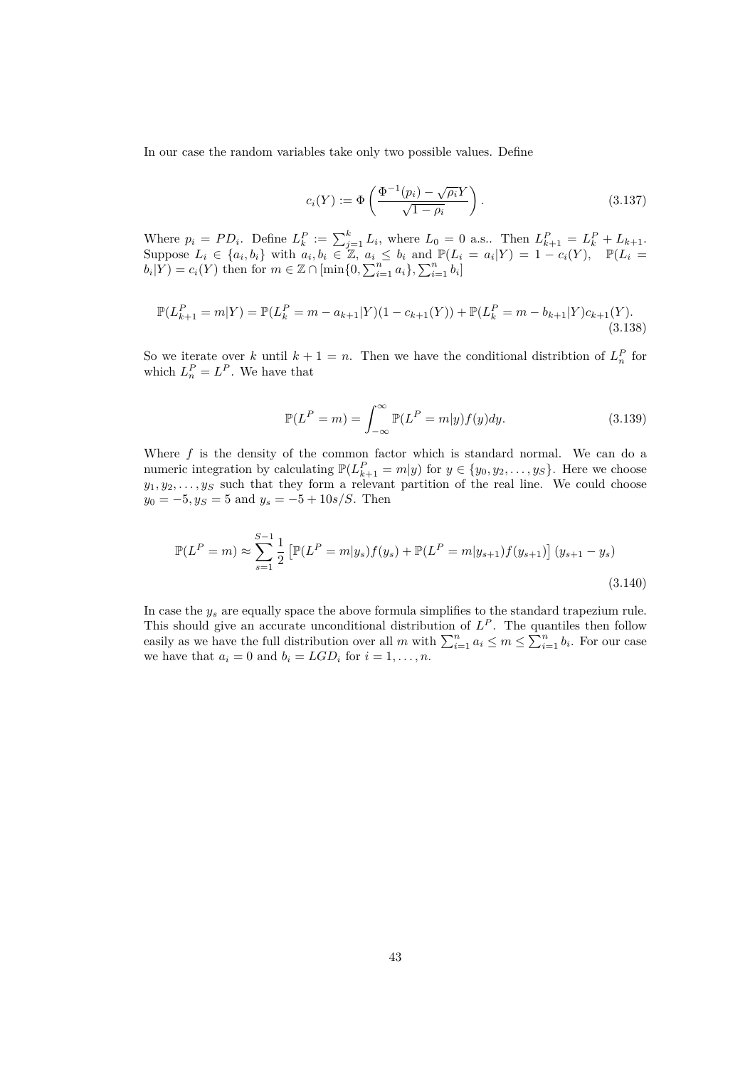In our case the random variables take only two possible values. Define

$$
c_i(Y) := \Phi\left(\frac{\Phi^{-1}(p_i) - \sqrt{\rho_i}Y}{\sqrt{1 - \rho_i}}\right). \tag{3.137}
$$

Where  $p_i = PD_i$ . Define  $L_k^P := \sum_{j=1}^k L_i$ , where  $L_0 = 0$  a.s.. Then  $L_{k+1}^P = L_k^P + L_{k+1}$ . Suppose  $L_i \in \{a_i, b_i\}$  with  $a_i, b_i \in \mathbb{Z}$ ,  $a_i \leq b_i$  and  $\mathbb{P}(L_i = a_i | Y) = 1 - c_i(Y)$ ,  $\mathbb{P}(L_i = a_i | Y) = 1 - c_i(Y)$  $b_i|Y$  =  $c_i(Y)$  then for  $m \in \mathbb{Z} \cap [\min\{0, \sum_{i=1}^n a_i\}, \sum_{i=1}^n b_i]$ 

$$
\mathbb{P}(L_{k+1}^P = m|Y) = \mathbb{P}(L_k^P = m - a_{k+1}|Y)(1 - c_{k+1}(Y)) + \mathbb{P}(L_k^P = m - b_{k+1}|Y)c_{k+1}(Y).
$$
\n(3.138)

So we iterate over *k* until  $k + 1 = n$ . Then we have the conditional distribtion of  $L_n^P$  for which  $L_n^P = L^P$ . We have that

$$
\mathbb{P}(L^P = m) = \int_{-\infty}^{\infty} \mathbb{P}(L^P = m|y) f(y) dy.
$$
 (3.139)

Where  $f$  is the density of the common factor which is standard normal. We can do a numeric integration by calculating  $\mathbb{P}(L_{k+1}^P = m|y)$  for  $y \in \{y_0, y_2, \ldots, y_S\}$ . Here we choose  $y_1, y_2, \ldots, y_\mathcal{S}$  such that they form a relevant partition of the real line. We could choose  $y_0 = -5, y_S = 5$  and  $y_s = -5 + 10s/S$ . Then

$$
\mathbb{P}(L^P = m) \approx \sum_{s=1}^{S-1} \frac{1}{2} \left[ \mathbb{P}(L^P = m|y_s) f(y_s) + \mathbb{P}(L^P = m|y_{s+1}) f(y_{s+1}) \right] (y_{s+1} - y_s)
$$
\n(3.140)

In case the *y<sup>s</sup>* are equally space the above formula simplifies to the standard trapezium rule. This should give an accurate unconditional distribution of  $L^P$ . The quantiles then follow easily as we have the full distribution over all *m* with  $\sum_{i=1}^{n} a_i \le m \le \sum_{i=1}^{n} b_i$ . For our case we have that  $a_i = 0$  and  $b_i = LGD_i$  for  $i = 1, \ldots, n$ .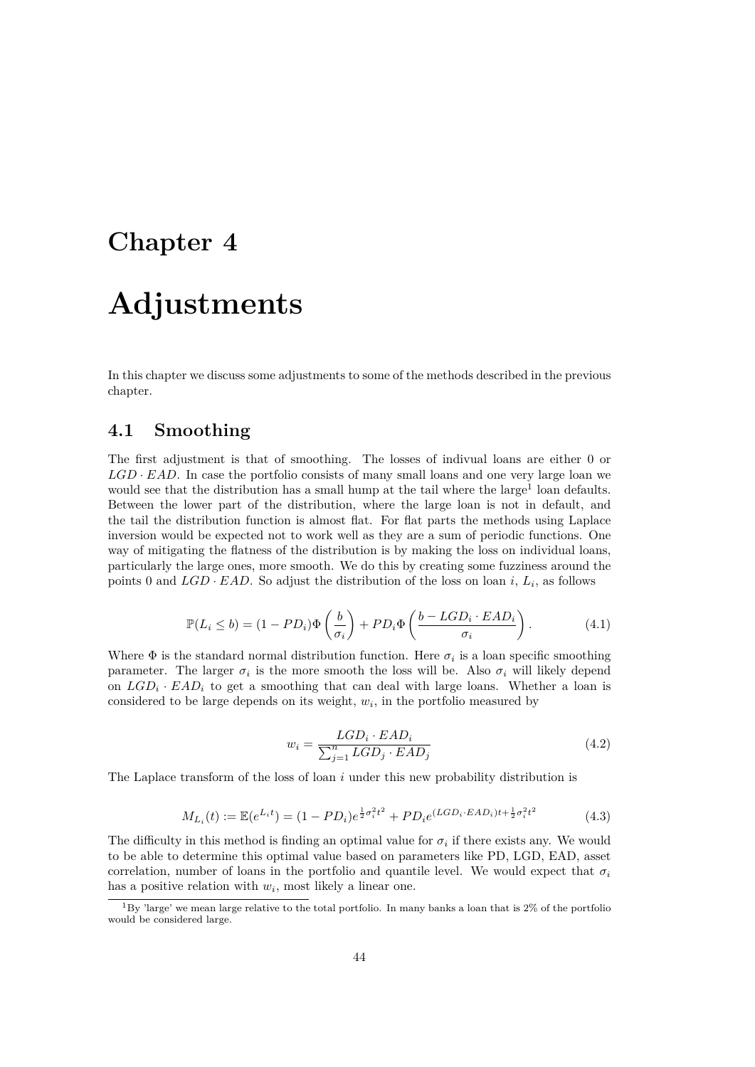## **Chapter 4**

## **Adjustments**

In this chapter we discuss some adjustments to some of the methods described in the previous chapter.

### **4.1 Smoothing**

The first adjustment is that of smoothing. The losses of indivual loans are either 0 or  $LGD \cdot EAD$ . In case the portfolio consists of many small loans and one very large loan we would see that the distribution has a small hump at the tail where the large<sup>1</sup> loan defaults. Between the lower part of the distribution, where the large loan is not in default, and the tail the distribution function is almost flat. For flat parts the methods using Laplace inversion would be expected not to work well as they are a sum of periodic functions. One way of mitigating the flatness of the distribution is by making the loss on individual loans, particularly the large ones, more smooth. We do this by creating some fuzziness around the points 0 and  $LGD \cdot EAD$ . So adjust the distribution of the loss on loan *i*,  $L_i$ , as follows

$$
\mathbb{P}(L_i \le b) = (1 - PD_i)\Phi\left(\frac{b}{\sigma_i}\right) + PD_i\Phi\left(\frac{b - LGD_i \cdot EAD_i}{\sigma_i}\right). \tag{4.1}
$$

Where  $\Phi$  is the standard normal distribution function. Here  $\sigma_i$  is a loan specific smoothing parameter. The larger  $\sigma_i$  is the more smooth the loss will be. Also  $\sigma_i$  will likely depend on  $LGD_i \cdot EAD_i$  to get a smoothing that can deal with large loans. Whether a loan is considered to be large depends on its weight,  $w_i$ , in the portfolio measured by

$$
w_i = \frac{LGD_i \cdot EAD_i}{\sum_{j=1}^n LGD_j \cdot EAD_j} \tag{4.2}
$$

The Laplace transform of the loss of loan *i* under this new probability distribution is

$$
M_{L_i}(t) := \mathbb{E}(e^{L_i t}) = (1 - PD_i)e^{\frac{1}{2}\sigma_i^2 t^2} + PD_i e^{(LGD_i \cdot EAD_i)t + \frac{1}{2}\sigma_i^2 t^2}
$$
(4.3)

The difficulty in this method is finding an optimal value for  $\sigma_i$  if there exists any. We would to be able to determine this optimal value based on parameters like PD, LGD, EAD, asset correlation, number of loans in the portfolio and quantile level. We would expect that  $\sigma_i$ has a positive relation with  $w_i$ , most likely a linear one.

<sup>1</sup>By 'large' we mean large relative to the total portfolio. In many banks a loan that is 2% of the portfolio would be considered large.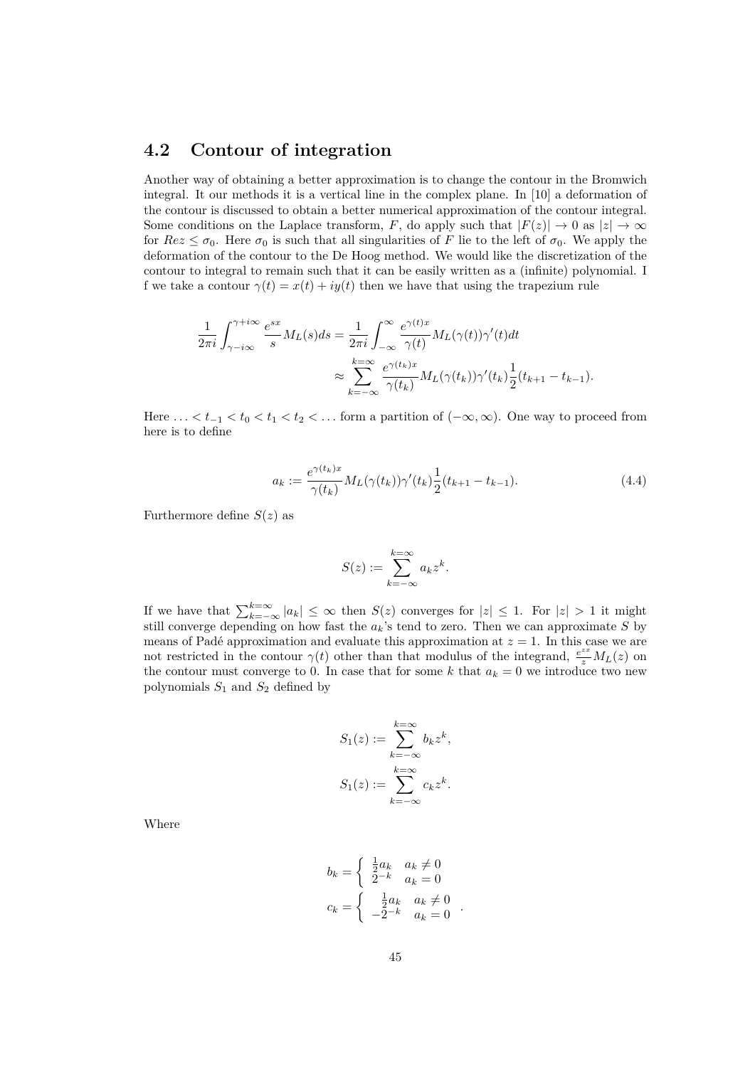### **4.2 Contour of integration**

Another way of obtaining a better approximation is to change the contour in the Bromwich integral. It our methods it is a vertical line in the complex plane. In [10] a deformation of the contour is discussed to obtain a better numerical approximation of the contour integral. Some conditions on the Laplace transform, *F*, do apply such that  $|F(z)| \to 0$  as  $|z| \to \infty$ for  $Re z \leq \sigma_0$ . Here  $\sigma_0$  is such that all singularities of *F* lie to the left of  $\sigma_0$ . We apply the deformation of the contour to the De Hoog method. We would like the discretization of the contour to integral to remain such that it can be easily written as a (infinite) polynomial. I f we take a contour  $\gamma(t) = x(t) + iy(t)$  then we have that using the trapezium rule

$$
\frac{1}{2\pi i} \int_{\gamma - i\infty}^{\gamma + i\infty} \frac{e^{sx}}{s} M_L(s) ds = \frac{1}{2\pi i} \int_{-\infty}^{\infty} \frac{e^{\gamma(t)x}}{\gamma(t)} M_L(\gamma(t)) \gamma'(t) dt
$$

$$
\approx \sum_{k=-\infty}^{k=\infty} \frac{e^{\gamma(t_k)x}}{\gamma(t_k)} M_L(\gamma(t_k)) \gamma'(t_k) \frac{1}{2}(t_{k+1} - t_{k-1}).
$$

Here  $\dots < t_{-1} < t_0 < t_1 < t_2 < \dots$  form a partition of  $(-\infty, \infty)$ . One way to proceed from here is to define

$$
a_k := \frac{e^{\gamma(t_k)x}}{\gamma(t_k)} M_L(\gamma(t_k)) \gamma'(t_k) \frac{1}{2} (t_{k+1} - t_{k-1}).
$$
\n(4.4)

Furthermore define  $S(z)$  as

$$
S(z) := \sum_{k=-\infty}^{k=\infty} a_k z^k.
$$

If we have that  $\sum_{k=-\infty}^{k=\infty} |a_k| \leq \infty$  then  $S(z)$  converges for  $|z| \leq 1$ . For  $|z| > 1$  it might still converge depending on how fast the *ak*'s tend to zero. Then we can approximate *S* by means of Padé approximation and evaluate this approximation at  $z = 1$ . In this case we are not restricted in the contour  $\gamma(t)$  other than that modulus of the integrand,  $\frac{e^{zx}}{z}M_L(z)$  on the contour must converge to 0. In case that for some *k* that  $a_k = 0$  we introduce two new polynomials  $S_1$  and  $S_2$  defined by

$$
S_1(z) := \sum_{k=-\infty}^{k=\infty} b_k z^k,
$$
  

$$
S_1(z) := \sum_{k=-\infty}^{k=\infty} c_k z^k.
$$

Where

$$
b_k = \begin{cases} \frac{1}{2}a_k & a_k \neq 0\\ 2^{-k} & a_k = 0 \end{cases}
$$
  

$$
c_k = \begin{cases} \frac{1}{2}a_k & a_k \neq 0\\ -2^{-k} & a_k = 0 \end{cases}
$$
.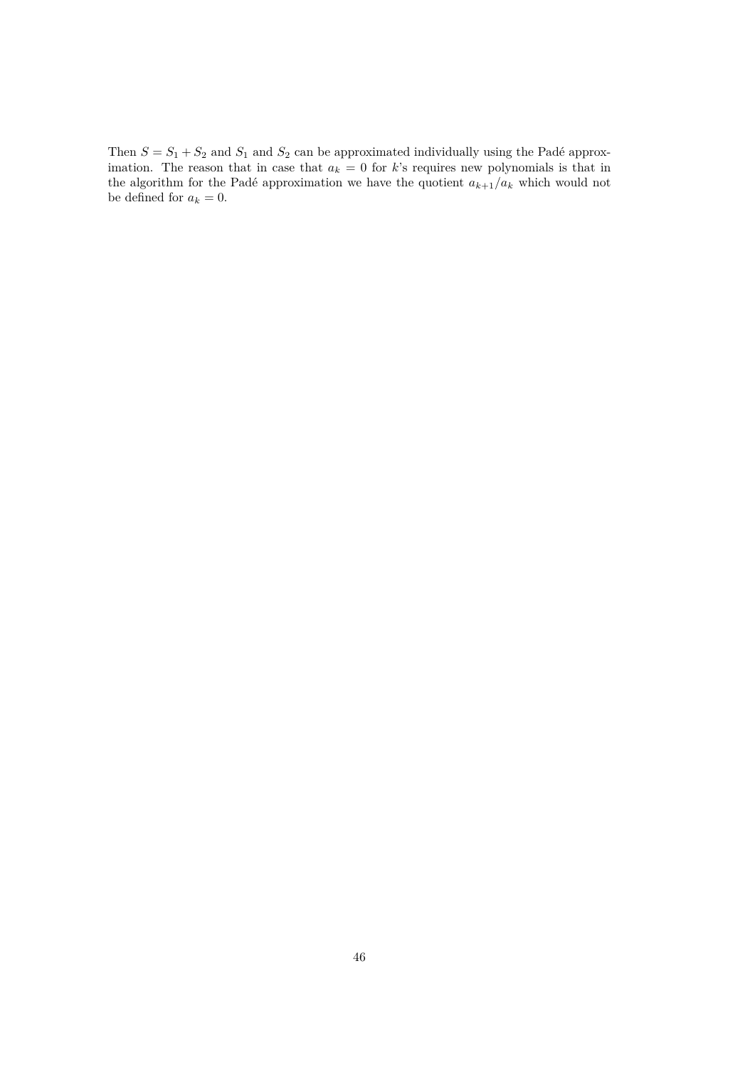Then  $S = S_1 + S_2$  and  $S_1$  and  $S_2$  can be approximated individually using the Padé approximation. The reason that in case that  $a_k = 0$  for *k*'s requires new polynomials is that in the algorithm for the Padé approximation we have the quotient  $a_{k+1}/a_k$  which would not be defined for  $a_k = 0$ .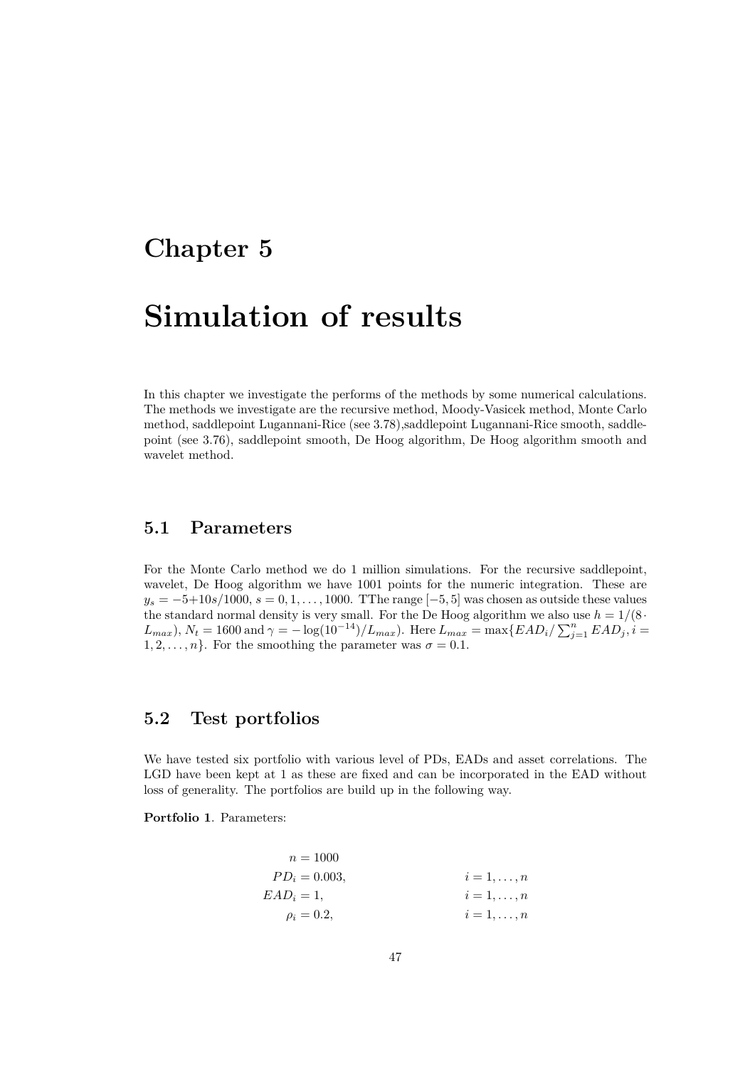## **Chapter 5**

## **Simulation of results**

In this chapter we investigate the performs of the methods by some numerical calculations. The methods we investigate are the recursive method, Moody-Vasicek method, Monte Carlo method, saddlepoint Lugannani-Rice (see 3.78),saddlepoint Lugannani-Rice smooth, saddlepoint (see 3.76), saddlepoint smooth, De Hoog algorithm, De Hoog algorithm smooth and wavelet method.

## **5.1 Parameters**

For the Monte Carlo method we do 1 million simulations. For the recursive saddlepoint, wavelet, De Hoog algorithm we have 1001 points for the numeric integration. These are *y*<sub>*s*</sub> = −5+10*s*/1000, *s* = 0*,* 1*, . . . ,* 1000. TThe range [−5*,* 5] was chosen as outside these values the standard normal density is very small. For the De Hoog algorithm we also use  $h = 1/(8 \cdot$  $L_{max}$ ),  $N_t = 1600$  and  $\gamma = -\log(10^{-14})/L_{max}$ . Here  $L_{max} = \max\{EAD_i/\sum_{j=1}^{n} EAD_j, i = 1600$  $1, 2, \ldots, n$ <sup>2</sup>. For the smoothing the parameter was  $\sigma = 0.1$ .

## **5.2 Test portfolios**

We have tested six portfolio with various level of PDs, EADs and asset correlations. The LGD have been kept at 1 as these are fixed and can be incorporated in the EAD without loss of generality. The portfolios are build up in the following way.

**Portfolio 1**. Parameters:

$$
n = 1000
$$
  
\n
$$
PD_i = 0.003,
$$
  
\n
$$
EAD_i = 1,
$$
  
\n
$$
\rho_i = 0.2,
$$
  
\n
$$
i = 1, ..., n
$$
  
\n
$$
i = 1, ..., n
$$
  
\n
$$
i = 1, ..., n
$$
  
\n
$$
i = 1, ..., n
$$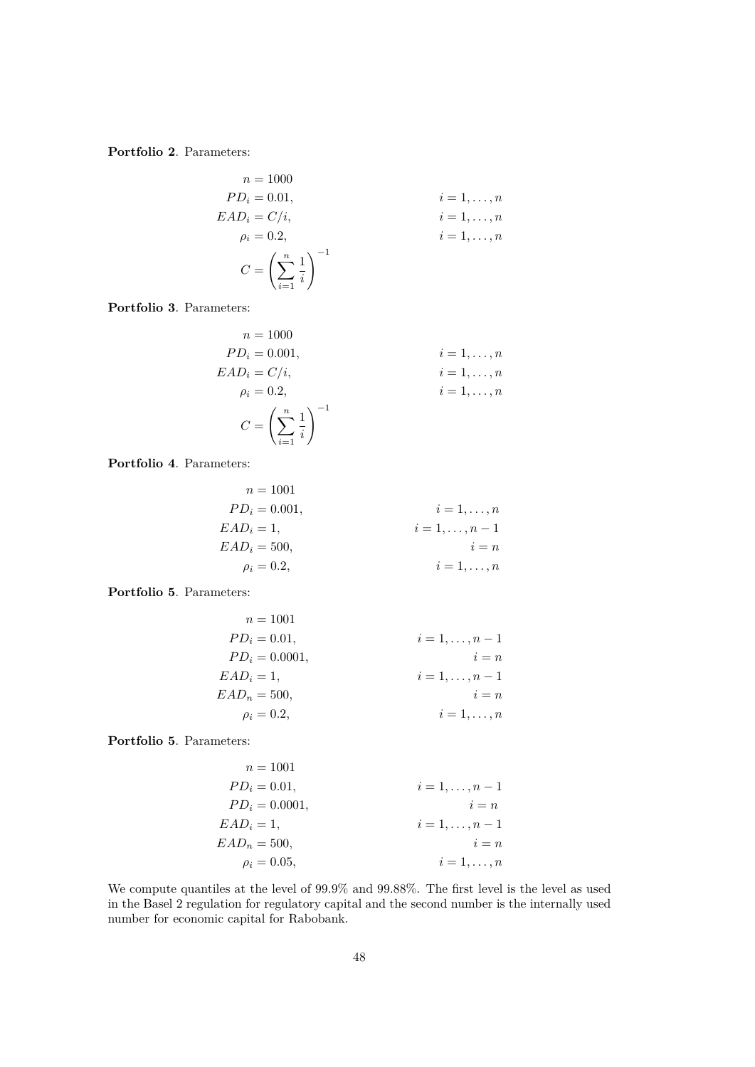**Portfolio 2**. Parameters:

$$
n = 1000
$$
  
\n
$$
PD_i = 0.01,
$$
  
\n
$$
EAD_i = C/i,
$$
  
\n
$$
\rho_i = 0.2,
$$
  
\n
$$
i = 1, ..., n
$$
  
\n
$$
i = 1, ..., n
$$
  
\n
$$
i = 1, ..., n
$$
  
\n
$$
i = 1, ..., n
$$
  
\n
$$
i = 1, ..., n
$$
  
\n
$$
i = 1, ..., n
$$

**Portfolio 3**. Parameters:

$$
n = 1000
$$
  
\n
$$
PD_{i} = 0.001,
$$
  
\n
$$
EAD_{i} = C/i,
$$
  
\n
$$
\rho_{i} = 0.2,
$$
  
\n
$$
i = 1,...,n
$$
  
\n
$$
i = 1,...,n
$$
  
\n
$$
i = 1,...,n
$$
  
\n
$$
i = 1,...,n
$$
  
\n
$$
i = 1,...,n
$$
  
\n
$$
i = 1,...,n
$$

**Portfolio 4**. Parameters:

$$
n = 1001
$$
  
\n
$$
PD_i = 0.001,
$$
  
\n
$$
EAD_i = 1,
$$
  
\n
$$
EAD_i = 500,
$$
  
\n
$$
\rho_i = 0.2,
$$
  
\n
$$
i = 1,...,n - 1
$$
  
\n
$$
i = 1,...,n - 1
$$
  
\n
$$
i = 1,...,n
$$
  
\n
$$
i = 1,...,n
$$

**Portfolio 5**. Parameters:

$$
n = 1001
$$
  
\n
$$
PD_i = 0.01,
$$
  
\n
$$
PD_i = 0.0001,
$$
  
\n
$$
EAD_i = 1,
$$
  
\n
$$
EAD_n = 500,
$$
  
\n
$$
\rho_i = 0.2,
$$
  
\n
$$
i = 1, ..., n - 1
$$
  
\n
$$
i = 1, ..., n - 1
$$
  
\n
$$
i = 1, ..., n - 1
$$
  
\n
$$
i = 1, ..., n - 1
$$
  
\n
$$
i = 1, ..., n - 1
$$
  
\n
$$
i = 1, ..., n - 1
$$
  
\n
$$
i = 1, ..., n - 1
$$
  
\n
$$
i = 1, ..., n - 1
$$
  
\n
$$
i = 1, ..., n - 1
$$

**Portfolio 5**. Parameters:

$$
n = 1001
$$
  
\n
$$
PD_i = 0.01,
$$
  
\n
$$
PD_i = 0.0001,
$$
  
\n
$$
EAD_i = 1,
$$
  
\n
$$
EAD_n = 500,
$$
  
\n
$$
\rho_i = 0.05,
$$
  
\n
$$
i = 1,..., n - 1
$$
  
\n
$$
i = n
$$
  
\n
$$
i = 1,..., n - 1
$$
  
\n
$$
i = n
$$
  
\n
$$
i = 1,..., n
$$

We compute quantiles at the level of 99.9% and 99.88%. The first level is the level as used in the Basel 2 regulation for regulatory capital and the second number is the internally used number for economic capital for Rabobank.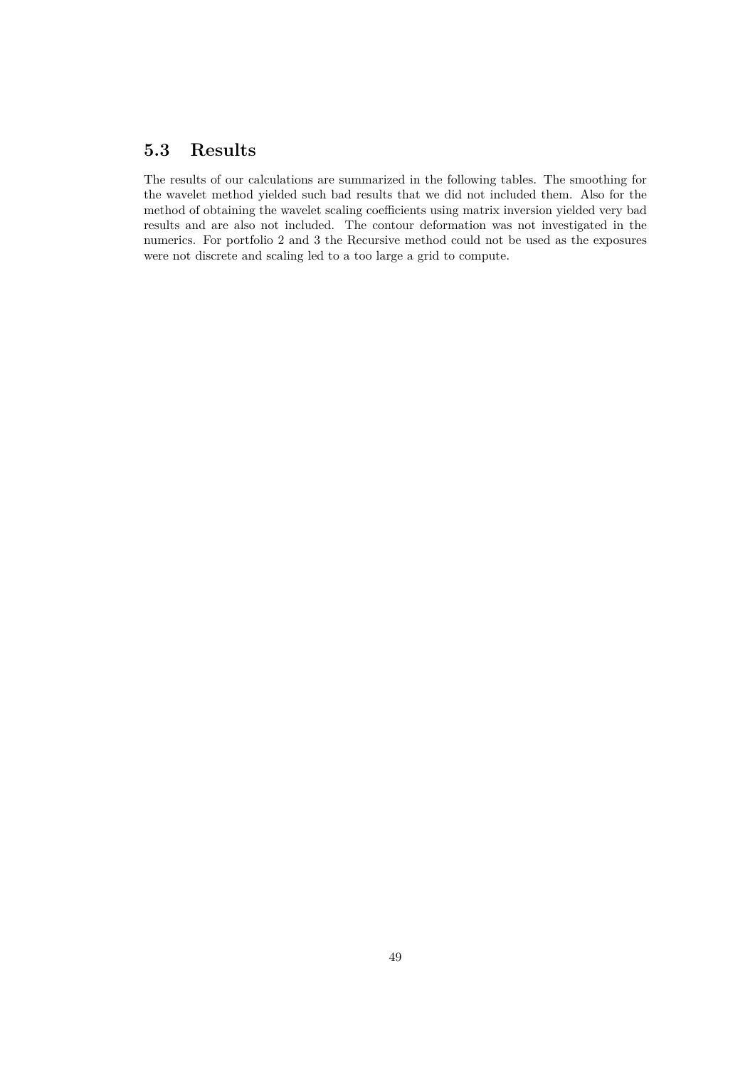## **5.3 Results**

The results of our calculations are summarized in the following tables. The smoothing for the wavelet method yielded such bad results that we did not included them. Also for the method of obtaining the wavelet scaling coefficients using matrix inversion yielded very bad results and are also not included. The contour deformation was not investigated in the numerics. For portfolio 2 and 3 the Recursive method could not be used as the exposures were not discrete and scaling led to a too large a grid to compute.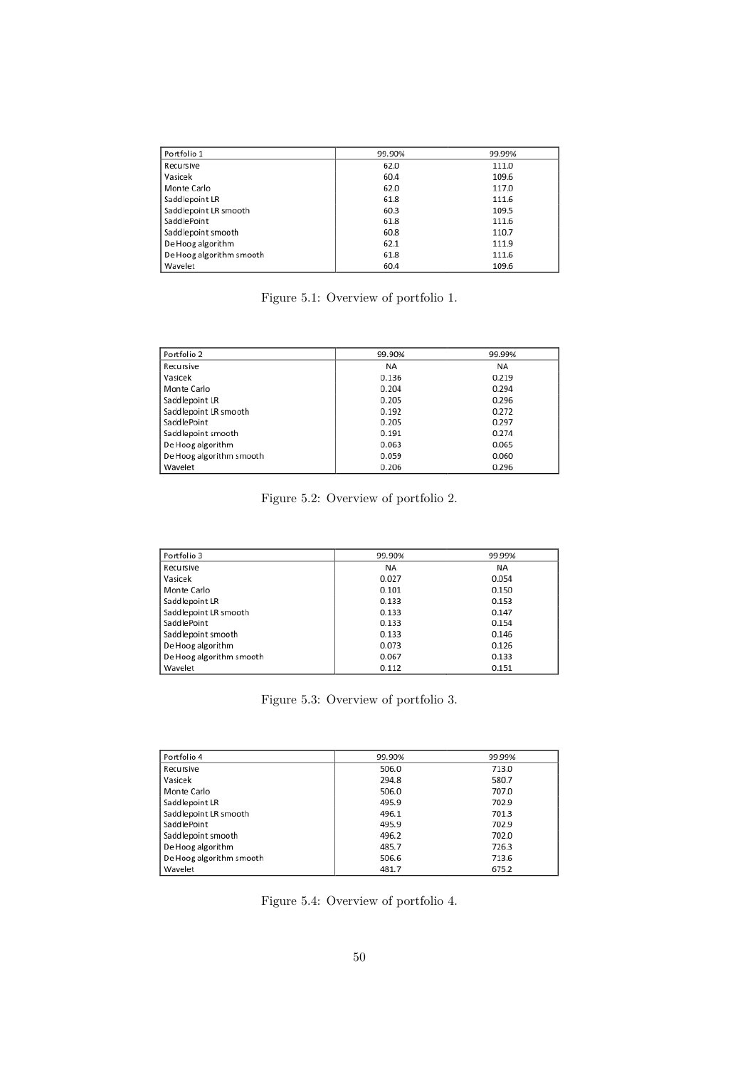| Portfolio 1              | 99.90% | 99.99% |
|--------------------------|--------|--------|
| Recursive                | 62.0   | 111.0  |
| Vasicek                  | 60.4   | 109.6  |
| Monte Carlo              | 62.0   | 117.0  |
| Saddlepoint LR           | 61.8   | 111.6  |
| Saddlepoint LR smooth    | 60.3   | 109.5  |
| SaddlePoint              | 61.8   | 111.6  |
| Saddlepoint smooth       | 60.8   | 110.7  |
| De Hoog algorithm        | 62.1   | 111.9  |
| De Hoog algorithm smooth | 61.8   | 111.6  |
| Wavelet                  | 60.4   | 109.6  |

Figure 5.1: Overview of portfolio 1.

| Portfolio 2              | 99.90% | 99.99% |
|--------------------------|--------|--------|
| Recursive                | ΝA     | ΝA     |
| Vasicek                  | 0.136  | 0.219  |
| Monte Carlo              | 0.204  | 0.294  |
| Saddlepoint LR           | 0.205  | 0.296  |
| Saddlepoint LR smooth    | 0.192  | 0.272  |
| SaddlePoint              | 0.205  | 0.297  |
| Saddlepoint smooth       | 0.191  | 0.274  |
| De Hoog algorithm        | 0.063  | 0.065  |
| De Hoog algorithm smooth | 0.059  | 0.060  |
| Wavelet                  | 0.206  | 0.296  |

Figure 5.2: Overview of portfolio 2.

| Portfolio 3              | 99.90% | 99.99% |
|--------------------------|--------|--------|
| Recursive                | ΝA     | ΝA     |
| Vasicek                  | 0.027  | 0.054  |
| Monte Carlo              | 0.101  | 0.150  |
| Saddlepoint LR           | 0.133  | 0.153  |
| Saddlepoint LR smooth    | 0.133  | 0.147  |
| SaddlePoint              | 0.133  | 0.154  |
| Saddlepoint smooth       | 0.133  | 0.146  |
| De Hoog algorithm        | 0.073  | 0.126  |
| De Hoog algorithm smooth | 0.067  | 0.133  |
| Wavelet                  | 0.112  | 0.151  |

Figure 5.3: Overview of portfolio 3.

| Portfolio 4              | 99.90% | 99.99% |
|--------------------------|--------|--------|
| Recursive                | 506.0  | 713.0  |
| Vasicek                  | 294.8  | 580.7  |
| Monte Carlo              | 506.0  | 707.0  |
| Saddlepoint LR           | 495.9  | 702.9  |
| Saddlepoint LR smooth    | 496.1  | 701.3  |
| SaddlePoint              | 495.9  | 702.9  |
| Saddlepoint smooth       | 496.2  | 702.0  |
| De Hoog algorithm        | 485.7  | 726.3  |
| De Hoog algorithm smooth | 506.6  | 713.6  |
| Wavelet                  | 481.7  | 675.2  |

Figure 5.4: Overview of portfolio 4.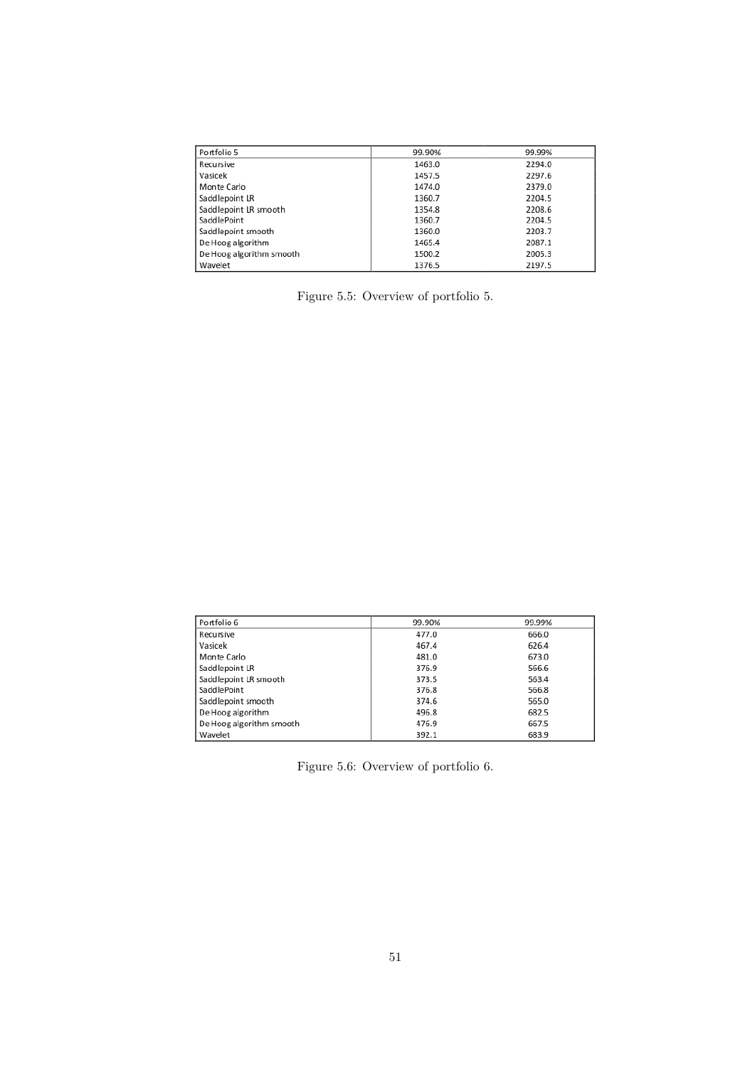| Portfolio 5              | 99.90% | 99.99% |
|--------------------------|--------|--------|
| Recursive                | 1463.0 | 2294.0 |
| Vasicek                  | 1457.5 | 2297.6 |
| Monte Carlo              | 1474.0 | 2379.0 |
| Saddlepoint LR           | 1360.7 | 2204.5 |
| Saddlepoint LR smooth    | 1354.8 | 2208.6 |
| SaddlePoint              | 1360.7 | 2204.5 |
| Saddlepoint smooth       | 1360.0 | 2203.7 |
| De Hoog algorithm        | 1465.4 | 2087.1 |
| De Hoog algorithm smooth | 1500.2 | 2005.3 |
| Wavelet                  | 1376.5 | 2197.5 |

Figure 5.5: Overview of portfolio 5.

| Portfolio 6              | 99.90% | 99.99% |
|--------------------------|--------|--------|
| Recursive                | 477.0  | 666.0  |
| Vasicek                  | 467.4  | 626.4  |
| Monte Carlo              | 481.0  | 673.0  |
| Saddlepoint LR           | 376.9  | 566.6  |
| Saddlepoint LR smooth    | 373.5  | 563.4  |
| SaddlePoint              | 376.8  | 566.8  |
| Saddlepoint smooth       | 374.6  | 565.0  |
| De Hoog algorithm        | 496.8  | 682.5  |
| De Hoog algorithm smooth | 476.9  | 667.5  |
| Wavelet                  | 392.1  | 683.9  |

Figure 5.6: Overview of portfolio 6.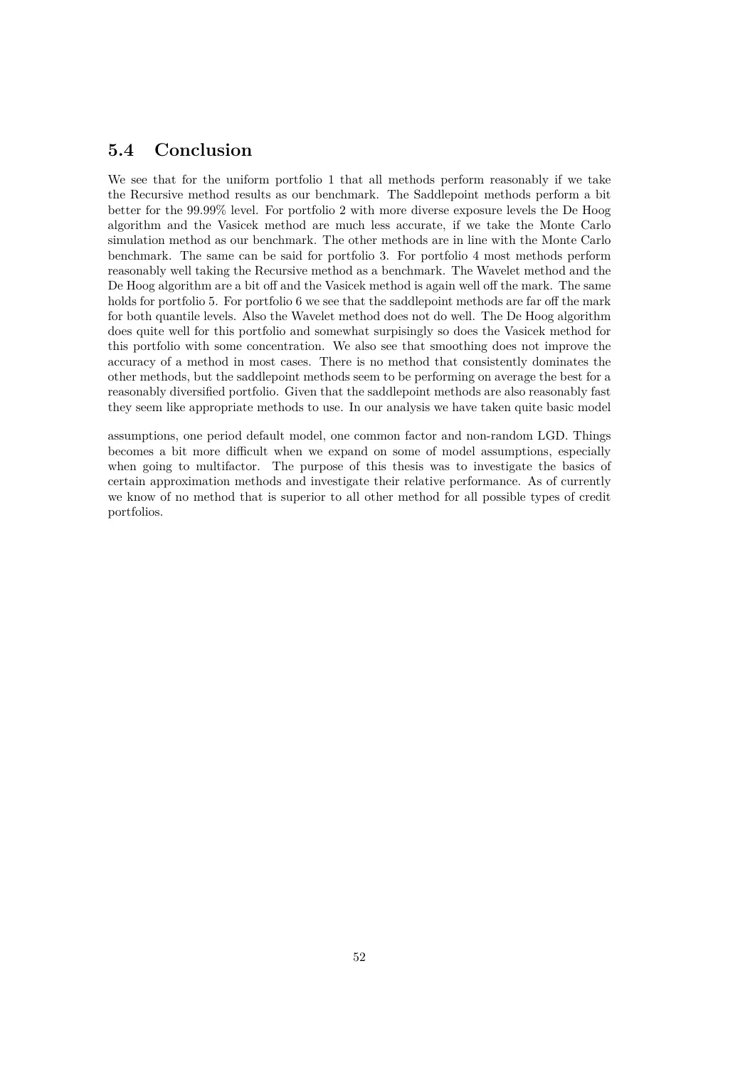## **5.4 Conclusion**

We see that for the uniform portfolio 1 that all methods perform reasonably if we take the Recursive method results as our benchmark. The Saddlepoint methods perform a bit better for the 99.99% level. For portfolio 2 with more diverse exposure levels the De Hoog algorithm and the Vasicek method are much less accurate, if we take the Monte Carlo simulation method as our benchmark. The other methods are in line with the Monte Carlo benchmark. The same can be said for portfolio 3. For portfolio 4 most methods perform reasonably well taking the Recursive method as a benchmark. The Wavelet method and the De Hoog algorithm are a bit off and the Vasicek method is again well off the mark. The same holds for portfolio 5. For portfolio 6 we see that the saddlepoint methods are far off the mark for both quantile levels. Also the Wavelet method does not do well. The De Hoog algorithm does quite well for this portfolio and somewhat surpisingly so does the Vasicek method for this portfolio with some concentration. We also see that smoothing does not improve the accuracy of a method in most cases. There is no method that consistently dominates the other methods, but the saddlepoint methods seem to be performing on average the best for a reasonably diversified portfolio. Given that the saddlepoint methods are also reasonably fast they seem like appropriate methods to use. In our analysis we have taken quite basic model

assumptions, one period default model, one common factor and non-random LGD. Things becomes a bit more difficult when we expand on some of model assumptions, especially when going to multifactor. The purpose of this thesis was to investigate the basics of certain approximation methods and investigate their relative performance. As of currently we know of no method that is superior to all other method for all possible types of credit portfolios.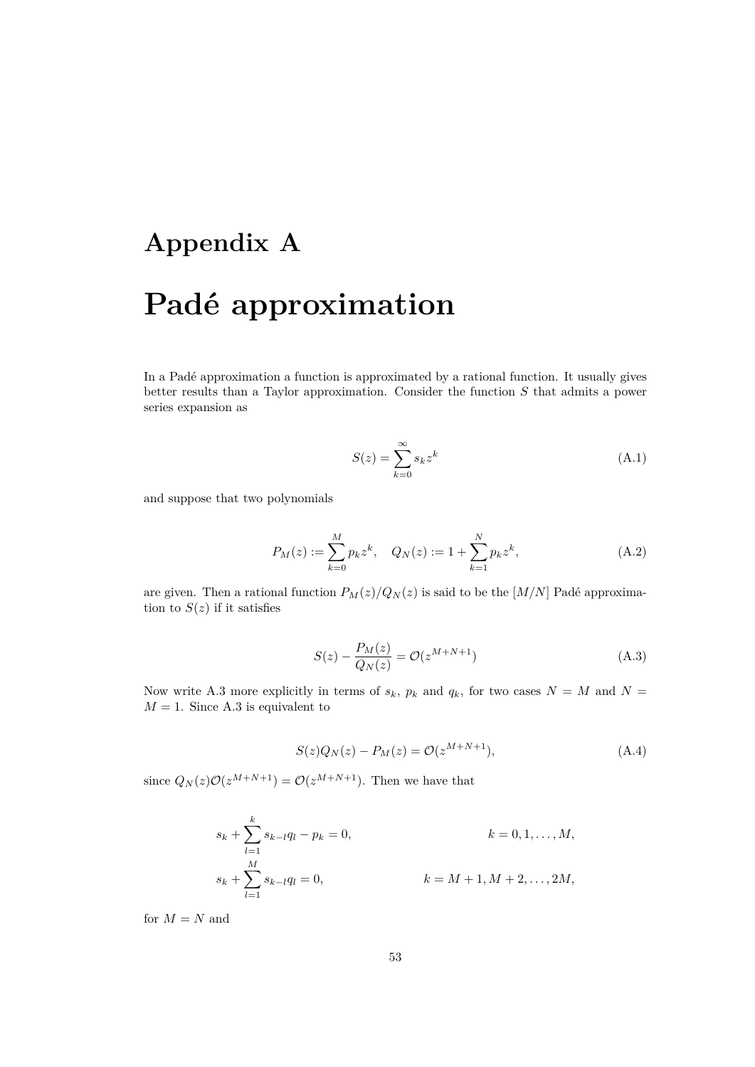# **Appendix A Padé approximation**

In a Padé approximation a function is approximated by a rational function. It usually gives better results than a Taylor approximation. Consider the function *S* that admits a power series expansion as

$$
S(z) = \sum_{k=0}^{\infty} s_k z^k
$$
 (A.1)

and suppose that two polynomials

$$
P_M(z) := \sum_{k=0}^{M} p_k z^k, \quad Q_N(z) := 1 + \sum_{k=1}^{N} p_k z^k,
$$
 (A.2)

are given. Then a rational function  $P_M(z)/Q_N(z)$  is said to be the [M/N] Padé approximation to  $S(z)$  if it satisfies

$$
S(z) - \frac{P_M(z)}{Q_N(z)} = \mathcal{O}(z^{M+N+1})
$$
\n(A.3)

Now write A.3 more explicitly in terms of  $s_k$ ,  $p_k$  and  $q_k$ , for two cases  $N = M$  and  $N =$  $M = 1$ . Since A.3 is equivalent to

$$
S(z)Q_N(z) - P_M(z) = \mathcal{O}(z^{M+N+1}),
$$
\n(A.4)

since  $Q_N(z)O(z^{M+N+1}) = O(z^{M+N+1})$ . Then we have that

$$
s_k + \sum_{l=1}^k s_{k-l}q_l - p_k = 0,
$$
  
\n
$$
s_k + \sum_{l=1}^M s_{k-l}q_l = 0,
$$
  
\n
$$
k = M + 1, M + 2, ..., 2M,
$$

for  $M = N$  and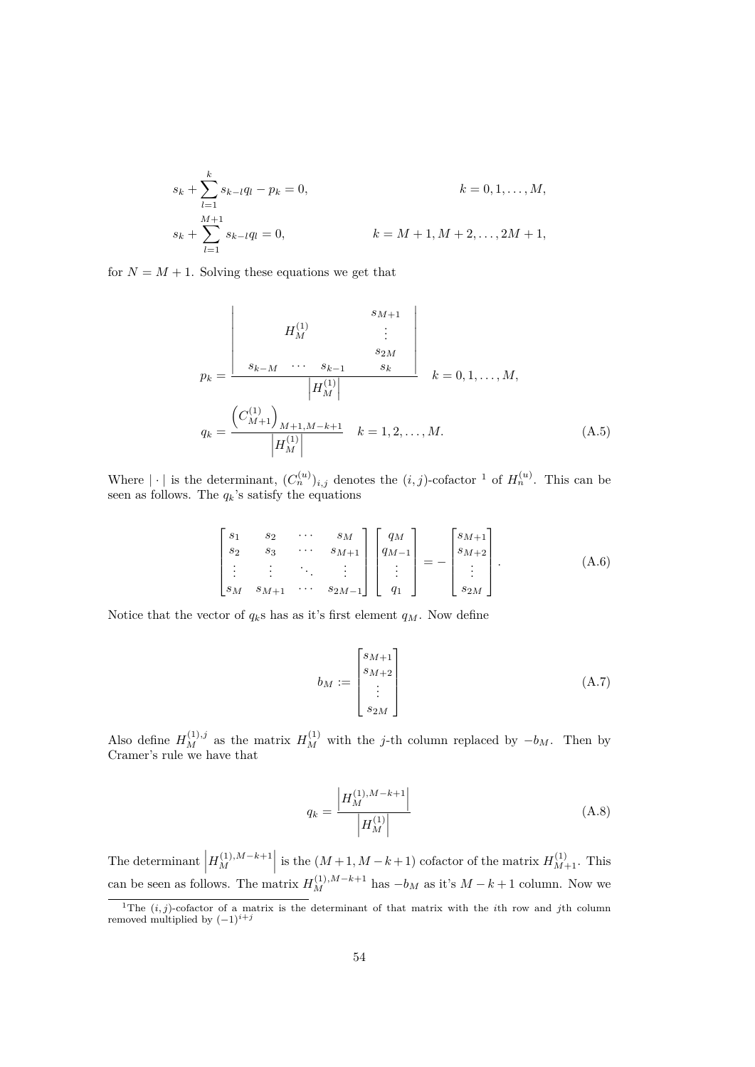$$
s_k + \sum_{l=1}^k s_{k-l}q_l - p_k = 0,
$$
  
\n
$$
s_k + \sum_{l=1}^{M+1} s_{k-l}q_l = 0,
$$
  
\n
$$
k = M + 1, M + 2, ..., 2M + 1,
$$
  
\n
$$
k = M + 1, M + 2, ..., 2M + 1,
$$

for  $N = M + 1$ . Solving these equations we get that

$$
p_{k} = \frac{\begin{vmatrix} s_{M+1} \\ s_{k-M} & \cdots & s_{k-1} \\ s_{k-M} & \cdots & s_{k-1} \\ \hline |H_{M}^{(1)}| & \end{vmatrix}}{\begin{vmatrix} H_{M}^{(1)} \end{vmatrix}} \quad k = 0, 1, ..., M,
$$
\n
$$
q_{k} = \frac{\begin{pmatrix} C_{M+1}^{(1)} \end{pmatrix}_{M+1, M-k+1}}{\begin{vmatrix} H_{M}^{(1)} \end{vmatrix}} \quad k = 1, 2, ..., M.
$$
\n(A.5)

Where  $|\cdot|$  is the determinant,  $(C_n^{(u)})_{i,j}$  denotes the  $(i,j)$ -cofactor <sup>1</sup> of  $H_n^{(u)}$ . This can be seen as follows. The  $q_k$ 's satisfy the equations

$$
\begin{bmatrix} s_1 & s_2 & \cdots & s_M \\ s_2 & s_3 & \cdots & s_{M+1} \\ \vdots & \vdots & \ddots & \vdots \\ s_M & s_{M+1} & \cdots & s_{2M-1} \end{bmatrix} \begin{bmatrix} q_M \\ q_{M-1} \\ \vdots \\ q_1 \end{bmatrix} = - \begin{bmatrix} s_{M+1} \\ s_{M+2} \\ \vdots \\ s_{2M} \end{bmatrix} .
$$
 (A.6)

Notice that the vector of  $q_k$ s has as it's first element  $q_M$ . Now define

$$
b_M := \begin{bmatrix} s_{M+1} \\ s_{M+2} \\ \vdots \\ s_{2M} \end{bmatrix}
$$
 (A.7)

Also define  $H_M^{(1),j}$  as the matrix  $H_M^{(1)}$  with the *j*-th column replaced by  $-b_M$ . Then by Cramer's rule we have that

$$
q_k = \frac{\left| H_M^{(1), M-k+1} \right|}{\left| H_M^{(1)} \right|} \tag{A.8}
$$

The determinant  $\vert$  $H_M^{(1),M-k+1}$  is the  $(M+1, M-k+1)$  cofactor of the matrix  $H_{M+1}^{(1)}$ . This can be seen as follows. The matrix  $H_M^{(1),M-k+1}$  has  $-b_M$  as it's  $M-k+1$  column. Now we

<sup>&</sup>lt;sup>1</sup>The  $(i, j)$ -cofactor of a matrix is the determinant of that matrix with the *i*th row and *j*th column removed multiplied by (*−*1)*i*+*<sup>j</sup>*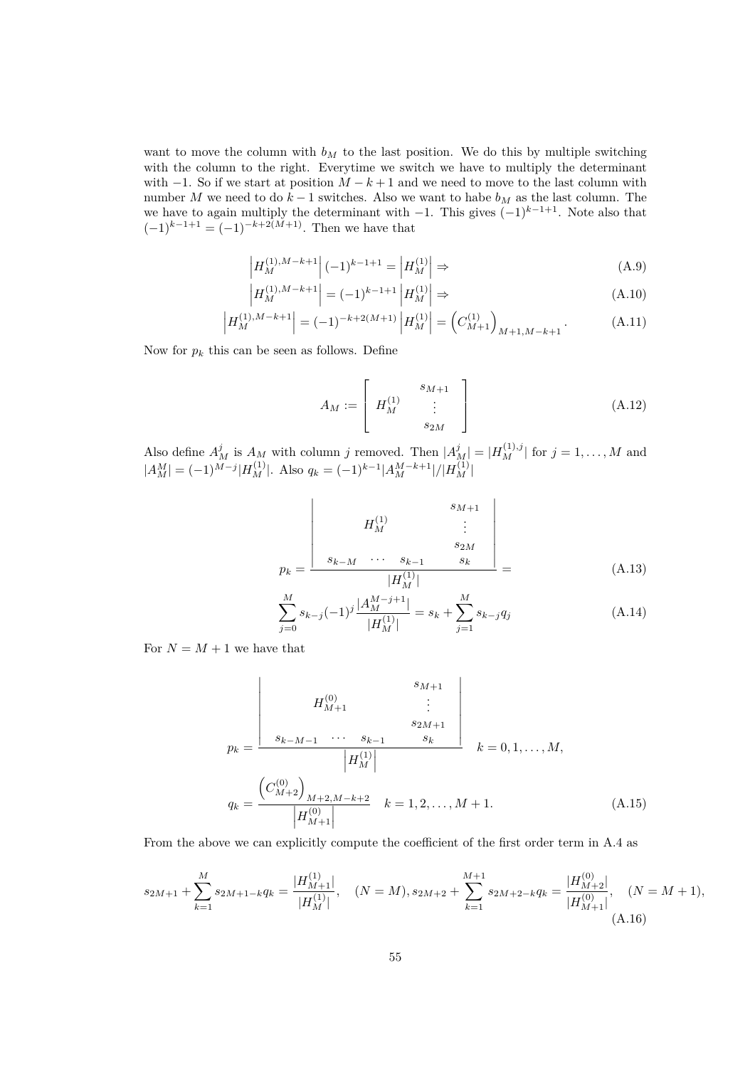want to move the column with  $b_M$  to the last position. We do this by multiple switching with the column to the right. Everytime we switch we have to multiply the determinant with  $-1$ . So if we start at position  $M - k + 1$  and we need to move to the last column with number *M* we need to do  $k-1$  switches. Also we want to habe  $b_M$  as the last column. The we have to again multiply the determinant with *−*1. This gives (*−*1)*<sup>k</sup>−*1+1. Note also that  $(-1)^{k-1+1} = (-1)^{-k+2(M+1)}$ . Then we have that

$$
\left| H_M^{(1),M-k+1} \right| (-1)^{k-1+1} = \left| H_M^{(1)} \right| \Rightarrow \tag{A.9}
$$

$$
\left| H_M^{(1),M-k+1} \right| = (-1)^{k-1+1} \left| H_M^{(1)} \right| \Rightarrow \tag{A.10}
$$

$$
\left| H_M^{(1),M-k+1} \right| = (-1)^{-k+2(M+1)} \left| H_M^{(1)} \right| = \left( C_{M+1}^{(1)} \right)_{M+1,M-k+1}.
$$
 (A.11)

Now for  $p_k$  this can be seen as follows. Define

$$
A_M := \left[ \begin{array}{ccc} & s_{M+1} \\ H_M^{(1)} & & \\ & s_{2M} \end{array} \right] \tag{A.12}
$$

Also define  $A_M^j$  is  $A_M$  with column j removed. Then  $|A_M^j| = |H_M^{(1),j}|$  for  $j = 1, ..., M$  and  $|A_M^M| = (-1)^{M-j} |H_M^{(1)}|$ . Also  $q_k = (-1)^{k-1} |A_M^{M-k+1}|/|H_M^{(1)}|$ 

$$
p_{k} = \frac{\begin{vmatrix} s_{M+1} \\ \vdots \\ s_{k-M} & \cdots & s_{k-1} \\ \hline |H_M^{(1)}| \end{vmatrix}}{\begin{vmatrix} H_M^{(1)} \end{vmatrix}} = (A.13)
$$

$$
\sum_{j=0}^{M} s_{k-j}(-1)^{j} \frac{|A_M^{M-j+1}|}{|H_M^{(1)}|} = s_k + \sum_{j=1}^{M} s_{k-j} q_j \tag{A.14}
$$

For  $N = M + 1$  we have that

$$
p_{k} = \frac{\begin{vmatrix} 0 & s_{M+1} \\ H_{M+1}^{(0)} & \vdots \\ s_{k-M-1} & \cdots & s_{k-1} & s_{k} \\ \hline & & & \\ H_M^{(1)} & & & \\ \end{vmatrix}}{q_{k} = \frac{\left(C_{M+2}^{(0)}\right)_{M+2,M-k+2}}{\left|H_{M+1}^{(0)}\right|} \quad k = 1, 2, \ldots, M+1. \tag{A.15}
$$

From the above we can explicitly compute the coefficient of the first order term in A.4 as

$$
s_{2M+1} + \sum_{k=1}^{M} s_{2M+1-k} q_k = \frac{|H_{M+1}^{(1)}|}{|H_M^{(1)}|}, \quad (N = M), s_{2M+2} + \sum_{k=1}^{M+1} s_{2M+2-k} q_k = \frac{|H_{M+2}^{(0)}|}{|H_{M+1}^{(0)}|}, \quad (N = M+1),
$$
\n(A.16)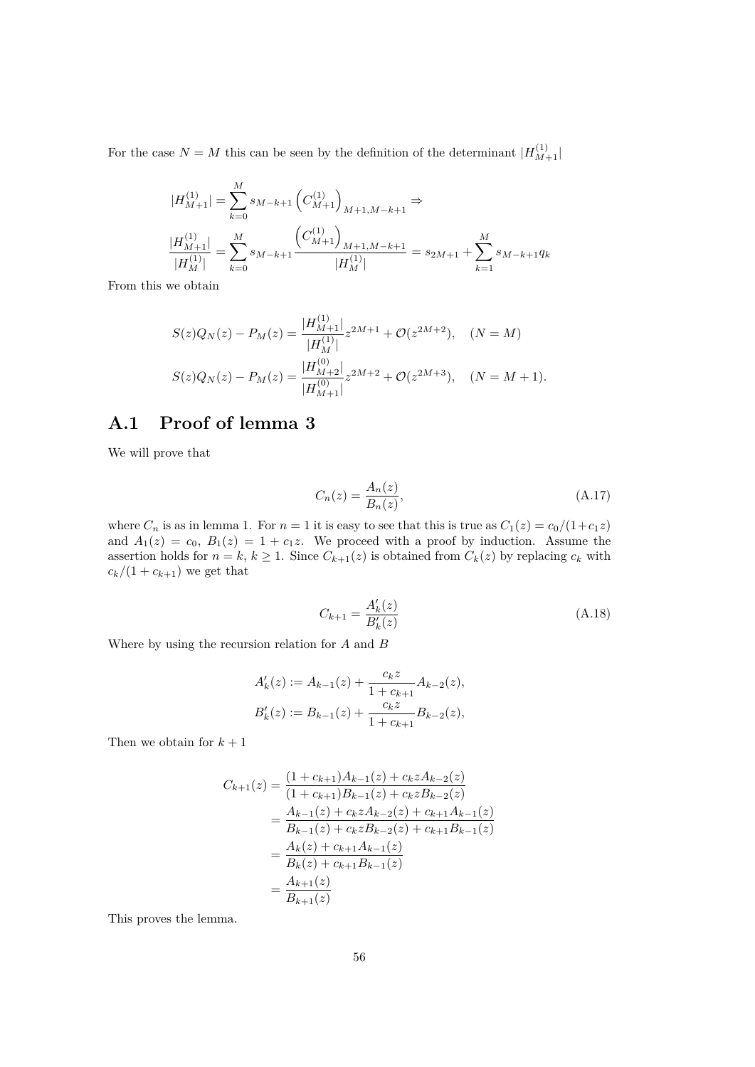For the case  $N = M$  this can be seen by the definition of the determinant  $|H_{M+1}^{(1)}|$ 

$$
\begin{split} |H_{M+1}^{(1)}|=&\sum_{k=0}^{M}s_{M-k+1}\left(C_{M+1}^{(1)}\right)_{M+1,M-k+1}\Rightarrow\\ \frac{|H_{M+1}^{(1)}|}{|H_{M}^{(1)}|}&=\sum_{k=0}^{M}s_{M-k+1}\frac{\left(C_{M+1}^{(1)}\right)_{M+1,M-k+1}}{|H_{M}^{(1)}|}=s_{2M+1}+\sum_{k=1}^{M}s_{M-k+1}q_{k} \end{split}
$$

From this we obtain

$$
S(z)Q_N(z) - P_M(z) = \frac{|H_{M+1}^{(1)}|}{|H_M^{(1)}|} z^{2M+1} + \mathcal{O}(z^{2M+2}), \quad (N = M)
$$
  

$$
S(z)Q_N(z) - P_M(z) = \frac{|H_{M+2}^{(0)}|}{|H_{M+1}^{(0)}|} z^{2M+2} + \mathcal{O}(z^{2M+3}), \quad (N = M+1).
$$

## **A.1 Proof of lemma 3**

We will prove that

$$
C_n(z) = \frac{A_n(z)}{B_n(z)},\tag{A.17}
$$

where  $C_n$  is as in lemma 1. For  $n = 1$  it is easy to see that this is true as  $C_1(z) = c_0/(1+c_1z)$ and  $A_1(z) = c_0$ ,  $B_1(z) = 1 + c_1 z$ . We proceed with a proof by induction. Assume the assertion holds for  $n = k$ ,  $k \geq 1$ . Since  $C_{k+1}(z)$  is obtained from  $C_k(z)$  by replacing  $c_k$  with  $c_k/(1 + c_{k+1})$  we get that

$$
C_{k+1} = \frac{A'_k(z)}{B'_k(z)}
$$
(A.18)

Where by using the recursion relation for *A* and *B*

$$
A'_k(z) := A_{k-1}(z) + \frac{c_k z}{1 + c_{k+1}} A_{k-2}(z),
$$
  

$$
B'_k(z) := B_{k-1}(z) + \frac{c_k z}{1 + c_{k+1}} B_{k-2}(z),
$$

Then we obtain for  $k+1$ 

$$
C_{k+1}(z) = \frac{(1 + c_{k+1})A_{k-1}(z) + c_k z A_{k-2}(z)}{(1 + c_{k+1})B_{k-1}(z) + c_k z B_{k-2}(z)}
$$
  
= 
$$
\frac{A_{k-1}(z) + c_k z A_{k-2}(z) + c_{k+1} A_{k-1}(z)}{B_{k-1}(z) + c_k z B_{k-2}(z) + c_{k+1} B_{k-1}(z)}
$$
  
= 
$$
\frac{A_k(z) + c_{k+1} A_{k-1}(z)}{B_k(z) + c_{k+1} B_{k-1}(z)}
$$
  
= 
$$
\frac{A_{k+1}(z)}{B_{k+1}(z)}
$$

This proves the lemma.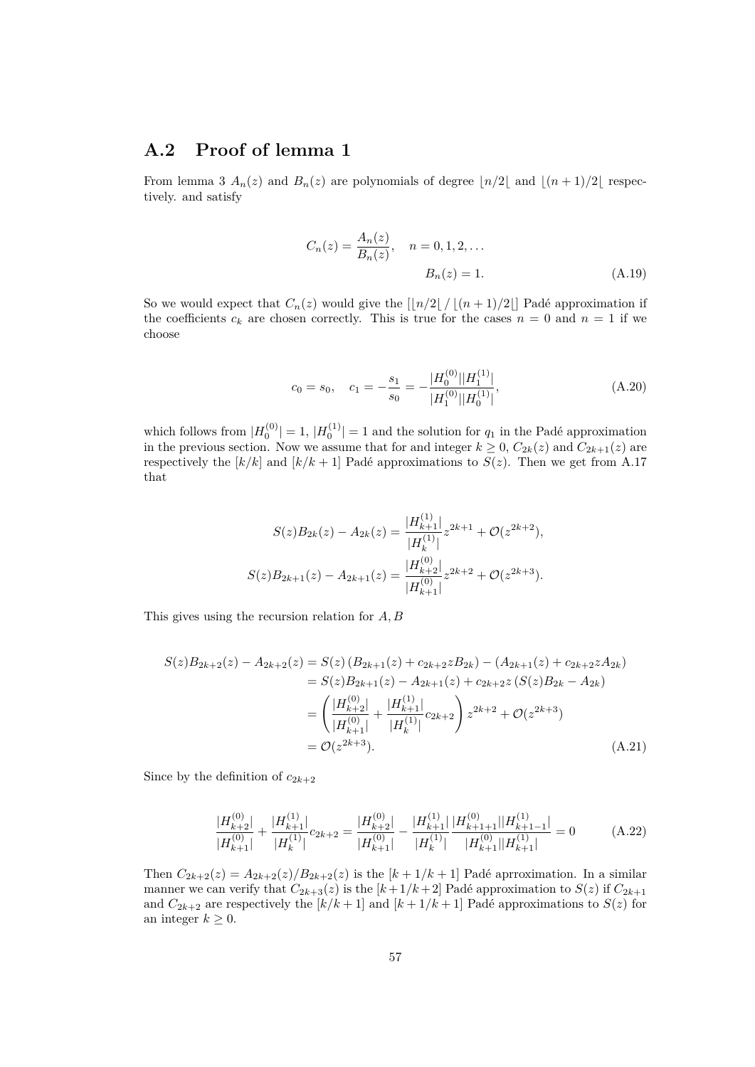## **A.2 Proof of lemma 1**

From lemma 3  $A_n(z)$  and  $B_n(z)$  are polynomials of degree  $\lfloor n/2 \rfloor$  and  $\lfloor (n+1)/2 \rfloor$  respectively. and satisfy

$$
C_n(z) = \frac{A_n(z)}{B_n(z)}, \quad n = 0, 1, 2, ...
$$

$$
B_n(z) = 1.
$$
 (A.19)

So we would expect that  $C_n(z)$  would give the  $\left[\frac{n}{2} / \left(\frac{n+1}{2}\right)\right]$  Padé approximation if the coefficients  $c_k$  are chosen correctly. This is true for the cases  $n = 0$  and  $n = 1$  if we choose

$$
c_0 = s_0, \quad c_1 = -\frac{s_1}{s_0} = -\frac{|H_0^{(0)}||H_1^{(1)}|}{|H_1^{(0)}||H_0^{(1)}|},\tag{A.20}
$$

which follows from  $|H_0^{(0)}| = 1$ ,  $|H_0^{(1)}| = 1$  and the solution for  $q_1$  in the Padé approximation in the previous section. Now we assume that for and integer  $k \geq 0$ ,  $C_{2k}(z)$  and  $C_{2k+1}(z)$  are respectively the  $[k/k]$  and  $[k/k+1]$  Padé approximations to  $S(z)$ . Then we get from A.17 that

$$
S(z)B_{2k}(z) - A_{2k}(z) = \frac{|H_{k+1}^{(1)}|}{|H_k^{(1)}|} z^{2k+1} + \mathcal{O}(z^{2k+2}),
$$
  

$$
S(z)B_{2k+1}(z) - A_{2k+1}(z) = \frac{|H_{k+2}^{(0)}|}{|H_{k+1}^{(0)}|} z^{2k+2} + \mathcal{O}(z^{2k+3}).
$$

This gives using the recursion relation for *A, B*

$$
S(z)B_{2k+2}(z) - A_{2k+2}(z) = S(z) (B_{2k+1}(z) + c_{2k+2}zB_{2k}) - (A_{2k+1}(z) + c_{2k+2}zA_{2k})
$$
  
\n
$$
= S(z)B_{2k+1}(z) - A_{2k+1}(z) + c_{2k+2}z(S(z)B_{2k} - A_{2k})
$$
  
\n
$$
= \left(\frac{|H_{k+2}^{(0)}|}{|H_{k+1}^{(0)}|} + \frac{|H_{k+1}^{(1)}|}{|H_{k}^{(1)}|}c_{2k+2}\right)z^{2k+2} + \mathcal{O}(z^{2k+3})
$$
  
\n
$$
= \mathcal{O}(z^{2k+3}). \tag{A.21}
$$

Since by the definition of  $c_{2k+2}$ 

$$
\frac{|H_{k+2}^{(0)}|}{|H_{k+1}^{(0)}|} + \frac{|H_{k+1}^{(1)}|}{|H_k^{(1)}|}c_{2k+2} = \frac{|H_{k+2}^{(0)}|}{|H_{k+1}^{(0)}|} - \frac{|H_{k+1}^{(1)}|}{|H_k^{(1)}|} \frac{|H_{k+1}^{(0)}|}{|H_{k+1}^{(0)}| |H_{k+1}^{(1)}|} = 0
$$
\n(A.22)

Then  $C_{2k+2}(z) = A_{2k+2}(z)/B_{2k+2}(z)$  is the  $[k+1/k+1]$  Padé aprroximation. In a similar manner we can verify that  $C_{2k+3}(z)$  is the  $[k+1/k+2]$  Padé approximation to  $S(z)$  if  $C_{2k+1}$ and  $C_{2k+2}$  are respectively the  $[k/k+1]$  and  $[k+1/k+1]$  Padé approximations to  $S(z)$  for an integer  $k \geq 0$ .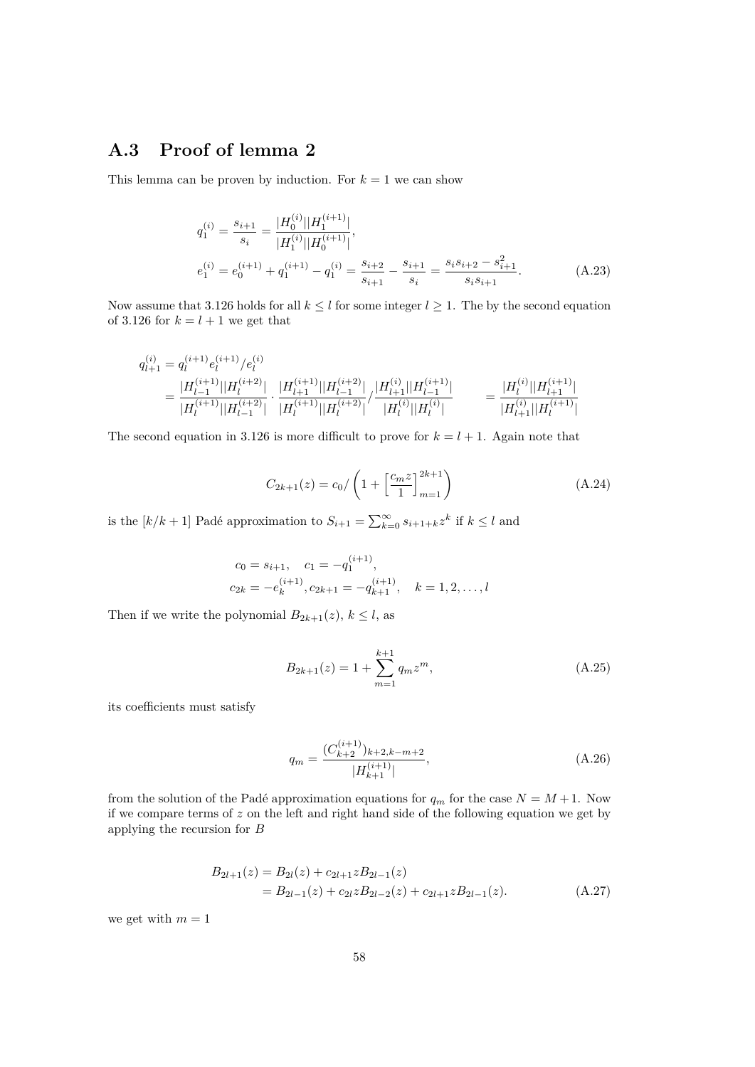## **A.3 Proof of lemma 2**

This lemma can be proven by induction. For  $k = 1$  we can show

$$
q_1^{(i)} = \frac{s_{i+1}}{s_i} = \frac{|H_0^{(i)}||H_1^{(i+1)}|}{|H_1^{(i)}||H_0^{(i+1)}|},
$$
  
\n
$$
e_1^{(i)} = e_0^{(i+1)} + q_1^{(i+1)} - q_1^{(i)} = \frac{s_{i+2}}{s_{i+1}} - \frac{s_{i+1}}{s_i} = \frac{s_i s_{i+2} - s_{i+1}^2}{s_i s_{i+1}}.
$$
\n(A.23)

Now assume that 3.126 holds for all  $k \leq l$  for some integer  $l \geq 1$ . The by the second equation of 3.126 for  $k = l + 1$  we get that

$$
\begin{aligned} q_{l+1}^{(i)} &= q_l^{(i+1)} e_l^{(i+1)}/e_l^{(i)} \\ &= \frac{|H_{l-1}^{(i+1)}||H_l^{(i+2)}|}{|H_l^{(i+1)}||H_{l-1}^{(i+2)}|} \cdot \frac{|H_{l+1}^{(i+1)}||H_{l-1}^{(i+2)}|}{|H_l^{(i+1)}||H_l^{(i+2)}|} / \frac{|H_{l+1}^{(i)}||H_{l-1}^{(i+1)}|}{|H_l^{(i)}||H_l^{(i)}|} \\ &= \frac{|H_l^{(i)}||H_{l+1}^{(i+1)}|}{|H_l^{(i)}||H_l^{(i+1)}||H_l^{(i+1)}|} \end{aligned}
$$

The second equation in 3.126 is more difficult to prove for  $k = l + 1$ . Again note that

$$
C_{2k+1}(z) = c_0 / \left(1 + \left[\frac{c_m z}{1}\right]_{m=1}^{2k+1}\right)
$$
\n(A.24)

is the  $[k/k + 1]$  Padé approximation to  $S_{i+1} = \sum_{k=0}^{\infty} s_{i+1+k} z^k$  if  $k \leq l$  and

$$
c_0 = s_{i+1}, \quad c_1 = -q_1^{(i+1)},
$$
  

$$
c_{2k} = -e_k^{(i+1)}, c_{2k+1} = -q_{k+1}^{(i+1)}, \quad k = 1, 2, \dots, l
$$

Then if we write the polynomial  $B_{2k+1}(z)$ ,  $k \leq l$ , as

$$
B_{2k+1}(z) = 1 + \sum_{m=1}^{k+1} q_m z^m,
$$
\n(A.25)

its coefficients must satisfy

$$
q_m = \frac{(C_{k+2}^{(i+1)})_{k+2,k-m+2}}{|H_{k+1}^{(i+1)}|},\tag{A.26}
$$

from the solution of the Padé approximation equations for  $q_m$  for the case  $N = M + 1$ . Now if we compare terms of *z* on the left and right hand side of the following equation we get by applying the recursion for *B*

$$
B_{2l+1}(z) = B_{2l}(z) + c_{2l+1}zB_{2l-1}(z)
$$
  
= 
$$
B_{2l-1}(z) + c_{2l}zB_{2l-2}(z) + c_{2l+1}zB_{2l-1}(z).
$$
 (A.27)

we get with  $m = 1$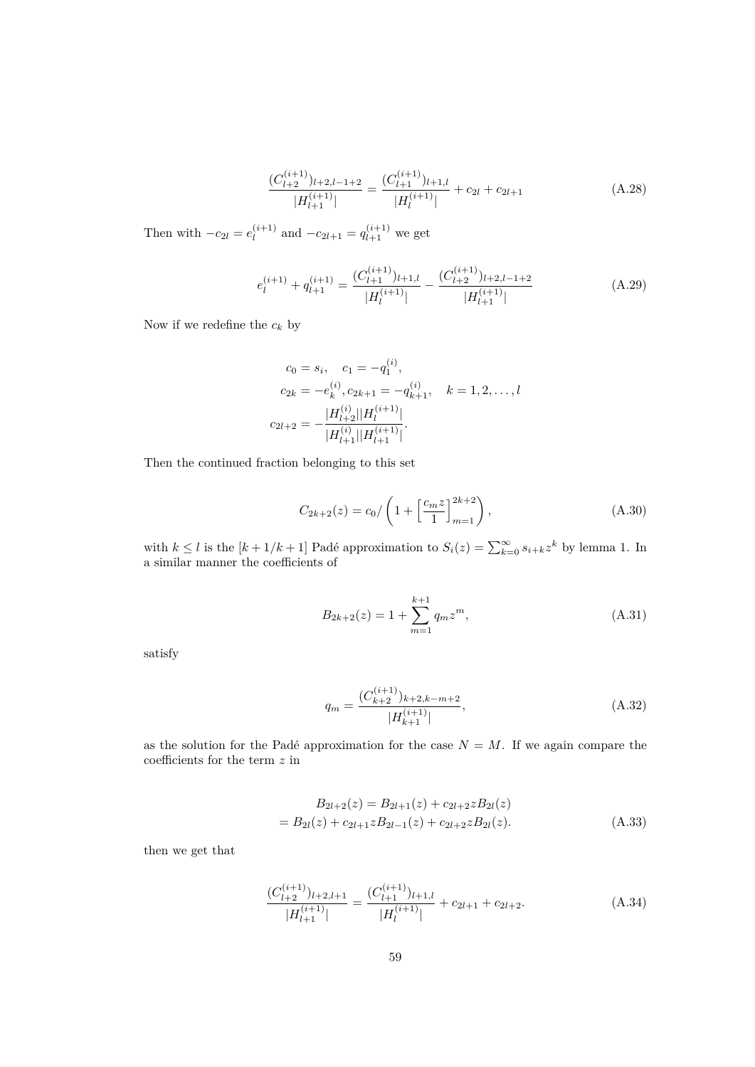$$
\frac{(C_{l+2}^{(i+1)})_{l+2,l-1+2}}{|H_{l+1}^{(i+1)}|} = \frac{(C_{l+1}^{(i+1)})_{l+1,l}}{|H_l^{(i+1)}|} + c_{2l} + c_{2l+1}
$$
\n(A.28)

Then with  $-c_{2l} = e_l^{(i+1)}$  $l_l^{(i+1)}$  and  $-c_{2l+1} = q_{l+1}^{(i+1)}$  we get

$$
e_l^{(i+1)} + q_{l+1}^{(i+1)} = \frac{(C_{l+1}^{(i+1)})_{l+1,l}}{|H_l^{(i+1)}|} - \frac{(C_{l+2}^{(i+1)})_{l+2,l-1+2}}{|H_{l+1}^{(i+1)}|}
$$
(A.29)

Now if we redefine the  $c_k$  by

$$
c_0 = s_i, \quad c_1 = -q_1^{(i)},
$$
  
\n
$$
c_{2k} = -e_k^{(i)}, c_{2k+1} = -q_{k+1}^{(i)}, \quad k = 1, 2, \dots, l
$$
  
\n
$$
c_{2l+2} = -\frac{|H_{l+2}^{(i)}||H_l^{(i+1)}|}{|H_{l+1}^{(i)}||H_{l+1}^{(i+1)}|}.
$$

Then the continued fraction belonging to this set

$$
C_{2k+2}(z) = c_0 / \left(1 + \left[\frac{c_m z}{1}\right]_{m=1}^{2k+2}\right),\tag{A.30}
$$

with  $k \leq l$  is the  $[k+1/k+1]$  Padé approximation to  $S_i(z) = \sum_{k=0}^{\infty} s_{i+k} z^k$  by lemma 1. In a similar manner the coefficients of

$$
B_{2k+2}(z) = 1 + \sum_{m=1}^{k+1} q_m z^m,
$$
\n(A.31)

satisfy

$$
q_m = \frac{(C_{k+2}^{(i+1)})_{k+2,k-m+2}}{|H_{k+1}^{(i+1)}|},\tag{A.32}
$$

as the solution for the Padé approximation for the case  $N = M$ . If we again compare the coefficients for the term *z* in

$$
B_{2l+2}(z) = B_{2l+1}(z) + c_{2l+2}zB_{2l}(z)
$$
  
=  $B_{2l}(z) + c_{2l+1}zB_{2l-1}(z) + c_{2l+2}zB_{2l}(z)$ . (A.33)

then we get that

$$
\frac{(C_{l+2}^{(i+1)})_{l+2,l+1}}{|H_{l+1}^{(i+1)}|} = \frac{(C_{l+1}^{(i+1)})_{l+1,l}}{|H_l^{(i+1)}|} + c_{2l+1} + c_{2l+2}.
$$
\n(A.34)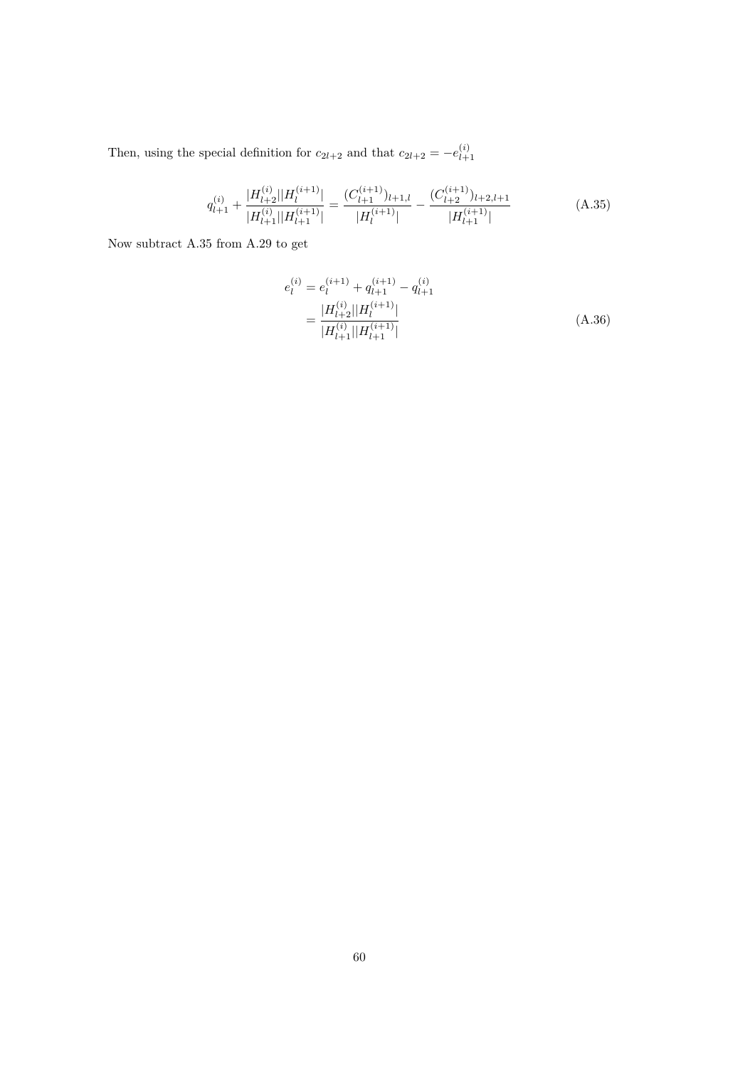Then, using the special definition for  $c_{2l+2}$  and that  $c_{2l+2} = -e^{(i)}_{l+1}$ *l*+1

$$
q_{l+1}^{(i)} + \frac{|H_{l+2}^{(i)}||H_l^{(i+1)}|}{|H_{l+1}^{(i)}||H_{l+1}^{(i+1)}|} = \frac{(C_{l+1}^{(i+1)})_{l+1,l}}{|H_l^{(i+1)}|} - \frac{(C_{l+2}^{(i+1)})_{l+2,l+1}}{|H_{l+1}^{(i+1)}|}
$$
(A.35)

Now subtract A.35 from A.29 to get

$$
e_l^{(i)} = e_l^{(i+1)} + q_{l+1}^{(i+1)} - q_{l+1}^{(i)}
$$
  
= 
$$
\frac{|H_{l+2}^{(i)}||H_l^{(i+1)}|}{|H_{l+1}^{(i)}||H_{l+1}^{(i+1)}|}
$$
 (A.36)